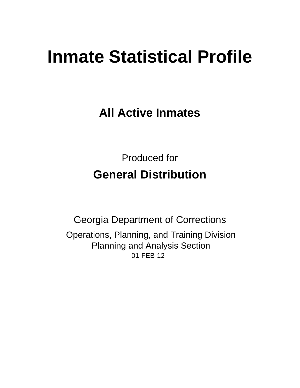# **Inmate Statistical Profile**

**All Active Inmates** 

**Produced for General Distribution** 

**Georgia Department of Corrections** Operations, Planning, and Training Division **Planning and Analysis Section** 01-FEB-12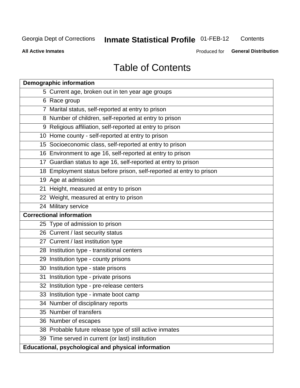#### **Inmate Statistical Profile 01-FEB-12** Contents

**All Active Inmates** 

Produced for General Distribution

# **Table of Contents**

| <b>Demographic information</b>                                       |
|----------------------------------------------------------------------|
| 5 Current age, broken out in ten year age groups                     |
| 6 Race group                                                         |
| 7 Marital status, self-reported at entry to prison                   |
| 8 Number of children, self-reported at entry to prison               |
| 9 Religious affiliation, self-reported at entry to prison            |
| 10 Home county - self-reported at entry to prison                    |
| 15 Socioeconomic class, self-reported at entry to prison             |
| 16 Environment to age 16, self-reported at entry to prison           |
| 17 Guardian status to age 16, self-reported at entry to prison       |
| 18 Employment status before prison, self-reported at entry to prison |
| 19 Age at admission                                                  |
| 21 Height, measured at entry to prison                               |
| 22 Weight, measured at entry to prison                               |
| 24 Military service                                                  |
| <b>Correctional information</b>                                      |
| 25 Type of admission to prison                                       |
| 26 Current / last security status                                    |
| 27 Current / last institution type                                   |
| 28 Institution type - transitional centers                           |
| 29 Institution type - county prisons                                 |
| 30 Institution type - state prisons                                  |
| 31 Institution type - private prisons                                |
| 32 Institution type - pre-release centers                            |
| 33 Institution type - inmate boot camp                               |
| 34 Number of disciplinary reports                                    |
| 35 Number of transfers                                               |
| 36 Number of escapes                                                 |
| 38 Probable future release type of still active inmates              |
| 39 Time served in current (or last) institution                      |
| <b>Educational, psychological and physical information</b>           |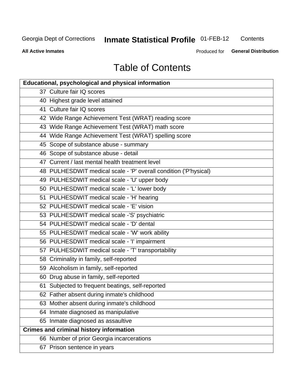# **Inmate Statistical Profile 01-FEB-12**

Contents

**All Active Inmates** 

Produced for General Distribution

# **Table of Contents**

| <b>Educational, psychological and physical information</b>       |
|------------------------------------------------------------------|
| 37 Culture fair IQ scores                                        |
| 40 Highest grade level attained                                  |
| 41 Culture fair IQ scores                                        |
| 42 Wide Range Achievement Test (WRAT) reading score              |
| 43 Wide Range Achievement Test (WRAT) math score                 |
| 44 Wide Range Achievement Test (WRAT) spelling score             |
| 45 Scope of substance abuse - summary                            |
| 46 Scope of substance abuse - detail                             |
| 47 Current / last mental health treatment level                  |
| 48 PULHESDWIT medical scale - 'P' overall condition ('P'hysical) |
| 49 PULHESDWIT medical scale - 'U' upper body                     |
| 50 PULHESDWIT medical scale - 'L' lower body                     |
| 51 PULHESDWIT medical scale - 'H' hearing                        |
| 52 PULHESDWIT medical scale - 'E' vision                         |
| 53 PULHESDWIT medical scale -'S' psychiatric                     |
| 54 PULHESDWIT medical scale - 'D' dental                         |
| 55 PULHESDWIT medical scale - 'W' work ability                   |
| 56 PULHESDWIT medical scale - 'I' impairment                     |
| 57 PULHESDWIT medical scale - 'T' transportability               |
| 58 Criminality in family, self-reported                          |
| 59 Alcoholism in family, self-reported                           |
| 60 Drug abuse in family, self-reported                           |
| 61 Subjected to frequent beatings, self-reported                 |
| 62 Father absent during inmate's childhood                       |
| 63 Mother absent during inmate's childhood                       |
| 64 Inmate diagnosed as manipulative                              |
| 65 Inmate diagnosed as assaultive                                |
| <b>Crimes and criminal history information</b>                   |
| 66 Number of prior Georgia incarcerations                        |
| 67 Prison sentence in years                                      |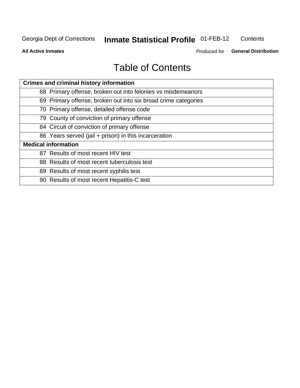#### **Inmate Statistical Profile 01-FEB-12** Contents

**All Active Inmates** 

Produced for General Distribution

# **Table of Contents**

| <b>Crimes and criminal history information</b>                 |
|----------------------------------------------------------------|
| 68 Primary offense, broken out into felonies vs misdemeanors   |
| 69 Primary offense, broken out into six broad crime categories |
| 70 Primary offense, detailed offense code                      |
| 79 County of conviction of primary offense                     |
| 84 Circuit of conviction of primary offense                    |
| 86 Years served (jail + prison) in this incarceration          |
| <b>Medical information</b>                                     |
| 87 Results of most recent HIV test                             |
| 88 Results of most recent tuberculosis test                    |
| 89 Results of most recent syphilis test                        |
| 90 Results of most recent Hepatitis-C test                     |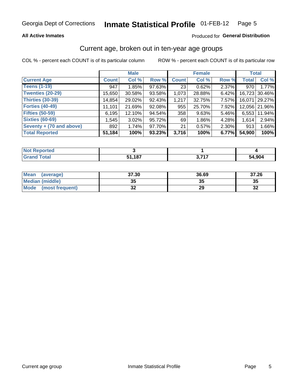### **All Active Inmates**

# Produced for General Distribution

# Current age, broken out in ten-year age groups

COL % - percent each COUNT is of its particular column

|                          |              | <b>Male</b> |        |                 | <b>Female</b> |          |              | <b>Total</b>  |
|--------------------------|--------------|-------------|--------|-----------------|---------------|----------|--------------|---------------|
| <b>Current Age</b>       | <b>Count</b> | Col %       | Row %  | <b>Count</b>    | Col %         | Row %    | <b>Total</b> | Col %         |
| <b>Teens (1-19)</b>      | 947          | 1.85%       | 97.63% | 23 <sub>1</sub> | 0.62%         | 2.37%    | 970          | 1.77%         |
| <b>Twenties (20-29)</b>  | 15,650       | 30.58%      | 93.58% | 1,073           | 28.88%        | 6.42%    | 16,723       | 30.46%        |
| <b>Thirties (30-39)</b>  | 14,854       | 29.02%      | 92.43% | 1,217           | 32.75%        | $7.57\%$ | 16,071       | 29.27%        |
| <b>Forties (40-49)</b>   | 11,101       | 21.69%      | 92.08% | 955             | 25.70%        | 7.92%    |              | 12,056 21.96% |
| <b>Fifties (50-59)</b>   | 6,195        | 12.10%      | 94.54% | 358             | 9.63%         | 5.46%    | 6.553        | 11.94%        |
| <b>Sixties (60-69)</b>   | 1,545        | $3.02\%$    | 95.72% | 69              | 1.86%         | 4.28%    | 1,614        | 2.94%         |
| Seventy + (70 and above) | 892          | 1.74%       | 97.70% | 21              | 0.57%         | 2.30%    | 913          | 1.66%         |
| <b>Total Reported</b>    | 51,184       | 100%        | 93.23% | 3,716           | 100%          | 6.77%    | 54,900       | 100%          |

| <b>Not Repo</b><br>orted |                   |             |        |
|--------------------------|-------------------|-------------|--------|
| Total                    | ,187<br><b>СА</b> | <b>2747</b> | 54,904 |

| <b>Mean</b><br>(average) | 37.30     | 36.69 | 37.26    |
|--------------------------|-----------|-------|----------|
| Median (middle)          | -25<br>vu | JJ    | 35       |
| Mode<br>(most frequent)  | n,<br>◡▴  | 29    | 50<br>⊾ت |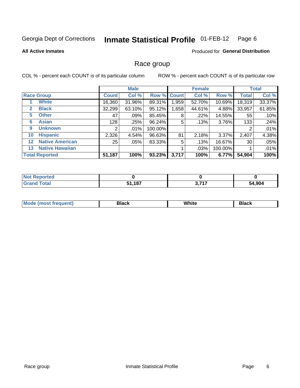#### Inmate Statistical Profile 01-FEB-12 Page 6

### **All Active Inmates**

# **Produced for General Distribution**

# Race group

COL % - percent each COUNT is of its particular column

|                   |                        |              | <b>Male</b> |         |             | <b>Female</b> |         |              | <b>Total</b> |
|-------------------|------------------------|--------------|-------------|---------|-------------|---------------|---------|--------------|--------------|
|                   | <b>Race Group</b>      | <b>Count</b> | Col %       |         | Row % Count | Col %         | Row %   | <b>Total</b> | Col %        |
|                   | <b>White</b>           | 16,360       | 31.96%      | 89.31%  | 1,959       | 52.70%        | 10.69%  | 18,319       | 33.37%       |
| 2                 | <b>Black</b>           | 32,299       | 63.10%      | 95.12%  | ,658        | 44.61%        | 4.88%   | 33,957       | 61.85%       |
| 5                 | <b>Other</b>           | 47           | .09%        | 85.45%  | 8           | $.22\%$       | 14.55%  | 55           | .10%         |
| 6                 | <b>Asian</b>           | 128          | .25%        | 96.24%  | 5           | .13%          | 3.76%   | 133          | .24%         |
| 9                 | <b>Unknown</b>         | 2            | $.01\%$     | 100.00% |             |               |         | 2            | .01%         |
| 10                | <b>Hispanic</b>        | 2,326        | 4.54%       | 96.63%  | 81          | 2.18%         | 3.37%   | 2,407        | 4.38%        |
| $12 \overline{ }$ | <b>Native American</b> | 25           | .05%        | 83.33%  | 5           | .13%          | 16.67%  | 30           | .05%         |
| 13                | <b>Native Hawaiian</b> |              |             |         |             | .03%          | 100.00% |              | .01%         |
|                   | <b>Total Reported</b>  | 51,187       | 100%        | 93.23%  | 3,717       | 100%          | 6.77%   | 54,904       | 100%         |

| Reported     |             |                              |        |
|--------------|-------------|------------------------------|--------|
| <b>Total</b> | .187<br>C 4 | ヘ フィフ<br>$\mathbf{v}$<br>. . | 54,904 |

| Mode (most frequent) | Black | White | Black |
|----------------------|-------|-------|-------|
|                      |       |       |       |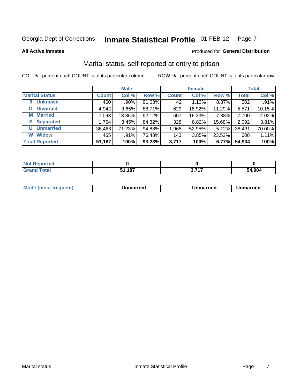#### **Inmate Statistical Profile 01-FEB-12** Page 7

**All Active Inmates** 

### Produced for General Distribution

# Marital status, self-reported at entry to prison

COL % - percent each COUNT is of its particular column

|                            |              | <b>Male</b> |        |              | <b>Female</b> |        |              | <b>Total</b> |
|----------------------------|--------------|-------------|--------|--------------|---------------|--------|--------------|--------------|
| <b>Marital Status</b>      | <b>Count</b> | Col %       | Row %  | <b>Count</b> | Col %         | Row %  | <b>Total</b> | Col %        |
| <b>Unknown</b><br>$\bf{0}$ | 460          | .90%        | 91.63% | 42           | 1.13%         | 8.37%  | 502          | .91%         |
| <b>Divorced</b><br>D       | 4,942        | 9.65%       | 88.71% | 629          | 16.92%        | 11.29% | 5,571        | 10.15%       |
| <b>Married</b><br>M        | 7,093        | 13.86%      | 92.12% | 607          | 16.33%        | 7.88%  | 7,700        | 14.02%       |
| <b>S</b> Separated         | 1,764        | 3.45%       | 84.32% | 328          | 8.82%         | 15.68% | 2,092        | 3.81%        |
| <b>Unmarried</b><br>U      | 36,463       | 71.23%      | 94.88% | 1,968        | 52.95%        | 5.12%  | 38,431       | 70.00%       |
| <b>Widow</b><br>W          | 465          | .91%        | 76.48% | 143          | 3.85%         | 23.52% | 608          | 1.11%        |
| <b>Total Reported</b>      | 51,187       | 100%        | 93.23% | 3,717        | 100%          | 6.77%  | 54,904       | 100%         |

| <u>าrtea</u><br><b>NOT</b> |                 |                  |        |
|----------------------------|-----------------|------------------|--------|
|                            | -407<br>JI, IOI | っ フィフ<br>v.<br>. | 54.904 |

|--|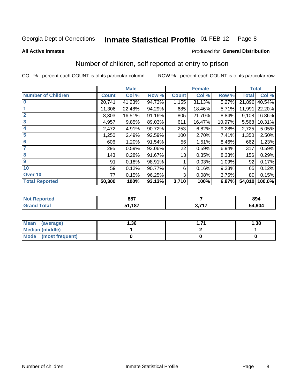#### **Inmate Statistical Profile 01-FEB-12** Page 8

### **All Active Inmates**

### Produced for General Distribution

# Number of children, self reported at entry to prison

COL % - percent each COUNT is of its particular column

|                           |              | <b>Male</b> |        |              | <b>Female</b> |        | <b>Total</b> |        |
|---------------------------|--------------|-------------|--------|--------------|---------------|--------|--------------|--------|
| <b>Number of Children</b> | <b>Count</b> | Col %       | Row %  | <b>Count</b> | Col %         | Row %  | <b>Total</b> | Col %  |
| 10                        | 20,741       | 41.23%      | 94.73% | 1,155        | 31.13%        | 5.27%  | 21,896       | 40.54% |
|                           | 11,306       | 22.48%      | 94.29% | 685          | 18.46%        | 5.71%  | 11,991       | 22.20% |
| $\overline{2}$            | 8,303        | 16.51%      | 91.16% | 805          | 21.70%        | 8.84%  | 9,108        | 16.86% |
| $\overline{\mathbf{3}}$   | 4,957        | 9.85%       | 89.03% | 611          | 16.47%        | 10.97% | 5,568        | 10.31% |
| $\overline{\mathbf{4}}$   | 2,472        | 4.91%       | 90.72% | 253          | 6.82%         | 9.28%  | 2,725        | 5.05%  |
| 5                         | 1,250        | 2.49%       | 92.59% | 100          | 2.70%         | 7.41%  | 1,350        | 2.50%  |
| $6\phantom{1}6$           | 606          | 1.20%       | 91.54% | 56           | 1.51%         | 8.46%  | 662          | 1.23%  |
| 7                         | 295          | 0.59%       | 93.06% | 22           | 0.59%         | 6.94%  | 317          | 0.59%  |
| 8                         | 143          | 0.28%       | 91.67% | 13           | 0.35%         | 8.33%  | 156          | 0.29%  |
| 9                         | 91           | 0.18%       | 98.91% |              | 0.03%         | 1.09%  | 92           | 0.17%  |
| 10                        | 59           | 0.12%       | 90.77% | 6            | 0.16%         | 9.23%  | 65           | 0.12%  |
| Over 10                   | 77           | 0.15%       | 96.25% | 3            | 0.08%         | 3.75%  | 80           | 0.15%  |
| <b>Total Reported</b>     | 50,300       | 100%        | 93.13% | 3,710        | 100%          | 6.87%  | 54,010       | 100.0% |

| rteo<br>NO          | 887                 |      | 894          |
|---------------------|---------------------|------|--------------|
| $C = 4 - 7$<br>υιαι | 407<br>C 4<br>1,101 | 2717 | 34,904<br>54 |

| <b>Mean</b><br>(average) | 1.36 | 1.38 |
|--------------------------|------|------|
| Median (middle)          |      |      |
| Mode<br>(most frequent)  |      |      |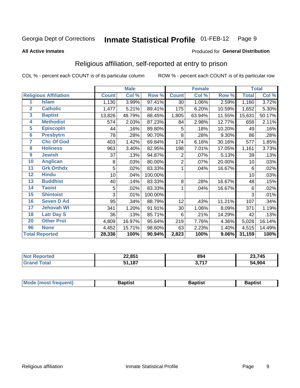#### Inmate Statistical Profile 01-FEB-12 Page 9

### **All Active Inmates**

# Produced for General Distribution

# Religious affiliation, self-reported at entry to prison

COL % - percent each COUNT is of its particular column

|                         |                              | <b>Male</b>  |        | <b>Female</b> |              |        | <b>Total</b> |              |        |
|-------------------------|------------------------------|--------------|--------|---------------|--------------|--------|--------------|--------------|--------|
|                         | <b>Religious Affiliation</b> | <b>Count</b> | Col %  | Row %         | <b>Count</b> | Col %  | Row %        | <b>Total</b> | Col %  |
| 1                       | <b>Islam</b>                 | 1,130        | 3.99%  | 97.41%        | 30           | 1.06%  | 2.59%        | 1,160        | 3.72%  |
| $\overline{2}$          | <b>Catholic</b>              | 1,477        | 5.21%  | 89.41%        | 175          | 6.20%  | 10.59%       | 1,652        | 5.30%  |
| $\overline{\mathbf{3}}$ | <b>Baptist</b>               | 13,826       | 48.79% | 88.45%        | 1,805        | 63.94% | 11.55%       | 15,631       | 50.17% |
| 4                       | <b>Methodist</b>             | 574          | 2.03%  | 87.23%        | 84           | 2.98%  | 12.77%       | 658          | 2.11%  |
| $\overline{5}$          | <b>EpiscopIn</b>             | 44           | .16%   | 89.80%        | 5            | .18%   | 10.20%       | 49           | .16%   |
| $6\phantom{a}$          | <b>Presbytrn</b>             | 78           | .28%   | 90.70%        | 8            | .28%   | 9.30%        | 86           | .28%   |
| 7                       | <b>Chc Of God</b>            | 403          | 1.42%  | 69.84%        | 174          | 6.16%  | 30.16%       | 577          | 1.85%  |
| 8                       | <b>Holiness</b>              | 963          | 3.40%  | 82.95%        | 198          | 7.01%  | 17.05%       | 1,161        | 3.73%  |
| $\overline{9}$          | <b>Jewish</b>                | 37           | .13%   | 94.87%        | 2            | .07%   | 5.13%        | 39           | .13%   |
| 10                      | <b>Anglican</b>              | 8            | .03%   | 80.00%        | 2            | .07%   | 20.00%       | 10           | .03%   |
| 11                      | <b>Grk Orthdx</b>            | 5            | .02%   | 83.33%        | 1            | .04%   | 16.67%       | 6            | .02%   |
| 12                      | <b>Hindu</b>                 | 10           | .04%   | 100.00%       |              |        |              | 10           | .03%   |
| 13                      | <b>Buddhist</b>              | 40           | .14%   | 83.33%        | 8            | .28%   | 16.67%       | 48           | .15%   |
| 14                      | <b>Taoist</b>                | 5            | .02%   | 83.33%        | 1            | .04%   | 16.67%       | 6            | .02%   |
| 15                      | <b>Shintoist</b>             | 3            | .01%   | 100.00%       |              |        |              | 3            | .01%   |
| 16                      | <b>Seven D Ad</b>            | 95           | .34%   | 88.79%        | 12           | .43%   | 11.21%       | 107          | .34%   |
| 17                      | <b>Jehovah Wt</b>            | 341          | 1.20%  | 91.91%        | 30           | 1.06%  | 8.09%        | 371          | 1.19%  |
| 18                      | <b>Latr Day S</b>            | 36           | .13%   | 85.71%        | 6            | .21%   | 14.29%       | 42           | .13%   |
| 20                      | <b>Other Prot</b>            | 4,809        | 16.97% | 95.64%        | 219          | 7.76%  | 4.36%        | 5,028        | 16.14% |
| 96                      | <b>None</b>                  | 4,452        | 15.71% | 98.60%        | 63           | 2.23%  | 1.40%        | 4,515        | 14.49% |
|                         | <b>Total Reported</b>        | 28,336       | 100%   | 90.94%        | 2,823        | 100%   | 9.06%        | 31,159       | 100%   |

| 22,851             | 894   | 23,745 |
|--------------------|-------|--------|
| 407<br>E4<br>-<br> | , 747 | 54,904 |

| Mode (most frequent) | <b>3aptist</b> | 3aptist | <b>Baptist</b> |
|----------------------|----------------|---------|----------------|
|                      |                |         |                |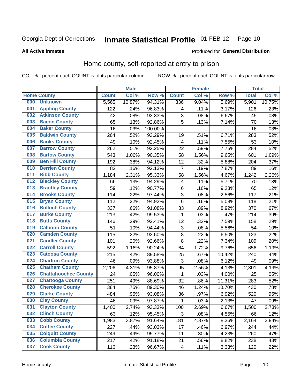#### **Inmate Statistical Profile 01-FEB-12** Page 10

Produced for General Distribution

### **All Active Inmates**

# Home county, self-reported at entry to prison

COL % - percent each COUNT is of its particular column

|     |                             |              | <b>Male</b> |                  |                         | <b>Female</b> |        | <b>Total</b> |        |
|-----|-----------------------------|--------------|-------------|------------------|-------------------------|---------------|--------|--------------|--------|
|     | <b>Home County</b>          | <b>Count</b> | Col %       | Row <sup>%</sup> | <b>Count</b>            | Col %         | Row %  | <b>Total</b> | Col %  |
| 000 | <b>Unknown</b>              | 5,565        | 10.87%      | 94.31%           | 336                     | 9.04%         | 5.69%  | 5,901        | 10.75% |
| 001 | <b>Appling County</b>       | 122          | .24%        | 96.83%           | 4                       | .11%          | 3.17%  | 126          | .23%   |
| 002 | <b>Atkinson County</b>      | 42           | .08%        | 93.33%           | 3                       | .08%          | 6.67%  | 45           | .08%   |
| 003 | <b>Bacon County</b>         | 65           | .13%        | 92.86%           | 5                       | .13%          | 7.14%  | 70           | .13%   |
| 004 | <b>Baker County</b>         | 16           | .03%        | 100.00%          |                         |               |        | 16           | .03%   |
| 005 | <b>Baldwin County</b>       | 264          | .52%        | 93.29%           | 19                      | .51%          | 6.71%  | 283          | .52%   |
| 006 | <b>Banks County</b>         | 49           | .10%        | 92.45%           | 4                       | .11%          | 7.55%  | 53           | .10%   |
| 007 | <b>Barrow County</b>        | 262          | .51%        | 92.25%           | 22                      | .59%          | 7.75%  | 284          | .52%   |
| 008 | <b>Bartow County</b>        | 543          | 1.06%       | 90.35%           | 58                      | 1.56%         | 9.65%  | 601          | 1.09%  |
| 009 | <b>Ben Hill County</b>      | 192          | .38%        | 94.12%           | 12                      | .32%          | 5.88%  | 204          | .37%   |
| 010 | <b>Berrien County</b>       | 82           | .16%        | 92.13%           | 7                       | .19%          | 7.87%  | 89           | .16%   |
| 011 | <b>Bibb County</b>          | 1,184        | 2.31%       | 95.33%           | 58                      | 1.56%         | 4.67%  | 1,242        | 2.26%  |
| 012 | <b>Bleckley County</b>      | 66           | .13%        | 94.29%           | 4                       | .11%          | 5.71%  | 70           | .13%   |
| 013 | <b>Brantley County</b>      | 59           | .12%        | 90.77%           | 6                       | .16%          | 9.23%  | 65           | .12%   |
| 014 | <b>Brooks County</b>        | 114          | .22%        | 97.44%           | 3                       | .08%          | 2.56%  | 117          | .21%   |
| 015 | <b>Bryan County</b>         | 112          | .22%        | 94.92%           | 6                       | .16%          | 5.08%  | 118          | .21%   |
| 016 | <b>Bulloch County</b>       | 337          | .66%        | 91.08%           | 33                      | .89%          | 8.92%  | 370          | .67%   |
| 017 | <b>Burke County</b>         | 213          | .42%        | 99.53%           | $\mathbf 1$             | .03%          | .47%   | 214          | .39%   |
| 018 | <b>Butts County</b>         | 146          | .29%        | 92.41%           | 12                      | .32%          | 7.59%  | 158          | .29%   |
| 019 | <b>Calhoun County</b>       | 51           | .10%        | 94.44%           | 3                       | .08%          | 5.56%  | 54           | .10%   |
| 020 | <b>Camden County</b>        | 115          | .22%        | 93.50%           | $\bf 8$                 | .22%          | 6.50%  | 123          | .22%   |
| 021 | <b>Candler County</b>       | 101          | .20%        | 92.66%           | 8                       | .22%          | 7.34%  | 109          | .20%   |
| 022 | <b>Carroll County</b>       | 592          | 1.16%       | 90.24%           | 64                      | 1.72%         | 9.76%  | 656          | 1.19%  |
| 023 | <b>Catoosa County</b>       | 215          | .42%        | 89.58%           | 25                      | .67%          | 10.42% | 240          | .44%   |
| 024 | <b>Charlton County</b>      | 46           | .09%        | 93.88%           | 3                       | .08%          | 6.12%  | 49           | .09%   |
| 025 | <b>Chatham County</b>       | 2,206        | 4.31%       | 95.87%           | 95                      | 2.56%         | 4.13%  | 2,301        | 4.19%  |
| 026 | <b>Chattahoochee County</b> | 24           | .05%        | 96.00%           | 1                       | .03%          | 4.00%  | 25           | .05%   |
| 027 | <b>Chattooga County</b>     | 251          | .49%        | 88.69%           | 32                      | .86%          | 11.31% | 283          | .52%   |
| 028 | <b>Cherokee County</b>      | 384          | .75%        | 89.30%           | 46                      | 1.24%         | 10.70% | 430          | .78%   |
| 029 | <b>Clarke County</b>        | 484          | .95%        | 93.08%           | 36                      | .97%          | 6.92%  | 520          | .95%   |
| 030 | <b>Clay County</b>          | 46           | .09%        | 97.87%           | 1                       | .03%          | 2.13%  | 47           | .09%   |
| 031 | <b>Clayton County</b>       | 1,400        | 2.74%       | 93.33%           | 100                     | 2.69%         | 6.67%  | 1,500        | 2.73%  |
| 032 | <b>Clinch County</b>        | 63           | .12%        | 95.45%           | 3                       | .08%          | 4.55%  | 66           | .12%   |
| 033 | <b>Cobb County</b>          | 1,983        | 3.87%       | 91.64%           | 181                     | 4.87%         | 8.36%  | 2,164        | 3.94%  |
| 034 | <b>Coffee County</b>        | 227          | .44%        | 93.03%           | 17                      | .46%          | 6.97%  | 244          | .44%   |
| 035 | <b>Colquitt County</b>      | 249          | .49%        | 95.77%           | 11                      | .30%          | 4.23%  | 260          | .47%   |
| 036 | <b>Columbia County</b>      | 217          | .42%        | 91.18%           | 21                      | .56%          | 8.82%  | 238          | .43%   |
| 037 | <b>Cook County</b>          | 116          | .23%        | 96.67%           | $\overline{\mathbf{4}}$ | .11%          | 3.33%  | 120          | .22%   |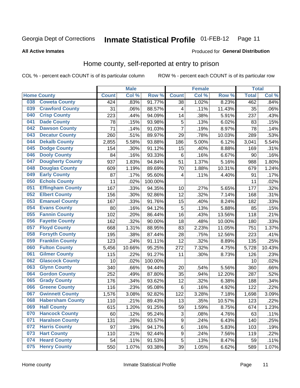#### **Inmate Statistical Profile 01-FEB-12** Page 11

### **All Active Inmates**

### Produced for General Distribution

# Home county, self-reported at entry to prison

COL % - percent each COUNT is of its particular column

|     |                         |              | <b>Male</b> |                  |                | <b>Female</b> |        | <b>Total</b> |        |
|-----|-------------------------|--------------|-------------|------------------|----------------|---------------|--------|--------------|--------|
|     | <b>Home County</b>      | <b>Count</b> | Col%        | Row <sup>%</sup> | <b>Count</b>   | Col %         | Row %  | <b>Total</b> | Col %  |
| 038 | <b>Coweta County</b>    | 424          | .83%        | 91.77%           | 38             | 1.02%         | 8.23%  | 462          | .84%   |
| 039 | <b>Crawford County</b>  | 31           | .06%        | 88.57%           | 4              | .11%          | 11.43% | 35           | .06%   |
| 040 | <b>Crisp County</b>     | 223          | .44%        | 94.09%           | 14             | .38%          | 5.91%  | 237          | .43%   |
| 041 | <b>Dade County</b>      | 78           | .15%        | 93.98%           | 5              | .13%          | 6.02%  | 83           | .15%   |
| 042 | <b>Dawson County</b>    | 71           | .14%        | 91.03%           | $\overline{7}$ | .19%          | 8.97%  | 78           | .14%   |
| 043 | <b>Decatur County</b>   | 260          | .51%        | 89.97%           | 29             | .78%          | 10.03% | 289          | .53%   |
| 044 | <b>Dekalb County</b>    | 2,855        | 5.58%       | 93.88%           | 186            | 5.00%         | 6.12%  | 3,041        | 5.54%  |
| 045 | <b>Dodge County</b>     | 154          | .30%        | 91.12%           | 15             | .40%          | 8.88%  | 169          | .31%   |
| 046 | <b>Dooly County</b>     | 84           | .16%        | 93.33%           | 6              | .16%          | 6.67%  | 90           | .16%   |
| 047 | <b>Dougherty County</b> | 937          | 1.83%       | 94.84%           | 51             | 1.37%         | 5.16%  | 988          | 1.80%  |
| 048 | <b>Douglas County</b>   | 609          | 1.19%       | 89.69%           | 70             | 1.88%         | 10.31% | 679          | 1.24%  |
| 049 | <b>Early County</b>     | 87           | .17%        | 95.60%           | 4              | .11%          | 4.40%  | 91           | .17%   |
| 050 | <b>Echols County</b>    | 11           | .02%        | 100.00%          |                |               |        | 11           | .02%   |
| 051 | <b>Effingham County</b> | 167          | .33%        | 94.35%           | 10             | .27%          | 5.65%  | 177          | .32%   |
| 052 | <b>Elbert County</b>    | 156          | .30%        | 92.86%           | 12             | .32%          | 7.14%  | 168          | .31%   |
| 053 | <b>Emanuel County</b>   | 167          | .33%        | 91.76%           | 15             | .40%          | 8.24%  | 182          | .33%   |
| 054 | <b>Evans County</b>     | 80           | .16%        | 94.12%           | 5              | .13%          | 5.88%  | 85           | .15%   |
| 055 | <b>Fannin County</b>    | 102          | .20%        | 86.44%           | 16             | .43%          | 13.56% | 118          | .21%   |
| 056 | <b>Fayette County</b>   | 162          | .32%        | 90.00%           | 18             | .48%          | 10.00% | 180          | .33%   |
| 057 | <b>Floyd County</b>     | 668          | 1.31%       | 88.95%           | 83             | 2.23%         | 11.05% | 751          | 1.37%  |
| 058 | <b>Forsyth County</b>   | 195          | .38%        | 87.44%           | 28             | .75%          | 12.56% | 223          | .41%   |
| 059 | <b>Franklin County</b>  | 123          | .24%        | 91.11%           | 12             | .32%          | 8.89%  | 135          | .25%   |
| 060 | <b>Fulton County</b>    | 5,456        | 10.66%      | 95.25%           | 272            | 7.32%         | 4.75%  | 5,728        | 10.43% |
| 061 | <b>Gilmer County</b>    | 115          | .22%        | 91.27%           | 11             | .30%          | 8.73%  | 126          | .23%   |
| 062 | <b>Glascock County</b>  | 10           | .02%        | 100.00%          |                |               |        | 10           | .02%   |
| 063 | <b>Glynn County</b>     | 340          | .66%        | 94.44%           | 20             | .54%          | 5.56%  | 360          | .66%   |
| 064 | <b>Gordon County</b>    | 252          | .49%        | 87.80%           | 35             | .94%          | 12.20% | 287          | .52%   |
| 065 | <b>Grady County</b>     | 176          | .34%        | 93.62%           | 12             | .32%          | 6.38%  | 188          | .34%   |
| 066 | <b>Greene County</b>    | 116          | .23%        | 95.08%           | 6              | .16%          | 4.92%  | 122          | .22%   |
| 067 | <b>Gwinnett County</b>  | 1,576        | 3.08%       | 92.82%           | 122            | 3.28%         | 7.18%  | 1,698        | 3.09%  |
| 068 | <b>Habersham County</b> | 110          | .21%        | 89.43%           | 13             | .35%          | 10.57% | 123          | .22%   |
| 069 | <b>Hall County</b>      | 615          | 1.20%       | 91.25%           | 59             | 1.59%         | 8.75%  | 674          | 1.23%  |
| 070 | <b>Hancock County</b>   | 60           | .12%        | 95.24%           | 3              | .08%          | 4.76%  | 63           | .11%   |
| 071 | <b>Haralson County</b>  | 131          | .26%        | 93.57%           | 9              | .24%          | 6.43%  | 140          | .25%   |
| 072 | <b>Harris County</b>    | 97           | .19%        | 94.17%           | $\,6$          | .16%          | 5.83%  | 103          | .19%   |
| 073 | <b>Hart County</b>      | 110          | .21%        | 92.44%           | 9              | .24%          | 7.56%  | 119          | .22%   |
| 074 | <b>Heard County</b>     | 54           | .11%        | 91.53%           | 5              | .13%          | 8.47%  | 59           | .11%   |
| 075 | <b>Henry County</b>     | 550          | 1.07%       | 93.38%           | 39             | 1.05%         | 6.62%  | 589          | 1.07%  |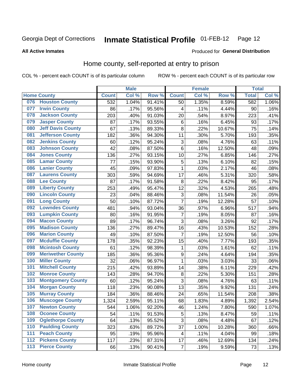#### **Inmate Statistical Profile 01-FEB-12** Page 12

**All Active Inmates** 

### Produced for General Distribution

# Home county, self-reported at entry to prison

COL % - percent each COUNT is of its particular column

|                  |                          |              | <b>Male</b> |                  |                | <b>Female</b>     |        | <b>Total</b> |       |
|------------------|--------------------------|--------------|-------------|------------------|----------------|-------------------|--------|--------------|-------|
|                  | <b>Home County</b>       | <b>Count</b> | Col %       | Row <sup>%</sup> | <b>Count</b>   | Col %             | Row %  | <b>Total</b> | Col % |
| 076              | <b>Houston County</b>    | 532          | 1.04%       | 91.41%           | 50             | 1.35%             | 8.59%  | 582          | 1.06% |
| 077              | <b>Irwin County</b>      | 86           | .17%        | 95.56%           | 4              | .11%              | 4.44%  | 90           | .16%  |
| 078              | <b>Jackson County</b>    | 203          | .40%        | 91.03%           | 20             | .54%              | 8.97%  | 223          | .41%  |
| 079              | <b>Jasper County</b>     | 87           | .17%        | 93.55%           | 6              | .16%              | 6.45%  | 93           | .17%  |
| 080              | <b>Jeff Davis County</b> | 67           | .13%        | 89.33%           | 8              | $\overline{2}2\%$ | 10.67% | 75           | .14%  |
| 081              | <b>Jefferson County</b>  | 182          | .36%        | 94.30%           | 11             | .30%              | 5.70%  | 193          | .35%  |
| 082              | <b>Jenkins County</b>    | 60           | .12%        | 95.24%           | 3              | .08%              | 4.76%  | 63           | .11%  |
| 083              | <b>Johnson County</b>    | 42           | .08%        | 87.50%           | 6              | .16%              | 12.50% | 48           | .09%  |
| 084              | <b>Jones County</b>      | 136          | .27%        | 93.15%           | 10             | .27%              | 6.85%  | 146          | .27%  |
| 085              | <b>Lamar County</b>      | 77           | .15%        | 93.90%           | 5              | .13%              | 6.10%  | 82           | .15%  |
| 086              | <b>Lanier County</b>     | 45           | .09%        | 97.83%           | 1              | .03%              | 2.17%  | 46           | .08%  |
| 087              | <b>Laurens County</b>    | 303          | .59%        | 94.69%           | 17             | .46%              | 5.31%  | 320          | .58%  |
| 088              | <b>Lee County</b>        | 87           | .17%        | 91.58%           | 8              | $\overline{2}2\%$ | 8.42%  | 95           | .17%  |
| 089              | <b>Liberty County</b>    | 253          | .49%        | 95.47%           | 12             | .32%              | 4.53%  | 265          | .48%  |
| 090              | <b>Lincoln County</b>    | 23           | .04%        | 88.46%           | 3              | .08%              | 11.54% | 26           | .05%  |
| 091              | <b>Long County</b>       | 50           | .10%        | 87.72%           | $\overline{7}$ | .19%              | 12.28% | 57           | .10%  |
| 092              | <b>Lowndes County</b>    | 481          | .94%        | 93.04%           | 36             | .97%              | 6.96%  | 517          | .94%  |
| 093              | <b>Lumpkin County</b>    | 80           | .16%        | 91.95%           | $\overline{7}$ | .19%              | 8.05%  | 87           | .16%  |
| 094              | <b>Macon County</b>      | 89           | .17%        | 96.74%           | 3              | .08%              | 3.26%  | 92           | .17%  |
| 095              | <b>Madison County</b>    | 136          | .27%        | 89.47%           | 16             | .43%              | 10.53% | 152          | .28%  |
| 096              | <b>Marion County</b>     | 49           | .10%        | 87.50%           | 7              | .19%              | 12.50% | 56           | .10%  |
| 097              | <b>Mcduffie County</b>   | 178          | .35%        | 92.23%           | 15             | .40%              | 7.77%  | 193          | .35%  |
| 098              | <b>Mcintosh County</b>   | 61           | .12%        | 98.39%           | $\mathbf{1}$   | .03%              | 1.61%  | 62           | .11%  |
| 099              | <b>Meriwether County</b> | 185          | .36%        | 95.36%           | 9              | .24%              | 4.64%  | 194          | .35%  |
| 100              | <b>Miller County</b>     | 32           | .06%        | 96.97%           | 1              | .03%              | 3.03%  | 33           | .06%  |
| 101              | <b>Mitchell County</b>   | 215          | .42%        | 93.89%           | 14             | .38%              | 6.11%  | 229          | .42%  |
| 102              | <b>Monroe County</b>     | 143          | .28%        | 94.70%           | $\bf 8$        | .22%              | 5.30%  | 151          | .28%  |
| 103              | <b>Montgomery County</b> | 60           | .12%        | 95.24%           | 3              | .08%              | 4.76%  | 63           | .11%  |
| 104              | <b>Morgan County</b>     | 118          | .23%        | 90.08%           | 13             | .35%              | 9.92%  | 131          | .24%  |
| 105              | <b>Murray County</b>     | 184          | .36%        | 88.46%           | 24             | .65%              | 11.54% | 208          | .38%  |
| 106              | <b>Muscogee County</b>   | 1,324        | 2.59%       | 95.11%           | 68             | 1.83%             | 4.89%  | 1,392        | 2.54% |
| 107              | <b>Newton County</b>     | 544          | 1.06%       | 92.20%           | 46             | 1.24%             | 7.80%  | 590          | 1.07% |
| 108              | <b>Oconee County</b>     | 54           | .11%        | 91.53%           | 5              | .13%              | 8.47%  | 59           | .11%  |
| 109              | <b>Oglethorpe County</b> | 64           | .13%        | 95.52%           | $\overline{3}$ | .08%              | 4.48%  | 67           | .12%  |
| 110              | <b>Paulding County</b>   | 323          | .63%        | 89.72%           | 37             | 1.00%             | 10.28% | 360          | .66%  |
| 111              | <b>Peach County</b>      | 95           | .19%        | 95.96%           | 4              | .11%              | 4.04%  | 99           | .18%  |
| $\overline{112}$ | <b>Pickens County</b>    | 117          | .23%        | 87.31%           | 17             | .46%              | 12.69% | 134          | .24%  |
| 113              | <b>Pierce County</b>     | 66           | .13%        | 90.41%           | $\overline{7}$ | .19%              | 9.59%  | 73           | .13%  |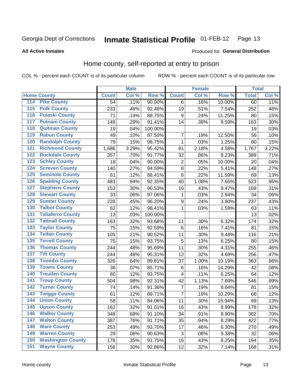#### **Inmate Statistical Profile 01-FEB-12** Page 13

### **All Active Inmates**

### Produced for General Distribution

# Home county, self-reported at entry to prison

COL % - percent each COUNT is of its particular column

|                  |                          |              | <b>Male</b> |                  |                         | <b>Female</b> |        | <b>Total</b> |       |
|------------------|--------------------------|--------------|-------------|------------------|-------------------------|---------------|--------|--------------|-------|
|                  | <b>Home County</b>       | <b>Count</b> | Col %       | Row <sup>%</sup> | <b>Count</b>            | Col %         | Row %  | <b>Total</b> | Col % |
| 114              | <b>Pike County</b>       | 54           | .11%        | 90.00%           | 6                       | .16%          | 10.00% | 60           | .11%  |
| 115              | <b>Polk County</b>       | 233          | .46%        | 92.46%           | 19                      | .51%          | 7.54%  | 252          | .46%  |
| 116              | <b>Pulaski County</b>    | 71           | .14%        | 88.75%           | 9                       | .24%          | 11.25% | 80           | .15%  |
| 117              | <b>Putnam County</b>     | 149          | .29%        | 91.41%           | 14                      | .38%          | 8.59%  | 163          | .30%  |
| 118              | <b>Quitman County</b>    | 19           | .04%        | 100.00%          |                         |               |        | 19           | .03%  |
| 119              | <b>Rabun County</b>      | 49           | .10%        | 87.50%           | $\overline{7}$          | .19%          | 12.50% | 56           | .10%  |
| 120              | <b>Randolph County</b>   | 79           | .15%        | 98.75%           | $\mathbf{1}$            | .03%          | 1.25%  | 80           | .15%  |
| 121              | <b>Richmond County</b>   | 1,686        | 3.29%       | 95.42%           | 81                      | 2.18%         | 4.58%  | 1,767        | 3.22% |
| 122              | <b>Rockdale County</b>   | 357          | .70%        | 91.77%           | 32                      | .86%          | 8.23%  | 389          | .71%  |
| 123              | <b>Schley County</b>     | 18           | .04%        | 90.00%           | $\overline{2}$          | .05%          | 10.00% | 20           | .04%  |
| 124              | <b>Screven County</b>    | 140          | .27%        | 94.59%           | $\bf 8$                 | .22%          | 5.41%  | 148          | .27%  |
| 125              | <b>Seminole County</b>   | 61           | .12%        | 88.41%           | 8                       | .22%          | 11.59% | 69           | .13%  |
| 126              | <b>Spalding County</b>   | 483          | .94%        | 92.35%           | 40                      | 1.08%         | 7.65%  | 523          | .95%  |
| 127              | <b>Stephens County</b>   | 153          | .30%        | 90.53%           | 16                      | .43%          | 9.47%  | 169          | .31%  |
| 128              | <b>Stewart County</b>    | 33           | .06%        | 97.06%           | 1                       | .03%          | 2.94%  | 34           | .06%  |
| 129              | <b>Sumter County</b>     | 228          | .45%        | 96.20%           | $\boldsymbol{9}$        | .24%          | 3.80%  | 237          | .43%  |
| 130              | <b>Talbot County</b>     | 62           | .12%        | 98.41%           | $\mathbf{1}$            | .03%          | 1.59%  | 63           | .11%  |
| 131              | <b>Taliaferro County</b> | 13           | .03%        | 100.00%          |                         |               |        | 13           | .02%  |
| 132              | <b>Tattnall County</b>   | 163          | .32%        | 93.68%           | 11                      | .30%          | 6.32%  | 174          | .32%  |
| 133              | <b>Taylor County</b>     | 75           | .15%        | 92.59%           | 6                       | .16%          | 7.41%  | 81           | .15%  |
| 134              | <b>Telfair County</b>    | 105          | .21%        | 90.52%           | 11                      | .30%          | 9.48%  | 116          | .21%  |
| $\overline{135}$ | <b>Terrell County</b>    | 75           | .15%        | 93.75%           | 5                       | .13%          | 6.25%  | 80           | .15%  |
| 136              | <b>Thomas County</b>     | 244          | .48%        | 95.69%           | 11                      | .30%          | 4.31%  | 255          | .46%  |
| 137              | <b>Tift County</b>       | 244          | .48%        | 95.31%           | 12                      | .32%          | 4.69%  | 256          | .47%  |
| 138              | <b>Toombs County</b>     | 326          | .64%        | 89.81%           | 37                      | 1.00%         | 10.19% | 363          | .66%  |
| 139              | <b>Towns County</b>      | 36           | .07%        | 85.71%           | 6                       | .16%          | 14.29% | 42           | .08%  |
| 140              | <b>Treutlen County</b>   | 60           | .12%        | 93.75%           | 4                       | .11%          | 6.25%  | 64           | .12%  |
| 141              | <b>Troup County</b>      | 504          | .98%        | 92.31%           | 42                      | 1.13%         | 7.69%  | 546          | .99%  |
| 142              | <b>Turner County</b>     | 74           | .14%        | 91.36%           | $\overline{\mathbf{7}}$ | .19%          | 8.64%  | 81           | .15%  |
| 143              | <b>Twiggs County</b>     | 61           | .12%        | 89.71%           | 7                       | .19%          | 10.29% | 68           | .12%  |
| 144              | <b>Union County</b>      | 58           | .11%        | 84.06%           | 11                      | .30%          | 15.94% | 69           | .13%  |
| 145              | <b>Upson County</b>      | 162          | .32%        | 91.01%           | 16                      | .43%          | 8.99%  | 178          | .32%  |
| 146              | <b>Walker County</b>     | 348          | .68%        | 91.10%           | 34                      | .91%          | 8.90%  | 382          | .70%  |
| 147              | <b>Walton County</b>     | 387          | .76%        | 91.71%           | 35                      | .94%          | 8.29%  | 422          | .77%  |
| 148              | <b>Ware County</b>       | 253          | .49%        | 93.70%           | 17                      | .46%          | 6.30%  | 270          | .49%  |
| 149              | <b>Warren County</b>     | 29           | .06%        | 90.63%           | 3                       | .08%          | 9.38%  | 32           | .06%  |
| 150              | <b>Washington County</b> | 178          | .35%        | 91.75%           | 16                      | .43%          | 8.25%  | 194          | .35%  |
| 151              | <b>Wayne County</b>      | 156          | .30%        | 92.86%           | 12                      | .32%          | 7.14%  | 168          | .31%  |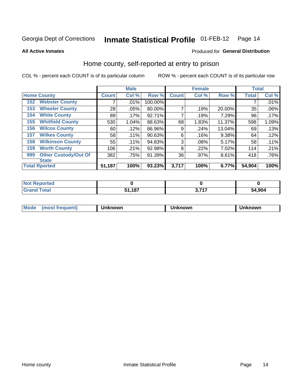#### **Inmate Statistical Profile 01-FEB-12** Page 14

**All Active Inmates** 

# Produced for General Distribution

# Home county, self-reported at entry to prison

COL % - percent each COUNT is of its particular column

|     |                             |              | <b>Male</b> |         |              | <b>Female</b> |        | <b>Total</b> |       |
|-----|-----------------------------|--------------|-------------|---------|--------------|---------------|--------|--------------|-------|
|     | <b>Home County</b>          | <b>Count</b> | Col %       | Row %   | <b>Count</b> | Col %         | Row %  | <b>Total</b> | Col % |
| 152 | <b>Webster County</b>       | 7            | .01%        | 100.00% |              |               |        |              | .01%  |
| 153 | <b>Wheeler County</b>       | 28           | .05%        | 80.00%  | 7            | .19%          | 20.00% | 35           | .06%  |
| 154 | <b>White County</b>         | 89           | .17%        | 92.71%  | 7            | .19%          | 7.29%  | 96           | .17%  |
| 155 | <b>Whitfield County</b>     | 530          | 1.04%       | 88.63%  | 68           | 1.83%         | 11.37% | 598          | 1.09% |
| 156 | <b>Wilcox County</b>        | 60           | .12%        | 86.96%  | 9            | .24%          | 13.04% | 69           | .13%  |
| 157 | <b>Wilkes County</b>        | 58           | .11%        | 90.63%  | 6            | .16%          | 9.38%  | 64           | .12%  |
| 158 | <b>Wilkinson County</b>     | 55           | .11%        | 94.83%  | 3            | .08%          | 5.17%  | 58           | .11%  |
| 159 | <b>Worth County</b>         | 106          | .21%        | 92.98%  | 8            | .22%          | 7.02%  | 114          | .21%  |
| 999 | <b>Other Custody/Out Of</b> | 382          | .75%        | 91.39%  | 36           | .97%          | 8.61%  | 418          | .76%  |
|     | <b>State</b>                |              |             |         |              |               |        |              |       |
|     | <b>Total Rported</b>        | 51,187       | 100%        | 93.23%  | 3,717        | 100%          | 6.77%  | 54,904       | 100%  |

| τeσ |                    |          |        |
|-----|--------------------|----------|--------|
|     | 107<br>E4<br>-<br> | ライフ<br>. | 54.904 |

| Mode<br><b>Tequent)</b><br>ns | nown | mown | เทown |
|-------------------------------|------|------|-------|
|                               |      |      |       |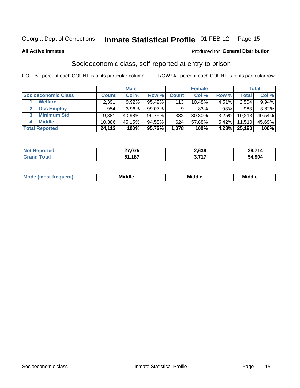#### **Inmate Statistical Profile 01-FEB-12** Page 15

**All Active Inmates** 

### **Produced for General Distribution**

# Socioeconomic class, self-reported at entry to prison

COL % - percent each COUNT is of its particular column

|                       |              | <b>Male</b> |        |              | <b>Female</b> |          |        | <b>Total</b> |
|-----------------------|--------------|-------------|--------|--------------|---------------|----------|--------|--------------|
| Socioeconomic Class   | <b>Count</b> | Col %       | Row %  | <b>Count</b> | Col %         | Row %    | Total  | Col %        |
| <b>Welfare</b>        | 2,391        | 9.92%       | 95.49% | 113          | 10.48%        | 4.51%    | 2,504  | 9.94%        |
| <b>Occ Employ</b>     | 954          | 3.96%       | 99.07% | 9            | .83%          | .93%     | 963    | 3.82%        |
| <b>Minimum Std</b>    | 9,881        | 40.98%      | 96.75% | 332          | 30.80%        | $3.25\%$ | 10,213 | 40.54%       |
| <b>Middle</b><br>4    | 10,886       | 45.15%      | 94.58% | 624          | 57.88%        | $5.42\%$ | 11,510 | 45.69%       |
| <b>Total Reported</b> | 24,112       | 100%        | 95.72% | 1,078        | 100%          | 4.28%    | 25,190 | 100%         |

| <b>orted</b><br>-NO1<br>≺eno | 27,075          | 2,639 | 741<br>າດ |
|------------------------------|-----------------|-------|-----------|
| $T$ otol                     | 51 197<br>1 V I | 747   | 54.904    |

| Mo<br>'dle<br>Middle<br>Mid<br><b>Middle</b><br>____<br>____<br>___ |
|---------------------------------------------------------------------|
|---------------------------------------------------------------------|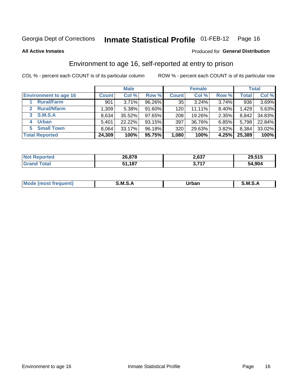# Inmate Statistical Profile 01-FEB-12 Page 16

**All Active Inmates** 

### Produced for General Distribution

# Environment to age 16, self-reported at entry to prison

COL % - percent each COUNT is of its particular column

|                                    |              | <b>Male</b> |           |              | <b>Female</b> |          |              | <b>Total</b> |
|------------------------------------|--------------|-------------|-----------|--------------|---------------|----------|--------------|--------------|
| <b>Environment to age 16</b>       | <b>Count</b> | Col %       | Row %     | <b>Count</b> | Col %         | Row %    | <b>Total</b> | Col %        |
| <b>Rural/Farm</b>                  | 901          | 3.71%       | 96.26%    | 35           | $3.24\%$      | 3.74%    | 936          | 3.69%        |
| <b>Rural/Nfarm</b><br>$\mathbf{2}$ | 1,309        | 5.38%       | 91.60%    | 120          | 11.11%        | 8.40%    | 1.429        | 5.63%        |
| <b>S.M.S.A</b><br>3                | 8,634        | 35.52%      | $97.65\%$ | 208          | 19.26%        | $2.35\%$ | 8,842        | 34.83%       |
| <b>Urban</b><br>4                  | 5,401        | 22.22%      | 93.15%    | 397          | 36.76%        | $6.85\%$ | 5,798        | 22.84%       |
| <b>Small Town</b><br>5.            | 8,064        | 33.17%      | 96.18%    | 320          | 29.63%        | 3.82%    | 8,384        | 33.02%       |
| <b>Total Reported</b>              | 24,309       | 100%        | 95.75%    | 1,080        | 100%          | 4.25%    | 25,389       | 100%         |

| <b>Not Reported</b> | 26,878 | 2,637 | 29,515 |
|---------------------|--------|-------|--------|
| <b>Grand Total</b>  | 51,187 | っっっ   | 54,904 |

| Mo | M<br>______ | Irhan<br>rva<br>______ | M<br>______ |
|----|-------------|------------------------|-------------|
|    |             |                        |             |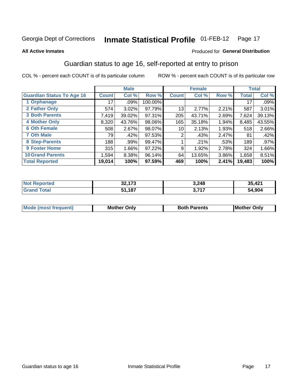#### **Inmate Statistical Profile 01-FEB-12** Page 17

### **All Active Inmates**

### Produced for General Distribution

# Guardian status to age 16, self-reported at entry to prison

COL % - percent each COUNT is of its particular column

|                                  |                 | <b>Male</b> |         |              | <b>Female</b> |       |        | <b>Total</b> |
|----------------------------------|-----------------|-------------|---------|--------------|---------------|-------|--------|--------------|
| <b>Guardian Status To Age 16</b> | <b>Count</b>    | Col %       | Row %   | <b>Count</b> | Col %         | Row % | Total  | Col %        |
| 1 Orphanage                      | 17 <sup>1</sup> | $.09\%$     | 100.00% |              |               |       | 17     | .09%         |
| 2 Father Only                    | 574             | 3.02%       | 97.79%  | 13           | 2.77%         | 2.21% | 587    | 3.01%        |
| <b>3 Both Parents</b>            | 7,419           | 39.02%      | 97.31%  | 205          | 43.71%        | 2.69% | 7,624  | 39.13%       |
| <b>4 Mother Only</b>             | 8,320           | 43.76%      | 98.06%  | 165          | 35.18%        | 1.94% | 8,485  | 43.55%       |
| <b>6 Oth Female</b>              | 508             | 2.67%       | 98.07%  | 10           | 2.13%         | 1.93% | 518    | 2.66%        |
| <b>7 Oth Male</b>                | 79              | .42%        | 97.53%  | 2            | .43%          | 2.47% | 81     | .42%         |
| 8 Step-Parents                   | 188             | .99%        | 99.47%  |              | .21%          | .53%  | 189    | $.97\%$      |
| 9 Foster Home                    | 315             | 1.66%       | 97.22%  | 9            | 1.92%         | 2.78% | 324    | 1.66%        |
| <b>10 Grand Parents</b>          | 1,594           | 8.38%       | 96.14%  | 64           | 13.65%        | 3.86% | 1,658  | 8.51%        |
| <b>Total Reported</b>            | 19,014          | 100%        | 97.59%  | 469          | 100%          | 2.41% | 19,483 | 100%         |

| <b>ortea</b><br>NOT        | so 170<br>JZ.I | 3,248 | $\Lambda$<br>35.<br>∴4∠. |
|----------------------------|----------------|-------|--------------------------|
| <sup>-</sup> otal<br>. Grr | 1,187خ         | , 747 | 54,904                   |

| Mode | วทIv<br>Mot | <b>Both Parents</b><br>Parents | lM.<br>Only<br>. |
|------|-------------|--------------------------------|------------------|
|      |             |                                |                  |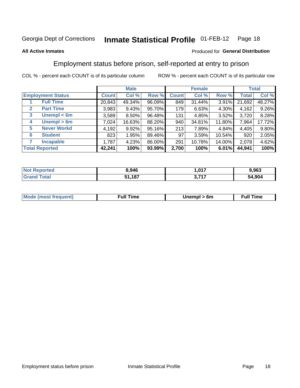#### Inmate Statistical Profile 01-FEB-12 Page 18

### **All Active Inmates**

# Produced for General Distribution

# Employment status before prison, self-reported at entry to prison

COL % - percent each COUNT is of its particular column

|                                  |              | <b>Male</b> |        |              | <b>Female</b> |          |              | <b>Total</b> |
|----------------------------------|--------------|-------------|--------|--------------|---------------|----------|--------------|--------------|
| <b>Employment Status</b>         | <b>Count</b> | Col %       | Row %  | <b>Count</b> | Col %         | Row %    | <b>Total</b> | Col %        |
| <b>Full Time</b>                 | 20,843       | 49.34%      | 96.09% | 849          | 31.44%        | 3.91%    | 21,692       | 48.27%       |
| <b>Part Time</b><br>$\mathbf{2}$ | 3,983        | 9.43%       | 95.70% | 179          | 6.63%         | 4.30%    | 4,162        | 9.26%        |
| Unempl $<$ 6m<br>3               | 3,589        | 8.50%       | 96.48% | 131          | 4.85%         | $3.52\%$ | 3,720        | 8.28%        |
| Unempl > 6m<br>4                 | 7,024        | 16.63%      | 88.20% | 940          | 34.81%        | 11.80%   | 7,964        | 17.72%       |
| <b>Never Workd</b><br>5          | 4,192        | 9.92%       | 95.16% | 213          | 7.89%         | 4.84%    | 4,405        | 9.80%        |
| <b>Student</b><br>6              | 823          | 1.95%       | 89.46% | 97           | 3.59%         | 10.54%   | 920          | 2.05%        |
| <b>Incapable</b>                 | 1,787        | 4.23%       | 86.00% | 291          | 10.78%        | 14.00%   | 2,078        | 4.62%        |
| <b>Total Reported</b>            | 42,241       | 100%        | 93.99% | 2,700        | 100%          | 6.01%    | 44,941       | 100%         |

| rteo<br>NO          | 3.946 | .017<br>. | 9,963  |
|---------------------|-------|-----------|--------|
| $T \sim$ fol $\sim$ | ,187  | דול כ     | 54,904 |

| <b>Mode (most frequent)</b> | full " | 6m | ïme<br>้นเ<br>the contract of the contract of the contract of the contract of the contract of the contract of the contract of |
|-----------------------------|--------|----|-------------------------------------------------------------------------------------------------------------------------------|
|                             |        |    |                                                                                                                               |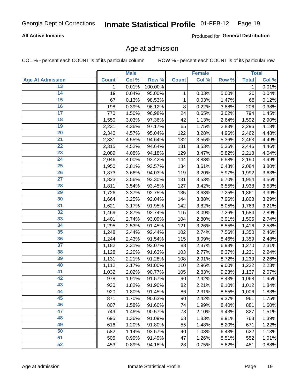# **All Active Inmates**

Produced for General Distribution

# Age at admission

COL % - percent each COUNT is of its particular column

|                         |              | <b>Male</b> |         |              | <b>Female</b> |       |              | <b>Total</b> |
|-------------------------|--------------|-------------|---------|--------------|---------------|-------|--------------|--------------|
| <b>Age At Admission</b> | <b>Count</b> | Col %       | Row %   | <b>Count</b> | Col %         | Row % | <b>Total</b> | Col %        |
| 13                      | 1            | 0.01%       | 100.00% |              |               |       | 1            | 0.01%        |
| 14                      | 19           | 0.04%       | 95.00%  | 1            | 0.03%         | 5.00% | 20           | 0.04%        |
| $\overline{15}$         | 67           | 0.13%       | 98.53%  | $\mathbf{1}$ | 0.03%         | 1.47% | 68           | 0.12%        |
| 16                      | 198          | 0.39%       | 96.12%  | 8            | 0.22%         | 3.88% | 206          | 0.38%        |
| $\overline{17}$         | 770          | 1.50%       | 96.98%  | 24           | 0.65%         | 3.02% | 794          | 1.45%        |
| 18                      | 1,550        | 3.03%       | 97.36%  | 42           | 1.13%         | 2.64% | 1,592        | 2.90%        |
| 19                      | 2,231        | 4.36%       | 97.17%  | 65           | 1.75%         | 2.83% | 2,296        | 4.18%        |
| 20                      | 2,340        | 4.57%       | 95.04%  | 122          | 3.28%         | 4.96% | 2,462        | 4.48%        |
| $\overline{21}$         | 2,331        | 4.55%       | 94.64%  | 132          | 3.55%         | 5.36% | 2,463        | 4.49%        |
| $\overline{22}$         | 2,315        | 4.52%       | 94.64%  | 131          | 3.53%         | 5.36% | 2,446        | 4.46%        |
| 23                      | 2,089        | 4.08%       | 94.18%  | 129          | 3.47%         | 5.82% | 2,218        | 4.04%        |
| 24                      | 2,046        | 4.00%       | 93.42%  | 144          | 3.88%         | 6.58% | 2,190        | 3.99%        |
| $\overline{25}$         | 1,950        | 3.81%       | 93.57%  | 134          | 3.61%         | 6.43% | 2,084        | 3.80%        |
| 26                      | 1,873        | 3.66%       | 94.03%  | 119          | 3.20%         | 5.97% | 1,992        | 3.63%        |
| $\overline{27}$         | 1,823        | 3.56%       | 93.30%  | 131          | 3.53%         | 6.70% | 1,954        | 3.56%        |
| 28                      | 1,811        | 3.54%       | 93.45%  | 127          | 3.42%         | 6.55% | 1,938        | 3.53%        |
| 29                      | 1,726        | 3.37%       | 92.75%  | 135          | 3.63%         | 7.25% | 1,861        | 3.39%        |
| 30                      | 1,664        | 3.25%       | 92.04%  | 144          | 3.88%         | 7.96% | 1,808        | 3.29%        |
| 31                      | 1,621        | 3.17%       | 91.95%  | 142          | 3.82%         | 8.05% | 1,763        | 3.21%        |
| 32                      | 1,469        | 2.87%       | 92.74%  | 115          | 3.09%         | 7.26% | 1,584        | 2.89%        |
| 33                      | 1,401        | 2.74%       | 93.09%  | 104          | 2.80%         | 6.91% | 1,505        | 2.74%        |
| 34                      | 1,295        | 2.53%       | 91.45%  | 121          | 3.26%         | 8.55% | 1,416        | 2.58%        |
| 35                      | 1,248        | 2.44%       | 92.44%  | 102          | 2.74%         | 7.56% | 1,350        | 2.46%        |
| 36                      | 1,244        | 2.43%       | 91.54%  | 115          | 3.09%         | 8.46% | 1,359        | 2.48%        |
| 37                      | 1,182        | 2.31%       | 93.07%  | 88           | 2.37%         | 6.93% | 1,270        | 2.31%        |
| 38                      | 1,128        | 2.20%       | 91.63%  | 103          | 2.77%         | 8.37% | 1,231        | 2.24%        |
| 39                      | 1,131        | 2.21%       | 91.28%  | 108          | 2.91%         | 8.72% | 1,239        | 2.26%        |
| 40                      | 1,112        | 2.17%       | 91.00%  | 110          | 2.96%         | 9.00% | 1,222        | 2.23%        |
| 41                      | 1,032        | 2.02%       | 90.77%  | 105          | 2.83%         | 9.23% | 1,137        | 2.07%        |
| 42                      | 978          | 1.91%       | 91.57%  | 90           | 2.42%         | 8.43% | 1,068        | 1.95%        |
| 43                      | 930          | 1.82%       | 91.90%  | 82           | 2.21%         | 8.10% | 1,012        | 1.84%        |
| 44                      | 920          | 1.80%       | 91.45%  | 86           | 2.31%         | 8.55% | 1,006        | 1.83%        |
| 45                      | 871          | 1.70%       | 90.63%  | 90           | 2.42%         | 9.37% | 961          | 1.75%        |
| 46                      | 807          | 1.58%       | 91.60%  | 74           | 1.99%         | 8.40% | 881          | 1.60%        |
| 47                      | 749          | 1.46%       | 90.57%  | 78           | 2.10%         | 9.43% | 827          | 1.51%        |
| 48                      | 695          | 1.36%       | 91.09%  | 68           | 1.83%         | 8.91% | 763          | 1.39%        |
| 49                      | 616          | 1.20%       | 91.80%  | 55           | 1.48%         | 8.20% | 671          | 1.22%        |
| 50                      | 582          | 1.14%       | 93.57%  | 40           | 1.08%         | 6.43% | 622          | 1.13%        |
| 51                      | 505          | 0.99%       | 91.49%  | 47           | 1.26%         | 8.51% | 552          | 1.01%        |
| 52                      | 453          | 0.89%       | 94.18%  | 28           | 0.75%         | 5.82% | 481          | 0.88%        |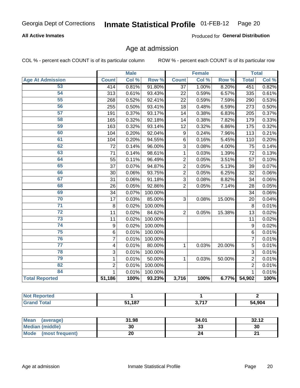# **All Active Inmates**

Produced for General Distribution

# Age at admission

COL % - percent each COUNT is of its particular column

|                         | <b>Male</b>    |       | <b>Female</b> |                |       | <b>Total</b> |                |       |
|-------------------------|----------------|-------|---------------|----------------|-------|--------------|----------------|-------|
| <b>Age At Admission</b> | <b>Count</b>   | Col % | Row %         | <b>Count</b>   | Col % | Row %        | <b>Total</b>   | Col % |
| 53                      | 414            | 0.81% | 91.80%        | 37             | 1.00% | 8.20%        | 451            | 0.82% |
| 54                      | 313            | 0.61% | 93.43%        | 22             | 0.59% | 6.57%        | 335            | 0.61% |
| 55                      | 268            | 0.52% | 92.41%        | 22             | 0.59% | 7.59%        | 290            | 0.53% |
| 56                      | 255            | 0.50% | 93.41%        | 18             | 0.48% | 6.59%        | 273            | 0.50% |
| 57                      | 191            | 0.37% | 93.17%        | 14             | 0.38% | 6.83%        | 205            | 0.37% |
| 58                      | 165            | 0.32% | 92.18%        | 14             | 0.38% | 7.82%        | 179            | 0.33% |
| 59                      | 163            | 0.32% | 93.14%        | 12             | 0.32% | 6.86%        | 175            | 0.32% |
| 60                      | 104            | 0.20% | 92.04%        | 9              | 0.24% | 7.96%        | 113            | 0.21% |
| 61                      | 104            | 0.20% | 94.55%        | 6              | 0.16% | 5.45%        | 110            | 0.20% |
| 62                      | 72             | 0.14% | 96.00%        | 3              | 0.08% | 4.00%        | 75             | 0.14% |
| 63                      | 71             | 0.14% | 98.61%        | 1              | 0.03% | 1.39%        | 72             | 0.13% |
| 64                      | 55             | 0.11% | 96.49%        | $\overline{2}$ | 0.05% | 3.51%        | 57             | 0.10% |
| 65                      | 37             | 0.07% | 94.87%        | $\overline{2}$ | 0.05% | 5.13%        | 39             | 0.07% |
| 66                      | 30             | 0.06% | 93.75%        | $\overline{2}$ | 0.05% | 6.25%        | 32             | 0.06% |
| 67                      | 31             | 0.06% | 91.18%        | $\overline{3}$ | 0.08% | 8.82%        | 34             | 0.06% |
| 68                      | 26             | 0.05% | 92.86%        | $\overline{2}$ | 0.05% | 7.14%        | 28             | 0.05% |
| 69                      | 34             | 0.07% | 100.00%       |                |       |              | 34             | 0.06% |
| 70                      | 17             | 0.03% | 85.00%        | 3              | 0.08% | 15.00%       | 20             | 0.04% |
| $\overline{71}$         | $\bf 8$        | 0.02% | 100.00%       |                |       |              | 8              | 0.01% |
| $\overline{72}$         | 11             | 0.02% | 84.62%        | $\overline{2}$ | 0.05% | 15.38%       | 13             | 0.02% |
| $\overline{73}$         | 11             | 0.02% | 100.00%       |                |       |              | 11             | 0.02% |
| 74                      | 9              | 0.02% | 100.00%       |                |       |              | $\mathsf g$    | 0.02% |
| $\overline{75}$         | 6              | 0.01% | 100.00%       |                |       |              | 6              | 0.01% |
| 76                      | $\overline{7}$ | 0.01% | 100.00%       |                |       |              | $\overline{7}$ | 0.01% |
| $\overline{77}$         | 4              | 0.01% | 80.00%        | 1              | 0.03% | 20.00%       | 5              | 0.01% |
| 78                      | $\overline{3}$ | 0.01% | 100.00%       |                |       |              | $\overline{3}$ | 0.01% |
| 79                      | $\mathbf{1}$   | 0.01% | 50.00%        | $\mathbf{1}$   | 0.03% | 50.00%       | $\overline{2}$ | 0.01% |
| 82                      | $\overline{2}$ | 0.01% | 100.00%       |                |       |              | $\overline{2}$ | 0.01% |
| 84                      | 1              | 0.01% | 100.00%       |                |       |              | 1              | 0.01% |
| <b>Total Reported</b>   | 51,186         | 100%  | 93.23%        | 3,716          | 100%  | 6.77%        | 54,902         | 100%  |

| norted<br><b>Not</b> |     |       |        |
|----------------------|-----|-------|--------|
| $\sim$ 10            | 407 | ヘ フィフ | 54,904 |

| Mean (average)         | 31.98 | 34.01   | 32.12  |
|------------------------|-------|---------|--------|
| <b>Median (middle)</b> | 30    | ົ<br>აა | 30     |
| Mode (most frequent)   | 20    |         | $\sim$ |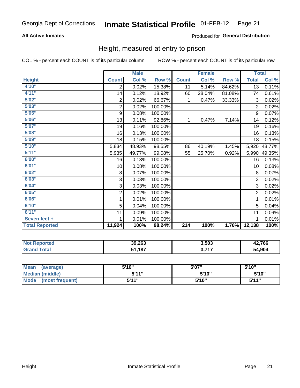# **All Active Inmates**

# Produced for General Distribution

# Height, measured at entry to prison

COL % - percent each COUNT is of its particular column

|                       | <b>Male</b>             |        |         | <b>Female</b>    |        |        | <b>Total</b>   |                            |
|-----------------------|-------------------------|--------|---------|------------------|--------|--------|----------------|----------------------------|
| <b>Height</b>         | <b>Count</b>            | Col %  | Row %   | <b>Count</b>     | Col %  | Row %  | <b>Total</b>   | $\overline{\text{Col }\%}$ |
| 4'10''                | 2                       | 0.02%  | 15.38%  | 11               | 5.14%  | 84.62% | 13             | 0.11%                      |
| 4'11''                | 14                      | 0.12%  | 18.92%  | 60               | 28.04% | 81.08% | 74             | 0.61%                      |
| 5'02''                | $\boldsymbol{2}$        | 0.02%  | 66.67%  | 1                | 0.47%  | 33.33% | 3              | 0.02%                      |
| 5'03''                | $\overline{\mathbf{c}}$ | 0.02%  | 100.00% |                  |        |        | $\overline{2}$ | 0.02%                      |
| 5'05''                | $\boldsymbol{9}$        | 0.08%  | 100.00% |                  |        |        | 9              | 0.07%                      |
| 5'06''                | 13                      | 0.11%  | 92.86%  | 1                | 0.47%  | 7.14%  | 14             | 0.12%                      |
| 5'07''                | 19                      | 0.16%  | 100.00% |                  |        |        | 19             | 0.16%                      |
| 5'08''                | 16                      | 0.13%  | 100.00% |                  |        |        | 16             | 0.13%                      |
| 5'09''                | 18                      | 0.15%  | 100.00% |                  |        |        | 18             | 0.15%                      |
| 5'10''                | 5,834                   | 48.93% | 98.55%  | 86               | 40.19% | 1.45%  | 5,920          | 48.77%                     |
| 5'11''                | 5,935                   | 49.77% | 99.08%  | 55               | 25.70% | 0.92%  | 5,990          | 49.35%                     |
| 6'00''                | 16                      | 0.13%  | 100.00% |                  |        |        | 16             | 0.13%                      |
| 6'01''                | 10                      | 0.08%  | 100.00% |                  |        |        | 10             | 0.08%                      |
| 6'02''                | 8                       | 0.07%  | 100.00% |                  |        |        | 8              | 0.07%                      |
| 6'03''                | 3                       | 0.03%  | 100.00% |                  |        |        | 3              | 0.02%                      |
| 6'04''                | 3                       | 0.03%  | 100.00% |                  |        |        | 3              | 0.02%                      |
| 6'05''                | $\overline{\mathbf{c}}$ | 0.02%  | 100.00% |                  |        |        | $\overline{2}$ | 0.02%                      |
| 6'06''                | 1                       | 0.01%  | 100.00% |                  |        |        | 1              | 0.01%                      |
| 6'10''                | 5                       | 0.04%  | 100.00% |                  |        |        | 5              | 0.04%                      |
| 6'11''                | 11                      | 0.09%  | 100.00% |                  |        |        | 11             | 0.09%                      |
| Seven feet +          | 1                       | 0.01%  | 100.00% |                  |        |        | 1              | 0.01%                      |
| <b>Total Reported</b> | 11,924                  | 100%   | 98.24%  | $\overline{214}$ | 100%   | 1.76%  | 12,138         | 100%                       |

| 'Noi<br><b>Reported</b> | 39,263 | 3,503        | 42,766 |
|-------------------------|--------|--------------|--------|
| ™otar                   | 51,187 | っ フィフ<br>. . | 54,904 |

| <b>Mean</b><br>(average) | 5'10" | 5'07" | 5'10"  |
|--------------------------|-------|-------|--------|
| Median (middle)          | 544"  | 5'10" | 5'10'' |
| Mode<br>(most frequent)  | 5'11" | 5'10" | 544"   |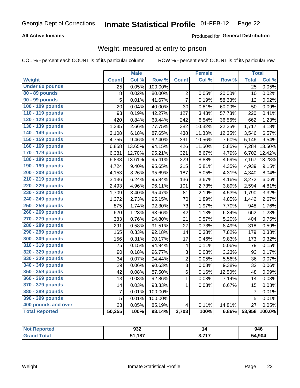# **All Active Inmates**

# Produced for General Distribution

# Weight, measured at entry to prison

COL % - percent each COUNT is of its particular column

|                        |                | <b>Male</b> |                  |                         | <b>Female</b> |        | <b>Total</b>   |        |
|------------------------|----------------|-------------|------------------|-------------------------|---------------|--------|----------------|--------|
| Weight                 | <b>Count</b>   | Col %       | Row <sup>%</sup> | <b>Count</b>            | Col %         | Row %  | <b>Total</b>   | Col %  |
| <b>Under 80 pounds</b> | 25             | 0.05%       | 100.00%          |                         |               |        | 25             | 0.05%  |
| 80 - 89 pounds         | 8              | 0.02%       | 80.00%           | $\overline{2}$          | 0.05%         | 20.00% | 10             | 0.02%  |
| 90 - 99 pounds         | 5              | 0.01%       | 41.67%           | $\overline{7}$          | 0.19%         | 58.33% | 12             | 0.02%  |
| 100 - 109 pounds       | 20             | 0.04%       | 40.00%           | 30                      | 0.81%         | 60.00% | 50             | 0.09%  |
| 110 - 119 pounds       | 93             | 0.19%       | 42.27%           | 127                     | 3.43%         | 57.73% | 220            | 0.41%  |
| 120 - 129 pounds       | 420            | 0.84%       | 63.44%           | 242                     | 6.54%         | 36.56% | 662            | 1.23%  |
| 130 - 139 pounds       | 1,335          | 2.66%       | 77.75%           | 382                     | 10.32%        | 22.25% | 1,717          | 3.18%  |
| 140 - 149 pounds       | 3,108          | 6.18%       | 87.65%           | 438                     | 11.83%        | 12.35% | 3,546          | 6.57%  |
| 150 - 159 pounds       | 4,755          | 9.46%       | 92.40%           | 391                     | 10.56%        | 7.60%  | 5,146          | 9.54%  |
| 160 - 169 pounds       | 6,858          | 13.65%      | 94.15%           | 426                     | 11.50%        | 5.85%  | 7,284          | 13.50% |
| 170 - 179 pounds       | 6,381          | 12.70%      | 95.21%           | 321                     | 8.67%         | 4.79%  | 6,702          | 12.42% |
| 180 - 189 pounds       | 6,838          | 13.61%      | 95.41%           | 329                     | 8.88%         | 4.59%  | 7,167          | 13.28% |
| 190 - 199 pounds       | 4,724          | 9.40%       | 95.65%           | 215                     | 5.81%         | 4.35%  | 4,939          | 9.15%  |
| 200 - 209 pounds       | 4,153          | 8.26%       | 95.69%           | 187                     | 5.05%         | 4.31%  | 4,340          | 8.04%  |
| 210 - 219 pounds       | 3,136          | 6.24%       | 95.84%           | 136                     | 3.67%         | 4.16%  | 3,272          | 6.06%  |
| 220 - 229 pounds       | 2,493          | 4.96%       | 96.11%           | 101                     | 2.73%         | 3.89%  | 2,594          | 4.81%  |
| 230 - 239 pounds       | 1,709          | 3.40%       | 95.47%           | 81                      | 2.19%         | 4.53%  | 1,790          | 3.32%  |
| 240 - 249 pounds       | 1,372          | 2.73%       | 95.15%           | 70                      | 1.89%         | 4.85%  | 1,442          | 2.67%  |
| 250 - 259 pounds       | 875            | 1.74%       | 92.30%           | 73                      | 1.97%         | 7.70%  | 948            | 1.76%  |
| 260 - 269 pounds       | 620            | 1.23%       | 93.66%           | 42                      | 1.13%         | 6.34%  | 662            | 1.23%  |
| 270 - 279 pounds       | 383            | 0.76%       | 94.80%           | 21                      | 0.57%         | 5.20%  | 404            | 0.75%  |
| 280 - 289 pounds       | 291            | 0.58%       | 91.51%           | 27                      | 0.73%         | 8.49%  | 318            | 0.59%  |
| 290 - 299 pounds       | 165            | 0.33%       | 92.18%           | 14                      | 0.38%         | 7.82%  | 179            | 0.33%  |
| 300 - 309 pounds       | 156            | 0.31%       | 90.17%           | 17                      | 0.46%         | 9.83%  | 173            | 0.32%  |
| 310 - 319 pounds       | 75             | 0.15%       | 94.94%           | $\overline{\mathbf{4}}$ | 0.11%         | 5.06%  | 79             | 0.15%  |
| 320 - 329 pounds       | 90             | 0.18%       | 96.77%           | $\overline{3}$          | 0.08%         | 3.23%  | 93             | 0.17%  |
| 330 - 339 pounds       | 34             | 0.07%       | 94.44%           | $\overline{2}$          | 0.05%         | 5.56%  | 36             | 0.07%  |
| 340 - 349 pounds       | 29             | 0.06%       | 90.63%           | 3                       | 0.08%         | 9.38%  | 32             | 0.06%  |
| 350 - 359 pounds       | 42             | 0.08%       | 87.50%           | 6                       | 0.16%         | 12.50% | 48             | 0.09%  |
| 360 - 369 pounds       | 13             | 0.03%       | 92.86%           | $\mathbf 1$             | 0.03%         | 7.14%  | 14             | 0.03%  |
| 370 - 379 pounds       | 14             | 0.03%       | 93.33%           | $\mathbf{1}$            | 0.03%         | 6.67%  | 15             | 0.03%  |
| 380 - 389 pounds       | $\overline{7}$ | 0.01%       | 100.00%          |                         |               |        | $\overline{7}$ | 0.01%  |
| 390 - 399 pounds       | 5              | 0.01%       | 100.00%          |                         |               |        | 5              | 0.01%  |
| 400 pounds and over    | 23             | 0.05%       | 85.19%           | $\overline{\mathbf{4}}$ | 0.11%         | 14.81% | 27             | 0.05%  |
| <b>Total Reported</b>  | 50,255         | 100%        | 93.14%           | 3,703                   | 100%          | 6.86%  | 53,958         | 100.0% |

| Reported<br><b>NOT</b> | ດາາ<br>ઝ১∠    |       | 946    |
|------------------------|---------------|-------|--------|
| <b>Total</b><br>'Grai  | 1,187ه<br>CA. | っ フィフ | 54,904 |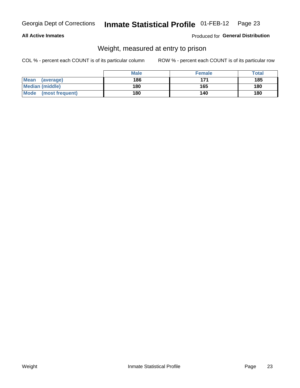### **All Active Inmates**

# Produced for General Distribution

# Weight, measured at entry to prison

COL % - percent each COUNT is of its particular column

|                          | <b>Male</b> | <b>Female</b> | Total |
|--------------------------|-------------|---------------|-------|
| <b>Mean</b><br>(average) | 186         | 171           | 185   |
| <b>Median (middle)</b>   | 180         | 165           | 180   |
| Mode<br>(most frequent)  | 180         | 140           | 180   |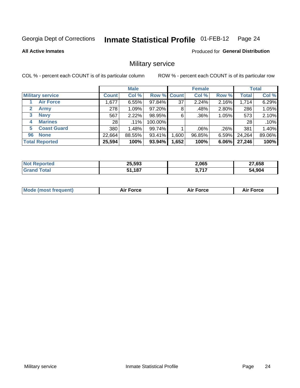#### **Inmate Statistical Profile 01-FEB-12** Page 24

### **All Active Inmates**

Produced for General Distribution

# Military service

COL % - percent each COUNT is of its particular column

|                          | <b>Male</b>  |         |             | <b>Female</b> |         |          | <b>Total</b> |        |
|--------------------------|--------------|---------|-------------|---------------|---------|----------|--------------|--------|
| <b>Military service</b>  | <b>Count</b> | Col %   | Row % Count |               | Col %   | Row %    | <b>Total</b> | Col %  |
| <b>Air Force</b>         | .677         | 6.55%   | 97.84%      | 37            | 2.24%   | 2.16%    | 1,714        | 6.29%  |
| $\mathbf{2}$<br>Army     | 278          | 1.09%   | 97.20%      | 8             | .48%    | 2.80%    | 286          | 1.05%  |
| <b>Navy</b><br>3         | 567          | 2.22%   | 98.95%      | 6             | .36%    | 1.05%    | 573          | 2.10%  |
| <b>Marines</b><br>4      | 28           | $.11\%$ | 100.00%     |               |         |          | 28           | .10%   |
| <b>Coast Guard</b><br>5. | 380          | 1.48%   | 99.74%      |               | $.06\%$ | .26%     | 381          | 1.40%  |
| <b>None</b><br>96        | 22,664       | 88.55%  | 93.41%      | .600          | 96.85%  | $6.59\%$ | 24,264       | 89.06% |
| <b>Total Reported</b>    | 25,594       | 100%    | 93.94%      | 1,652         | 100%    | 6.06%    | 27,246       | 100%   |

| orted<br>N           | 25,593<br>__ | 2,065 | 27,658 |
|----------------------|--------------|-------|--------|
| <b>otal</b><br>⊺Gra∟ | ,187<br>EA.  | ヘ フィフ | 54.904 |

| Mode (most frequent) | Force | <b>Force</b> | <b>orce</b> |
|----------------------|-------|--------------|-------------|
|                      |       |              |             |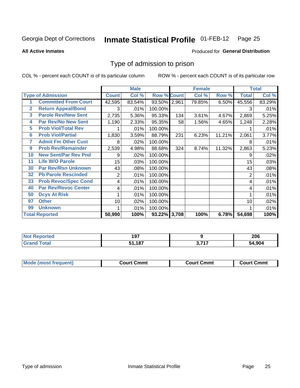#### **Inmate Statistical Profile 01-FEB-12** Page 25

### **All Active Inmates**

# Produced for General Distribution

# Type of admission to prison

COL % - percent each COUNT is of its particular column

|                |                             |                | <b>Male</b> |                    |     | <b>Female</b> |        | <b>Total</b> |        |
|----------------|-----------------------------|----------------|-------------|--------------------|-----|---------------|--------|--------------|--------|
|                | <b>Type of Admission</b>    | <b>Count</b>   | Col %       | <b>Row % Count</b> |     | Col %         | Row %  | <b>Total</b> | Col %  |
| 1              | <b>Committed From Court</b> | 42,595         | 83.54%      | 93.50% 2,961       |     | 79.85%        | 6.50%  | 45,556       | 83.29% |
| $\overline{2}$ | <b>Return Appeal/Bond</b>   | 3              | .01%        | 100.00%            |     |               |        | 3            | .01%   |
| 3              | <b>Parole Rev/New Sent</b>  | 2,735          | 5.36%       | 95.33%             | 134 | 3.61%         | 4.67%  | 2,869        | 5.25%  |
| 4              | <b>Par Rev/No New Sent</b>  | 1,190          | 2.33%       | 95.35%             | 58  | 1.56%         | 4.65%  | 1,248        | 2.28%  |
| 5              | <b>Prob Viol/Total Rev</b>  |                | .01%        | 100.00%            |     |               |        |              | .01%   |
| 6              | <b>Prob Viol/Partial</b>    | 1,830          | 3.59%       | 88.79%             | 231 | 6.23%         | 11.21% | 2,061        | 3.77%  |
| 7              | <b>Admit Fm Other Cust</b>  | 8              | .02%        | 100.00%            |     |               |        | 8            | .01%   |
| 9              | <b>Prob Rev/Remainder</b>   | 2,539          | 4.98%       | 88.68%             | 324 | 8.74%         | 11.32% | 2,863        | 5.23%  |
| 10             | <b>New Sent/Par Rev Pnd</b> | 9              | .02%        | 100.00%            |     |               |        | 9            | .02%   |
| 11             | <b>Life W/O Parole</b>      | 15             | .03%        | 100.00%            |     |               |        | 15           | .03%   |
| 30             | <b>Par Rev/Rsn Unknown</b>  | 43             | .08%        | 100.00%            |     |               |        | 43           | .08%   |
| 32             | <b>Pb Parole Rescinded</b>  | $\overline{2}$ | .01%        | 100.00%            |     |               |        | 2            | .01%   |
| 33             | <b>Prob Revoc/Spec Cond</b> | 4              | .01%        | 100.00%            |     |               |        | 4            | .01%   |
| 40             | Par Rev/Revoc Center        | 4              | .01%        | 100.00%            |     |               |        | 4            | .01%   |
| 50             | <b>Dcys At Risk</b>         |                | .01%        | 100.00%            |     |               |        |              | .01%   |
| 97             | <b>Other</b>                | 10             | .02%        | 100.00%            |     |               |        | 10           | .02%   |
| 99             | <b>Unknown</b>              |                | .01%        | 100.00%            |     |               |        |              | .01%   |
|                | <b>Total Reported</b>       | 50,990         | 100%        | 93.22% 3,708       |     | 100%          | 6.78%  | 54,698       | 100%   |

| N <sub>of</sub><br><b>Reported</b> | 197    |             | 206    |
|------------------------------------|--------|-------------|--------|
| ™otai<br>'Grand                    | 51,187 | <b>0747</b> | 54,904 |

| <b>Mode (most frequent)</b> | Court Cmmt | <b>Court Cmmt</b> | Court Cmmt |
|-----------------------------|------------|-------------------|------------|
|                             |            |                   |            |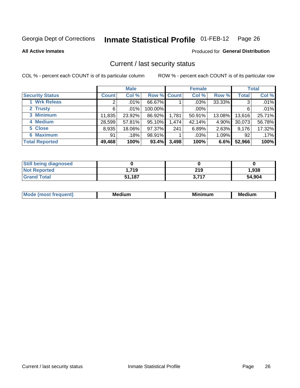#### **Inmate Statistical Profile 01-FEB-12** Page 26

**All Active Inmates** 

### Produced for General Distribution

# Current / last security status

COL % - percent each COUNT is of its particular column

|                        |                       | <b>Male</b> |             |       | <b>Female</b> |        |              | <b>Total</b> |
|------------------------|-----------------------|-------------|-------------|-------|---------------|--------|--------------|--------------|
| <b>Security Status</b> | <b>Count</b>          | Col %       | Row % Count |       | Col %         | Row %  | <b>Total</b> | Col %        |
| <b>Wrk Releas</b>      | $\mathbf{2}^{\prime}$ | $.01\%$     | 66.67%      |       | $.03\%$       | 33.33% | 3            | .01%         |
| 2 Trusty               | 6                     | $.01\%$     | 100.00%     |       | $.00\%$       |        | 6            | .01%         |
| 3 Minimum              | 11,835                | 23.92%      | 86.92%      | 1,781 | 50.91%        | 13.08% | 13,616       | 25.71%       |
| 4 Medium               | 28,599                | 57.81%      | 95.10%      | 1,474 | 42.14%        | 4.90%  | 30,073       | 56.78%       |
| 5 Close                | 8,935                 | 18.06%      | 97.37%      | 241   | 6.89%         | 2.63%  | 9,176        | 17.32%       |
| <b>6 Maximum</b>       | 91                    | .18%        | 98.91%      |       | .03%          | 1.09%  | 92           | .17%         |
| <b>Total Reported</b>  | 49,468                | 100%        | 93.4%       | 3,498 | 100%          | 6.6%   | 52,966       | 100%         |

| <b>Still being diagnosed</b> |        |       |        |
|------------------------------|--------|-------|--------|
| <b>Not Reported</b>          | .719،  | 219   | 1,938  |
| <b>Grand Total</b>           | 51,187 | 3,717 | 54,904 |

| M | NЛ<br><br>dilim<br>_____ | ---<br>-- | . .<br>Medium<br>Me |
|---|--------------------------|-----------|---------------------|
|   |                          |           |                     |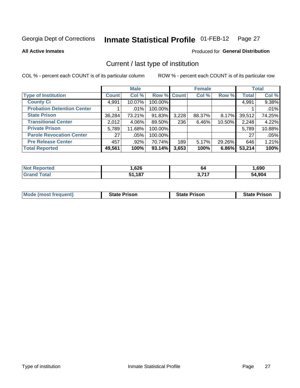#### Inmate Statistical Profile 01-FEB-12 Page 27

**All Active Inmates** 

### Produced for General Distribution

# Current / last type of institution

COL % - percent each COUNT is of its particular column

|                                   |                 | <b>Male</b> |                    |       | <b>Female</b> |        |              | <b>Total</b> |
|-----------------------------------|-----------------|-------------|--------------------|-------|---------------|--------|--------------|--------------|
| <b>Type of Institution</b>        | <b>Count</b>    | Col %       | <b>Row % Count</b> |       | Col %         | Row %  | <b>Total</b> | Col %        |
| <b>County Ci</b>                  | 4,991           | 10.07%      | 100.00%            |       |               |        | 4,991        | 9.38%        |
| <b>Probation Detention Center</b> |                 | $.01\%$     | 100.00%            |       |               |        |              | .01%         |
| <b>State Prison</b>               | 36,284          | 73.21%      | 91.83%             | 3,228 | 88.37%        | 8.17%  | 39,512       | 74.25%       |
| <b>Transitional Center</b>        | 2,012           | 4.06%       | 89.50%             | 236   | 6.46%         | 10.50% | 2,248        | 4.22%        |
| <b>Private Prison</b>             | 5,789           | 11.68%      | 100.00%            |       |               |        | 5,789        | 10.88%       |
| <b>Parole Revocation Center</b>   | 27 <sup>1</sup> | .05%        | 100.00%            |       |               |        | 27           | .05%         |
| <b>Pre Release Center</b>         | 457             | $.92\%$     | 70.74%             | 189   | 5.17%         | 29.26% | 646          | 1.21%        |
| <b>Total Reported</b>             | 49,561          | 100%        | 93.14%             | 3,653 | 100%          | 6.86%  | 53,214       | 100%         |

| <b>Reported</b> | ,626              | 64    | .690  |
|-----------------|-------------------|-------|-------|
| otal            | 407<br>C 4<br>ıu. | דול כ | 904.ا |

| <b>Mode (most frequent)</b> | <b>State Prison</b> | <b>State Prison</b> | <b>State Prison</b> |
|-----------------------------|---------------------|---------------------|---------------------|
|                             |                     |                     |                     |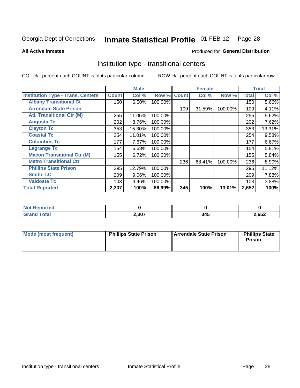#### Inmate Statistical Profile 01-FEB-12 Page 28

**Produced for General Distribution** 

### **All Active Inmates**

# Institution type - transitional centers

COL % - percent each COUNT is of its particular column

|                                          |              | <b>Male</b> |         |              | <b>Female</b> |         |              | <b>Total</b> |
|------------------------------------------|--------------|-------------|---------|--------------|---------------|---------|--------------|--------------|
| <b>Institution Type - Trans. Centers</b> | <b>Count</b> | Col %       | Row %   | <b>Count</b> | Col %         | Row %   | <b>Total</b> | Col %        |
| <b>Albany Transitional Ct</b>            | 150          | 6.50%       | 100.00% |              |               |         | 150          | 5.66%        |
| <b>Arrendale State Prison</b>            |              |             |         | 109          | 31.59%        | 100.00% | 109          | 4.11%        |
| <b>Atl. Transitional Ctr (M)</b>         | 255          | 11.05%      | 100.00% |              |               |         | 255          | 9.62%        |
| <b>Augusta Tc</b>                        | 202          | 8.76%       | 100.00% |              |               |         | 202          | 7.62%        |
| <b>Clayton Tc</b>                        | 353          | 15.30%      | 100.00% |              |               |         | 353          | 13.31%       |
| <b>Coastal Tc</b>                        | 254          | 11.01%      | 100.00% |              |               |         | 254          | 9.58%        |
| <b>Columbus Tc</b>                       | 177          | 7.67%       | 100.00% |              |               |         | 177          | 6.67%        |
| <b>Lagrange Tc</b>                       | 154          | 6.68%       | 100.00% |              |               |         | 154          | 5.81%        |
| <b>Macon Transitional Ctr (M)</b>        | 155          | 6.72%       | 100.00% |              |               |         | 155          | 5.84%        |
| <b>Metro Transitional Ctr</b>            |              |             |         | 236          | 68.41%        | 100.00% | 236          | 8.90%        |
| <b>Phillips State Prison</b>             | 295          | 12.79%      | 100.00% |              |               |         | 295          | 11.12%       |
| <b>Smith T.C</b>                         | 209          | 9.06%       | 100.00% |              |               |         | 209          | 7.88%        |
| <b>Valdosta Tc</b>                       | 103          | 4.46%       | 100.00% |              |               |         | 103          | 3.88%        |
| <b>Total Reported</b>                    | 2,307        | 100%        | 86.99%  | 345          | 100%          | 13.01%  | 2,652        | 100%         |

| ortea |       |     |      |
|-------|-------|-----|------|
| _____ | 2,307 | , , | ,652 |

| Mode (most frequent) | <b>Phillips State Prison</b> | Arrendale State Prison | <b>Phillips State</b><br>Prison |
|----------------------|------------------------------|------------------------|---------------------------------|
|                      |                              |                        |                                 |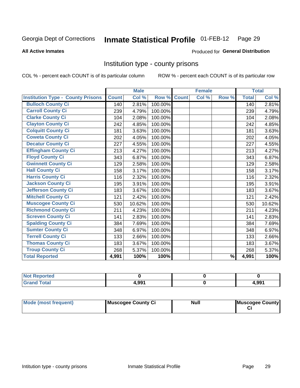#### **Inmate Statistical Profile 01-FEB-12** Page 29

### **All Active Inmates**

### Produced for General Distribution

# Institution type - county prisons

COL % - percent each COUNT is of its particular column

|                                          |              | <b>Male</b> |         |              | <b>Female</b> |               |              | <b>Total</b> |
|------------------------------------------|--------------|-------------|---------|--------------|---------------|---------------|--------------|--------------|
| <b>Institution Type - County Prisons</b> | <b>Count</b> | Col %       | Row %   | <b>Count</b> | Col %         | Row %         | <b>Total</b> | Col %        |
| <b>Bulloch County Ci</b>                 | 140          | 2.81%       | 100.00% |              |               |               | 140          | 2.81%        |
| <b>Carroll County Ci</b>                 | 239          | 4.79%       | 100.00% |              |               |               | 239          | 4.79%        |
| <b>Clarke County Ci</b>                  | 104          | 2.08%       | 100.00% |              |               |               | 104          | 2.08%        |
| <b>Clayton County Ci</b>                 | 242          | 4.85%       | 100.00% |              |               |               | 242          | 4.85%        |
| <b>Colquitt County Ci</b>                | 181          | 3.63%       | 100.00% |              |               |               | 181          | 3.63%        |
| <b>Coweta County Ci</b>                  | 202          | 4.05%       | 100.00% |              |               |               | 202          | 4.05%        |
| <b>Decatur County Ci</b>                 | 227          | 4.55%       | 100.00% |              |               |               | 227          | 4.55%        |
| <b>Effingham County Ci</b>               | 213          | 4.27%       | 100.00% |              |               |               | 213          | 4.27%        |
| <b>Floyd County Ci</b>                   | 343          | 6.87%       | 100.00% |              |               |               | 343          | 6.87%        |
| <b>Gwinnett County Ci</b>                | 129          | 2.58%       | 100.00% |              |               |               | 129          | 2.58%        |
| <b>Hall County Ci</b>                    | 158          | 3.17%       | 100.00% |              |               |               | 158          | 3.17%        |
| <b>Harris County Ci</b>                  | 116          | 2.32%       | 100.00% |              |               |               | 116          | 2.32%        |
| <b>Jackson County Ci</b>                 | 195          | 3.91%       | 100.00% |              |               |               | 195          | 3.91%        |
| <b>Jefferson County Ci</b>               | 183          | 3.67%       | 100.00% |              |               |               | 183          | 3.67%        |
| <b>Mitchell County Ci</b>                | 121          | 2.42%       | 100.00% |              |               |               | 121          | 2.42%        |
| <b>Muscogee County Ci</b>                | 530          | 10.62%      | 100.00% |              |               |               | 530          | 10.62%       |
| <b>Richmond County Ci</b>                | 211          | 4.23%       | 100.00% |              |               |               | 211          | 4.23%        |
| <b>Screven County Ci</b>                 | 141          | 2.83%       | 100.00% |              |               |               | 141          | 2.83%        |
| <b>Spalding County Ci</b>                | 384          | 7.69%       | 100.00% |              |               |               | 384          | 7.69%        |
| <b>Sumter County Ci</b>                  | 348          | 6.97%       | 100.00% |              |               |               | 348          | 6.97%        |
| <b>Terrell County Ci</b>                 | 133          | 2.66%       | 100.00% |              |               |               | 133          | 2.66%        |
| <b>Thomas County Ci</b>                  | 183          | 3.67%       | 100.00% |              |               |               | 183          | 3.67%        |
| <b>Troup County Ci</b>                   | 268          | 5.37%       | 100.00% |              |               |               | 268          | 5.37%        |
| <b>Total Reported</b>                    | 4,991        | 100%        | 100%    |              |               | $\frac{9}{6}$ | 4,991        | 100%         |

| <b>Not Reported</b> |       |       |
|---------------------|-------|-------|
| <b>Grand Total</b>  | 4,991 | 4,991 |

| Mode (most frequent) | Muscogee County Ci | <b>Null</b> | Muscogee County |
|----------------------|--------------------|-------------|-----------------|
|                      |                    |             |                 |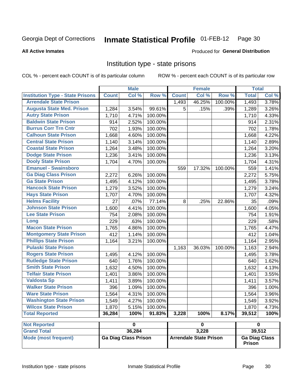#### Inmate Statistical Profile 01-FEB-12 Page 30

### **All Active Inmates**

### Produced for General Distribution

# Institution type - state prisons

COL % - percent each COUNT is of its particular column

ROW % - percent each COUNT is of its particular row

|                                         |              | <b>Male</b>                 |         |              | <b>Female</b>                 |         | <b>Total</b>         |       |
|-----------------------------------------|--------------|-----------------------------|---------|--------------|-------------------------------|---------|----------------------|-------|
| <b>Institution Type - State Prisons</b> | <b>Count</b> | Col %                       | Row %   | <b>Count</b> | Col %                         | Row %   | <b>Total</b>         | Col % |
| <b>Arrendale State Prison</b>           |              |                             |         | 1,493        | 46.25%                        | 100.00% | 1,493                | 3.78% |
| <b>Augusta State Med. Prison</b>        | 1,284        | 3.54%                       | 99.61%  | 5            | .15%                          | .39%    | 1,289                | 3.26% |
| <b>Autry State Prison</b>               | 1,710        | 4.71%                       | 100.00% |              |                               |         | 1,710                | 4.33% |
| <b>Baldwin State Prison</b>             | 914          | 2.52%                       | 100.00% |              |                               |         | 914                  | 2.31% |
| <b>Burrus Corr Trn Cntr</b>             | 702          | 1.93%                       | 100.00% |              |                               |         | 702                  | 1.78% |
| <b>Calhoun State Prison</b>             | 1,668        | 4.60%                       | 100.00% |              |                               |         | 1,668                | 4.22% |
| <b>Central State Prison</b>             | 1,140        | 3.14%                       | 100.00% |              |                               |         | 1,140                | 2.89% |
| <b>Coastal State Prison</b>             | 1,264        | 3.48%                       | 100.00% |              |                               |         | 1,264                | 3.20% |
| <b>Dodge State Prison</b>               | 1,236        | 3.41%                       | 100.00% |              |                               |         | 1,236                | 3.13% |
| <b>Dooly State Prison</b>               | 1,704        | 4.70%                       | 100.00% |              |                               |         | 1,704                | 4.31% |
| <b>Emanuel - Swainsboro</b>             |              |                             |         | 559          | 17.32%                        | 100.00% | 559                  | 1.41% |
| <b>Ga Diag Class Prison</b>             | 2,272        | 6.26%                       | 100.00% |              |                               |         | 2,272                | 5.75% |
| <b>Ga State Prison</b>                  | 1,495        | 4.12%                       | 100.00% |              |                               |         | 1,495                | 3.78% |
| <b>Hancock State Prison</b>             | 1,279        | 3.52%                       | 100.00% |              |                               |         | 1,279                | 3.24% |
| <b>Hays State Prison</b>                | 1,707        | 4.70%                       | 100.00% |              |                               |         | 1,707                | 4.32% |
| <b>Helms Facility</b>                   | 27           | .07%                        | 77.14%  | 8            | .25%                          | 22.86%  | 35                   | .09%  |
| <b>Johnson State Prison</b>             | 1,600        | 4.41%                       | 100.00% |              |                               |         | 1,600                | 4.05% |
| <b>Lee State Prison</b>                 | 754          | 2.08%                       | 100.00% |              |                               |         | 754                  | 1.91% |
| Long                                    | 229          | .63%                        | 100.00% |              |                               |         | 229                  | .58%  |
| <b>Macon State Prison</b>               | 1,765        | 4.86%                       | 100.00% |              |                               |         | 1,765                | 4.47% |
| <b>Montgomery State Prison</b>          | 412          | 1.14%                       | 100.00% |              |                               |         | 412                  | 1.04% |
| <b>Phillips State Prison</b>            | 1,164        | 3.21%                       | 100.00% |              |                               |         | 1,164                | 2.95% |
| <b>Pulaski State Prison</b>             |              |                             |         | 1,163        | 36.03%                        | 100.00% | 1,163                | 2.94% |
| <b>Rogers State Prison</b>              | 1,495        | 4.12%                       | 100.00% |              |                               |         | 1,495                | 3.78% |
| <b>Rutledge State Prison</b>            | 640          | 1.76%                       | 100.00% |              |                               |         | 640                  | 1.62% |
| <b>Smith State Prison</b>               | 1,632        | 4.50%                       | 100.00% |              |                               |         | 1,632                | 4.13% |
| <b>Telfair State Prison</b>             | 1,401        | 3.86%                       | 100.00% |              |                               |         | 1,401                | 3.55% |
| <b>Valdosta Sp</b>                      | 1,411        | 3.89%                       | 100.00% |              |                               |         | 1,411                | 3.57% |
| <b>Walker State Prison</b>              | 396          | 1.09%                       | 100.00% |              |                               |         | 396                  | 1.00% |
| <b>Ware State Prison</b>                | 1,564        | 4.31%                       | 100.00% |              |                               |         | 1,564                | 3.96% |
| <b>Washington State Prison</b>          | 1,549        | 4.27%                       | 100.00% |              |                               |         | 1,549                | 3.92% |
| <b>Wilcox State Prison</b>              | 1,870        | 5.15%                       | 100.00% |              |                               |         | 1,870                | 4.73% |
| <b>Total Reported</b>                   | 36,284       | 100%                        | 91.83%  | 3,228        | 100%                          | 8.17%   | 39,512               | 100%  |
| <b>Not Reported</b>                     |              | $\overline{\mathbf{0}}$     |         |              | $\pmb{0}$                     |         | $\pmb{0}$            |       |
| <b>Grand Total</b>                      |              | 36,284                      |         |              | 3,228                         |         | 39,512               |       |
| <b>Mode (most frequent)</b>             |              | <b>Ga Diag Class Prison</b> |         |              | <b>Arrendale State Prison</b> |         | <b>Ga Diag Class</b> |       |

**Prison**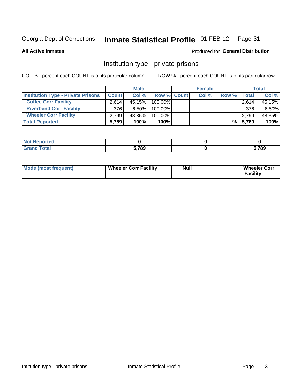#### **Inmate Statistical Profile 01-FEB-12** Page 31

**All Active Inmates** 

# **Produced for General Distribution**

# Institution type - private prisons

COL % - percent each COUNT is of its particular column

|                                           |              | <b>Male</b> |                    | <b>Female</b> |       |         | <b>Total</b> |
|-------------------------------------------|--------------|-------------|--------------------|---------------|-------|---------|--------------|
| <b>Institution Type - Private Prisons</b> | <b>Count</b> | Col %       | <b>Row % Count</b> | Col %         | Row % | Total   | Col %        |
| <b>Coffee Corr Facility</b>               | 2.614        | 45.15%      | $100.00\%$         |               |       | 2,614   | 45.15%       |
| <b>Riverbend Corr Facility</b>            | 376          | $6.50\%$    | 100.00%            |               |       | 376     | 6.50%        |
| <b>Wheeler Corr Facility</b>              | 2.799        | 48.35%      | 100.00%            |               |       | 2,799   | 48.35%       |
| <b>Total Reported</b>                     | 5,789        | 100%        | 100%               |               |       | % 5,789 | 100%         |

| Reported<br><b>NOT</b> |       |      |
|------------------------|-------|------|
| Total                  | 5.789 | .789 |

| <b>Mode (most frequent)</b> | <b>Wheeler Corr Facility</b> | <b>Null</b> | <b>Wheeler Corr</b><br><b>Facility</b> |
|-----------------------------|------------------------------|-------------|----------------------------------------|
|-----------------------------|------------------------------|-------------|----------------------------------------|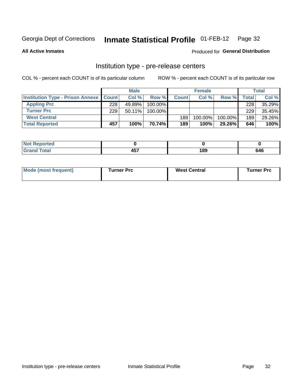# Inmate Statistical Profile 01-FEB-12 Page 32

**All Active Inmates** 

Produced for General Distribution

# Institution type - pre-release centers

COL % - percent each COUNT is of its particular column

|                                                   |     | <b>Male</b> |            |              | <b>Female</b> |         |         | <b>Total</b> |
|---------------------------------------------------|-----|-------------|------------|--------------|---------------|---------|---------|--------------|
| <b>Institution Type - Prison Annexe   Count  </b> |     | Col %       | Row %      | <b>Count</b> | Col%          | Row %   | Total I | Col %        |
| <b>Appling Prc</b>                                | 228 | 49.89%      | $100.00\%$ |              |               |         | 228     | 35.29%       |
| <b>Turner Prc</b>                                 | 229 | $50.11\%$   | 100.00%    |              |               |         | 229     | 35.45%       |
| <b>West Central</b>                               |     |             |            | 189          | $100.00\%$    | 100.00% | 189     | 29.26%       |
| <b>Total Reported</b>                             | 457 | 100%        | 70.74%     | 189          | 100%          | 29.26%  | 646     | 100%         |

| ייטי<br>- | $\sim$ $\sim$ $\sim$ | י הי<br>w | .<br>C A L<br>м |
|-----------|----------------------|-----------|-----------------|

| Mode (most frequent) | Turner Prc | <b>West Central</b> | Turner Prc |
|----------------------|------------|---------------------|------------|
|----------------------|------------|---------------------|------------|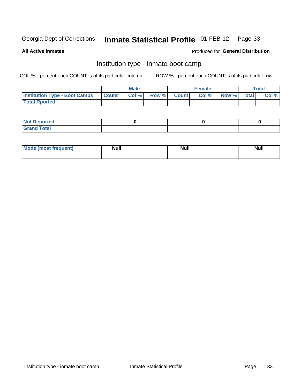#### **Inmate Statistical Profile 01-FEB-12** Page 33

**All Active Inmates** 

# **Produced for General Distribution**

# Institution type - inmate boot camp

COL % - percent each COUNT is of its particular column

|                                      |              | <b>Male</b> |               |              | <b>Female</b> |             | <b>Total</b> |
|--------------------------------------|--------------|-------------|---------------|--------------|---------------|-------------|--------------|
| <b>Institution Type - Boot Camps</b> | <b>Count</b> | Col %       | <b>Row %I</b> | <b>Count</b> | Col %         | Row % Total | Col %        |
| <b>Total Rported</b>                 |              |             |               |              |               |             |              |

| <b>Not Reported</b>                   |  |  |
|---------------------------------------|--|--|
| <b>Total</b><br><b>C HAM</b><br>_____ |  |  |

| <b>I Mode (most frequent)</b> | <b>Null</b> | <b>Null</b> | <b>Null</b> |
|-------------------------------|-------------|-------------|-------------|
|                               |             |             |             |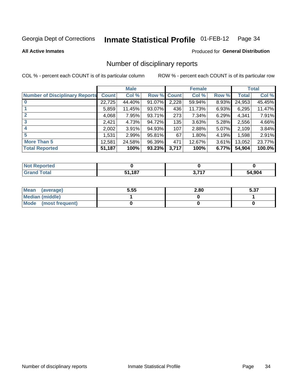#### Inmate Statistical Profile 01-FEB-12 Page 34

**All Active Inmates** 

# **Produced for General Distribution**

# Number of disciplinary reports

COL % - percent each COUNT is of its particular column

|                                       |              | <b>Male</b> |             |       | <b>Female</b> |       |        | <b>Total</b> |
|---------------------------------------|--------------|-------------|-------------|-------|---------------|-------|--------|--------------|
| <b>Number of Disciplinary Reports</b> | <b>Count</b> | Col %       | Row % Count |       | Col %         | Row % | Total  | Col %        |
| $\bf{0}$                              | 22,725       | 44.40%      | 91.07%      | 2,228 | 59.94%        | 8.93% | 24,953 | 45.45%       |
|                                       | 5,859        | 11.45%      | $93.07\%$   | 436   | 11.73%        | 6.93% | 6,295  | 11.47%       |
| $\mathbf{2}$                          | 4,068        | 7.95%       | 93.71%      | 273   | 7.34%         | 6.29% | 4,341  | 7.91%        |
| 3                                     | 2,421        | 4.73%       | 94.72%      | 135   | 3.63%         | 5.28% | 2,556  | 4.66%        |
|                                       | 2,002        | 3.91%       | 94.93%      | 107   | 2.88%         | 5.07% | 2,109  | 3.84%        |
| 5                                     | 1,531'       | 2.99%       | 95.81%      | 67    | 1.80%         | 4.19% | 1,598  | 2.91%        |
| <b>More Than 5</b>                    | 12,581       | 24.58%      | 96.39%      | 471   | 12.67%        | 3.61% | 13,052 | 23.77%       |
| <b>Total Reported</b>                 | 51,187       | 100%        | 93.23%      | 3,717 | 100%          | 6.77% | 54,904 | 100.0%       |

| <b>Not Reported</b> |      |       |        |
|---------------------|------|-------|--------|
| Total               | ,187 | っ フィフ | 54,904 |

| Mean (average)       | 5.55 | 2.80 | E 97<br>ว.งเ |
|----------------------|------|------|--------------|
| Median (middle)      |      |      |              |
| Mode (most frequent) |      |      |              |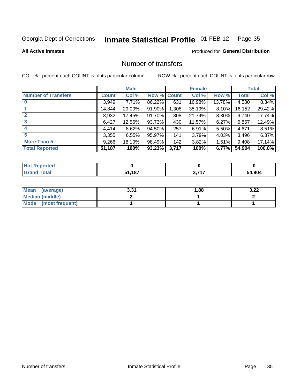#### **Inmate Statistical Profile 01-FEB-12** Page 35

### **All Active Inmates**

# **Produced for General Distribution**

# Number of transfers

COL % - percent each COUNT is of its particular column

|                            |         | <b>Male</b> |        |              | <b>Female</b> |          |              | <b>Total</b> |
|----------------------------|---------|-------------|--------|--------------|---------------|----------|--------------|--------------|
| <b>Number of Transfers</b> | Count l | Col %       | Row %  | <b>Count</b> | Col %         | Row %    | <b>Total</b> | Col %        |
|                            | 3,949   | 7.71%       | 86.22% | 631          | 16.98%        | 13.78%   | 4,580        | 8.34%        |
|                            | 14,844  | 29.00%      | 91.90% | 1,308        | 35.19%        | 8.10%    | 16,152       | 29.42%       |
| $\mathbf{2}$               | 8,932   | 17.45%      | 91.70% | 808          | 21.74%        | 8.30%    | 9,740        | 17.74%       |
| 3                          | 6,427   | 12.56%      | 93.73% | 430          | 11.57%        | $6.27\%$ | 6,857        | 12.49%       |
| 4                          | 4,414   | 8.62%       | 94.50% | 257          | 6.91%         | 5.50%    | 4,671        | 8.51%        |
| 5                          | 3,355   | 6.55%       | 95.97% | 141          | 3.79%         | 4.03%    | 3,496        | 6.37%        |
| <b>More Than 5</b>         | 9,266   | 18.10%      | 98.49% | 142          | 3.82%         | $1.51\%$ | 9,408        | 17.14%       |
| <b>Total Reported</b>      | 51,187  | 100%        | 93.23% | 3,717        | 100%          | 6.77%    | 54,904       | 100.0%       |

| <b>Not Reported</b> |            |       |        |
|---------------------|------------|-------|--------|
| Total               | .187<br>-4 | っ フィフ | 54,904 |

| Mean (average)       | 2 21<br>J.JI | 88. ا | ר כ<br>J.LL |
|----------------------|--------------|-------|-------------|
| Median (middle)      |              |       |             |
| Mode (most frequent) |              |       |             |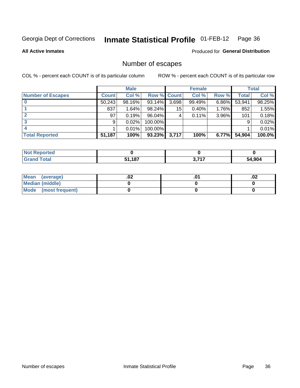#### **Inmate Statistical Profile 01-FEB-12** Page 36

**All Active Inmates** 

# **Produced for General Distribution**

# Number of escapes

COL % - percent each COUNT is of its particular column

|                          |              | <b>Male</b> |             |       | <b>Female</b> |          |              | <b>Total</b> |
|--------------------------|--------------|-------------|-------------|-------|---------------|----------|--------------|--------------|
| <b>Number of Escapes</b> | <b>Count</b> | Col %       | Row % Count |       | Col %         | Row %    | <b>Total</b> | Col %        |
|                          | 50,243       | 98.16%      | 93.14%      | 3,698 | 99.49%        | $6.86\%$ | 53,941       | 98.25%       |
|                          | 837          | 1.64%       | 98.24%      | 15    | 0.40%         | $1.76\%$ | 852          | 1.55%        |
|                          | 97           | 0.19%       | 96.04%      | 4     | 0.11%         | 3.96%    | 101          | 0.18%        |
|                          | 9            | 0.02%       | 100.00%     |       |               |          | 9            | 0.02%        |
|                          |              | 0.01%       | 100.00%     |       |               |          |              | 0.01%        |
| <b>Total Reported</b>    | 51,187       | 100%        | 93.23%      | 3,717 | 100%          | $6.77\%$ | 54,904       | 100.0%       |

| тео |        |             |            |
|-----|--------|-------------|------------|
|     | 51,187 | 2747<br>. . | .904<br>54 |

| Mean (average)         | .vz | .02 |
|------------------------|-----|-----|
| <b>Median (middle)</b> |     |     |
| Mode (most frequent)   |     |     |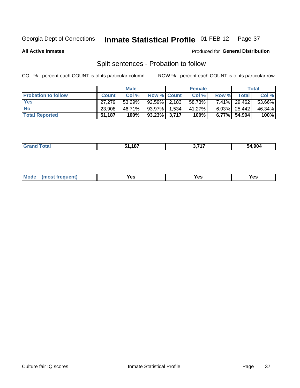#### **Inmate Statistical Profile 01-FEB-12** Page 37

**All Active Inmates** 

#### Produced for General Distribution

# Split sentences - Probation to follow

COL % - percent each COUNT is of its particular column

|                            |              | <b>Male</b> |                 |       | <b>Female</b> |          |                 | <b>Total</b> |
|----------------------------|--------------|-------------|-----------------|-------|---------------|----------|-----------------|--------------|
| <b>Probation to follow</b> | <b>Count</b> | Col%        | Row % Count     |       | Col %         | Row %    | Total           | Col %        |
| <b>Yes</b>                 | 27.279       | 53.29%      | $92.59\%$ 2.183 |       | 58.73%        | $7.41\%$ | 29,462          | 53.66%       |
| <b>No</b>                  | 23,908       | 46.71%      | 93.97%          | 1,534 | 41.27%        |          | $6.03\%$ 25,442 | 46.34%       |
| <b>Total Reported</b>      | 51,187       | 100%        | $93.23\%$ 3,717 |       | 100%          |          | 6.77% 54,904    | 100%         |

| 107<br>. . | , 747 | 54.904 |
|------------|-------|--------|
|            |       |        |

| M<br>reauent)<br>/٥<br>$\sim$<br>v.,<br>.<br>$\ddotsc$<br>$\cdot$ - $\cdot$ |
|-----------------------------------------------------------------------------|
|-----------------------------------------------------------------------------|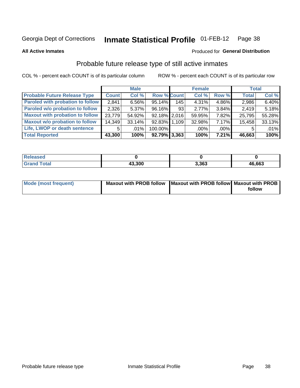#### **Inmate Statistical Profile 01-FEB-12** Page 38

**All Active Inmates** 

#### Produced for General Distribution

# Probable future release type of still active inmates

COL % - percent each COUNT is of its particular column

|                                         |                | <b>Male</b> |                    |     | <b>Female</b> |          | <b>Total</b> |        |
|-----------------------------------------|----------------|-------------|--------------------|-----|---------------|----------|--------------|--------|
| <b>Probable Future Release Type</b>     | <b>Count</b>   | Col %       | <b>Row % Count</b> |     | Col %         | Row %    | <b>Total</b> | Col %  |
| <b>Paroled with probation to follow</b> | 2,841          | $6.56\%$    | 95.14%             | 145 | 4.31%         | 4.86%    | 2,986        | 6.40%  |
| Paroled w/o probation to follow         | 2,326          | $5.37\%$    | 96.16%             | 93  | 2.77%         | $3.84\%$ | 2,419        | 5.18%  |
| <b>Maxout with probation to follow</b>  | 23,779         | 54.92%      | $92.18\%$   2,016  |     | 59.95%        | 7.82%    | 25,795       | 55.28% |
| <b>Maxout w/o probation to follow</b>   | 14,349         | 33.14%      | 92.83% 1.109       |     | 32.98%        | $7.17\%$ | 15,458       | 33.13% |
| Life, LWOP or death sentence            | 5 <sup>1</sup> | $.01\%$     | 100.00%            |     | $.00\%$       | $.00\%$  | 5            | .01%   |
| <b>Total Reported</b>                   | 43,300         | 100%        | $92.79\%$ 3,363    |     | 100%          | 7.21%    | 46,663       | 100%   |

| 'eleased             |        |       |        |
|----------------------|--------|-------|--------|
| <i>i</i> otal<br>Cro | 43,300 | 3,363 | 46,663 |

| Mode (most frequent) | Maxout with PROB follow   Maxout with PROB follow   Maxout with PROB |        |
|----------------------|----------------------------------------------------------------------|--------|
|                      |                                                                      | follow |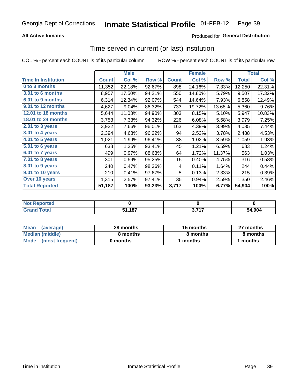### **All Active Inmates**

## **Produced for General Distribution**

## Time served in current (or last) institution

COL % - percent each COUNT is of its particular column

|                            |              | <b>Male</b> |        |              | <b>Female</b> |        |              | <b>Total</b> |
|----------------------------|--------------|-------------|--------|--------------|---------------|--------|--------------|--------------|
| <b>Time In Institution</b> | <b>Count</b> | Col %       | Row %  | <b>Count</b> | Col %         | Row %  | <b>Total</b> | Col %        |
| 0 to 3 months              | 11,352       | 22.18%      | 92.67% | 898          | 24.16%        | 7.33%  | 12,250       | 22.31%       |
| 3.01 to 6 months           | 8,957        | 17.50%      | 94.21% | 550          | 14.80%        | 5.79%  | 9,507        | 17.32%       |
| 6.01 to 9 months           | 6,314        | 12.34%      | 92.07% | 544          | 14.64%        | 7.93%  | 6,858        | 12.49%       |
| 9.01 to 12 months          | 4,627        | 9.04%       | 86.32% | 733          | 19.72%        | 13.68% | 5,360        | 9.76%        |
| 12.01 to 18 months         | 5,644        | 11.03%      | 94.90% | 303          | 8.15%         | 5.10%  | 5,947        | 10.83%       |
| <b>18.01 to 24 months</b>  | 3,753        | 7.33%       | 94.32% | 226          | 6.08%         | 5.68%  | 3,979        | 7.25%        |
| 2.01 to 3 years            | 3,922        | 7.66%       | 96.01% | 163          | 4.39%         | 3.99%  | 4,085        | 7.44%        |
| $3.01$ to 4 years          | 2,394        | 4.68%       | 96.22% | 94           | 2.53%         | 3.78%  | 2,488        | 4.53%        |
| 4.01 to 5 years            | 1,021        | 1.99%       | 96.41% | 38           | 1.02%         | 3.59%  | 1,059        | 1.93%        |
| 5.01 to 6 years            | 638          | 1.25%       | 93.41% | 45           | 1.21%         | 6.59%  | 683          | 1.24%        |
| 6.01 to 7 years            | 499          | 0.97%       | 88.63% | 64           | 1.72%         | 11.37% | 563          | 1.03%        |
| 7.01 to 8 years            | 301          | 0.59%       | 95.25% | 15           | 0.40%         | 4.75%  | 316          | 0.58%        |
| $8.01$ to 9 years          | 240          | 0.47%       | 98.36% | 4            | 0.11%         | 1.64%  | 244          | 0.44%        |
| 9.01 to 10 years           | 210          | 0.41%       | 97.67% | 5            | 0.13%         | 2.33%  | 215          | 0.39%        |
| Over 10 years              | 1,315        | 2.57%       | 97.41% | 35           | 0.94%         | 2.59%  | 1,350        | 2.46%        |
| <b>Total Reported</b>      | 51,187       | 100%        | 93.23% | 3,717        | 100%          | 6.77%  | 54,904       | 100%         |

| eported?<br><b>NOT</b> |             |            |        |
|------------------------|-------------|------------|--------|
| <b>otal</b>            | ,187<br>Р4. | 0.747<br>. | 54.904 |

| <b>Mean</b><br>(average) | 28 months | 15 months | 27 months |  |
|--------------------------|-----------|-----------|-----------|--|
| Median (middle)          | 8 months  | 8 months  | 8 months  |  |
| Mode<br>(most frequent)  | 0 months  | months    | ∖ months  |  |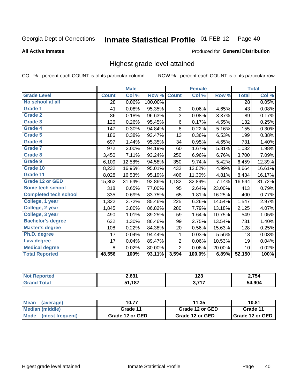#### Inmate Statistical Profile 01-FEB-12 Page 40

#### **All Active Inmates**

#### Produced for General Distribution

## Highest grade level attained

COL % - percent each COUNT is of its particular column

|                              |              | <b>Male</b> |         |                | <b>Female</b> |        |              | <b>Total</b> |
|------------------------------|--------------|-------------|---------|----------------|---------------|--------|--------------|--------------|
| <b>Grade Level</b>           | <b>Count</b> | Col %       | Row %   | <b>Count</b>   | Col %         | Row %  | <b>Total</b> | Col %        |
| No school at all             | 28           | 0.06%       | 100.00% |                |               |        | 28           | 0.05%        |
| <b>Grade 1</b>               | 41           | 0.08%       | 95.35%  | 2              | 0.06%         | 4.65%  | 43           | 0.08%        |
| <b>Grade 2</b>               | 86           | 0.18%       | 96.63%  | 3              | 0.08%         | 3.37%  | 89           | 0.17%        |
| Grade 3                      | 126          | 0.26%       | 95.45%  | 6              | 0.17%         | 4.55%  | 132          | 0.25%        |
| Grade 4                      | 147          | 0.30%       | 94.84%  | 8              | 0.22%         | 5.16%  | 155          | 0.30%        |
| Grade 5                      | 186          | 0.38%       | 93.47%  | 13             | 0.36%         | 6.53%  | 199          | 0.38%        |
| <b>Grade 6</b>               | 697          | 1.44%       | 95.35%  | 34             | 0.95%         | 4.65%  | 731          | 1.40%        |
| <b>Grade 7</b>               | 972          | 2.00%       | 94.19%  | 60             | 1.67%         | 5.81%  | 1,032        | 1.98%        |
| <b>Grade 8</b>               | 3,450        | 7.11%       | 93.24%  | 250            | 6.96%         | 6.76%  | 3,700        | 7.09%        |
| Grade 9                      | 6,109        | 12.58%      | 94.58%  | 350            | 9.74%         | 5.42%  | 6,459        | 12.39%       |
| Grade 10                     | 8,232        | 16.95%      | 95.01%  | 432            | 12.02%        | 4.99%  | 8,664        | 16.61%       |
| Grade 11                     | 8,028        | 16.53%      | 95.19%  | 406            | 11.30%        | 4.81%  | 8,434        | 16.17%       |
| <b>Grade 12 or GED</b>       | 15,362       | 31.64%      | 92.86%  | 1,182          | 32.89%        | 7.14%  | 16,544       | 31.72%       |
| Some tech school             | 318          | 0.65%       | 77.00%  | 95             | 2.64%         | 23.00% | 413          | 0.79%        |
| <b>Completed tech school</b> | 335          | 0.69%       | 83.75%  | 65             | 1.81%         | 16.25% | 400          | 0.77%        |
| College, 1 year              | 1,322        | 2.72%       | 85.46%  | 225            | 6.26%         | 14.54% | 1,547        | 2.97%        |
| College, 2 year              | 1,845        | 3.80%       | 86.82%  | 280            | 7.79%         | 13.18% | 2,125        | 4.07%        |
| College, 3 year              | 490          | 1.01%       | 89.25%  | 59             | 1.64%         | 10.75% | 549          | 1.05%        |
| <b>Bachelor's degree</b>     | 632          | 1.30%       | 86.46%  | 99             | 2.75%         | 13.54% | 731          | 1.40%        |
| <b>Master's degree</b>       | 108          | 0.22%       | 84.38%  | 20             | 0.56%         | 15.63% | 128          | 0.25%        |
| Ph.D. degree                 | 17           | 0.04%       | 94.44%  | 1              | 0.03%         | 5.56%  | 18           | 0.03%        |
| Law degree                   | 17           | 0.04%       | 89.47%  | $\overline{2}$ | 0.06%         | 10.53% | 19           | 0.04%        |
| <b>Medical degree</b>        | 8            | 0.02%       | 80.00%  | $\overline{2}$ | 0.06%         | 20.00% | 10           | 0.02%        |
| <b>Total Reported</b>        | 48,556       | 100%        | 93.11%  | 3,594          | 100.0%        | 6.89%  | 52,150       | 100%         |

| rted       | 201    | 192               | 2.754  |
|------------|--------|-------------------|--------|
| <b>Not</b> | - 1091 | ט בו              |        |
| Grar       | ,187   | っ フィフ<br>.<br>. . | 54.904 |

| <b>Mean</b><br>(average) | 10.77           | 11.35           | 10.81             |
|--------------------------|-----------------|-----------------|-------------------|
| Median (middle)          | Grade 11        | Grade 12 or GED | Grade 11          |
| Mode<br>(most frequent)  | Grade 12 or GED | Grade 12 or GED | I Grade 12 or GED |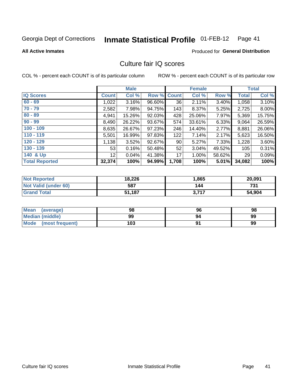#### **Inmate Statistical Profile 01-FEB-12** Page 41

**All Active Inmates** 

### **Produced for General Distribution**

## Culture fair IQ scores

COL % - percent each COUNT is of its particular column

|                       |                 | <b>Male</b> |             |       | <b>Female</b> |          |                 | <b>Total</b> |
|-----------------------|-----------------|-------------|-------------|-------|---------------|----------|-----------------|--------------|
| <b>IQ Scores</b>      | <b>Count</b>    | Col %       | Row % Count |       | Col %         | Row %    | <b>Total</b>    | Col %        |
| $60 - 69$             | 1,022           | 3.16%       | 96.60%      | 36    | 2.11%         | 3.40%    | 1,058           | 3.10%        |
| $70 - 79$             | 2,582           | 7.98%       | 94.75%      | 143   | 8.37%         | 5.25%    | 2,725           | 8.00%        |
| $80 - 89$             | 4,941           | 15.26%      | 92.03%      | 428   | 25.06%        | 7.97%    | 5,369           | 15.75%       |
| $90 - 99$             | 8,490           | 26.22%      | 93.67%      | 574   | 33.61%        | $6.33\%$ | 9,064           | 26.59%       |
| $100 - 109$           | 8,635           | 26.67%      | 97.23%      | 246   | 14.40%        | 2.77%    | 8,881           | 26.06%       |
| $110 - 119$           | 5,501           | 16.99%      | 97.83%      | 122   | 7.14%         | 2.17%    | 5,623           | 16.50%       |
| $120 - 129$           | 1,138           | 3.52%       | 92.67%      | 90    | 5.27%         | 7.33%    | 1,228           | 3.60%        |
| $130 - 139$           | 53              | 0.16%       | 50.48%      | 52    | 3.04%         | 49.52%   | 105             | 0.31%        |
| 140 & Up              | 12 <sup>°</sup> | 0.04%       | 41.38%      | 17    | 1.00%         | 58.62%   | 29 <sup>1</sup> | 0.09%        |
| <b>Total Reported</b> | 32,374          | 100%        | 94.99%      | 1,708 | 100%          | $5.01\%$ | 34,082          | 100%         |

| <b>Not Reported</b>         | 18,226 | ,865  | 20,091 |
|-----------------------------|--------|-------|--------|
| <b>Not Valid (under 60)</b> | 587    | 144   | 731    |
| <b>Grand Total</b>          | 51,187 | 3,717 | 54,904 |

| Mean<br>(average)       | 98  | 96 | 98 |
|-------------------------|-----|----|----|
| <b>Median (middle)</b>  | 99  | 94 | 99 |
| Mode<br>(most frequent) | 103 |    | 99 |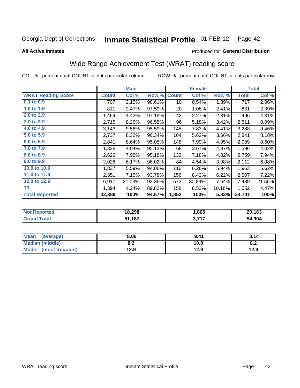#### **Inmate Statistical Profile 01-FEB-12** Page 42

**All Active Inmates** 

#### Produced for General Distribution

# Wide Range Achievement Test (WRAT) reading score

COL % - percent each COUNT is of its particular column

|                           |              | <b>Male</b> |        |              | <b>Female</b> |        |              | <b>Total</b> |
|---------------------------|--------------|-------------|--------|--------------|---------------|--------|--------------|--------------|
| <b>WRAT Reading Score</b> | <b>Count</b> | Col %       | Row %  | <b>Count</b> | Col %         | Row %  | <b>Total</b> | Col %        |
| $0.1$ to $0.9$            | 707          | 2.15%       | 98.61% | 10           | 0.54%         | 1.39%  | 717          | 2.06%        |
| 1.0 to 1.9                | 811          | 2.47%       | 97.59% | 20           | 1.08%         | 2.41%  | 831          | 2.39%        |
| 2.0 to 2.9                | 1,454        | 4.42%       | 97.19% | 42           | 2.27%         | 2.81%  | 1,496        | 4.31%        |
| 3.0 to 3.9                | 2,715        | 8.26%       | 96.58% | 96           | 5.18%         | 3.42%  | 2,811        | 8.09%        |
| 4.0 to 4.9                | 3,143        | 9.56%       | 95.59% | 145          | 7.83%         | 4.41%  | 3,288        | 9.46%        |
| 5.0 to 5.9                | 2,737        | 8.32%       | 96.34% | 104          | 5.62%         | 3.66%  | 2,841        | 8.18%        |
| 6.0 to 6.9                | 2,841        | 8.64%       | 95.05% | 148          | 7.99%         | 4.95%  | 2,989        | 8.60%        |
| 7.0 to 7.9                | 1,328        | 4.04%       | 95.13% | 68           | 3.67%         | 4.87%  | 1,396        | 4.02%        |
| 8.0 to 8.9                | 2,626        | 7.98%       | 95.18% | 133          | 7.18%         | 4.82%  | 2,759        | 7.94%        |
| 9.0 to 9.9                | 2,028        | 6.17%       | 96.02% | 84           | 4.54%         | 3.98%  | 2,112        | 6.08%        |
| 10.0 to 10.9              | 1,837        | 5.59%       | 94.06% | 116          | 6.26%         | 5.94%  | 1,953        | 5.62%        |
| 11.0 to 11.9              | 2,351        | 7.15%       | 93.78% | 156          | 8.42%         | 6.22%  | 2,507        | 7.22%        |
| 12.0 to 12.9              | 6,917        | 21.03%      | 92.36% | 572          | 30.89%        | 7.64%  | 7,489        | 21.56%       |
| 13                        | 1,394        | 4.24%       | 89.82% | 158          | 8.53%         | 10.18% | 1,552        | 4.47%        |
| <b>Total Reported</b>     | 32,889       | 100%        | 94.67% | 1,852        | 100%          | 5.33%  | 34,741       | 100%         |

| <b>orteg</b><br><b>NOT</b> | 18,298 | .865                | 20,163 |
|----------------------------|--------|---------------------|--------|
| $\sim$ fol                 | ,187   | っ フィフ<br>. J. I I . | 54,904 |

| Mean<br>(average)       | 8.06       | 9.41 | 8.14 |
|-------------------------|------------|------|------|
| Median (middle)         | י ה<br>O.A | 10.8 | o.z  |
| Mode<br>(most frequent) | 12.9       | 12.9 | 12.9 |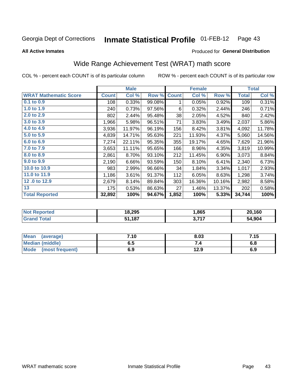#### Inmate Statistical Profile 01-FEB-12 Page 43

**All Active Inmates** 

#### Produced for General Distribution

# Wide Range Achievement Test (WRAT) math score

COL % - percent each COUNT is of its particular column

|                              |              | <b>Male</b> |        |              | <b>Female</b> |        |              | <b>Total</b> |
|------------------------------|--------------|-------------|--------|--------------|---------------|--------|--------------|--------------|
| <b>WRAT Mathematic Score</b> | <b>Count</b> | Col %       | Row %  | <b>Count</b> | Col %         | Row %  | <b>Total</b> | Col %        |
| $0.1$ to $0.9$               | 108          | 0.33%       | 99.08% | 1            | 0.05%         | 0.92%  | 109          | 0.31%        |
| 1.0 to 1.9                   | 240          | 0.73%       | 97.56% | 6            | 0.32%         | 2.44%  | 246          | 0.71%        |
| 2.0 to 2.9                   | 802          | 2.44%       | 95.48% | 38           | 2.05%         | 4.52%  | 840          | 2.42%        |
| 3.0 to 3.9                   | 1,966        | 5.98%       | 96.51% | 71           | 3.83%         | 3.49%  | 2,037        | 5.86%        |
| 4.0 to 4.9                   | 3,936        | 11.97%      | 96.19% | 156          | 8.42%         | 3.81%  | 4,092        | 11.78%       |
| 5.0 to 5.9                   | 4,839        | 14.71%      | 95.63% | 221          | 11.93%        | 4.37%  | 5,060        | 14.56%       |
| 6.0 to 6.9                   | 7,274        | 22.11%      | 95.35% | 355          | 19.17%        | 4.65%  | 7,629        | 21.96%       |
| 7.0 to 7.9                   | 3,653        | 11.11%      | 95.65% | 166          | 8.96%         | 4.35%  | 3,819        | 10.99%       |
| 8.0 to 8.9                   | 2,861        | 8.70%       | 93.10% | 212          | 11.45%        | 6.90%  | 3,073        | 8.84%        |
| 9.0 to 9.9                   | 2,190        | 6.66%       | 93.59% | 150          | 8.10%         | 6.41%  | 2,340        | 6.73%        |
| 10.0 to 10.9                 | 983          | 2.99%       | 96.66% | 34           | 1.84%         | 3.34%  | 1,017        | 2.93%        |
| 11.0 to 11.9                 | 1,186        | 3.61%       | 91.37% | 112          | 6.05%         | 8.63%  | 1,298        | 3.74%        |
| 12.0 to 12.9                 | 2,679        | 8.14%       | 89.84% | 303          | 16.36%        | 10.16% | 2,982        | 8.58%        |
| 13                           | 175          | 0.53%       | 86.63% | 27           | 1.46%         | 13.37% | 202          | 0.58%        |
| <b>Total Reported</b>        | 32,892       | 100%        | 94.67% | 1,852        | 100%          | 5.33%  | 34,744       | 100%         |

| <b>Not Reported</b>    | 18,295 | .,865            | 20,160 |
|------------------------|--------|------------------|--------|
| $\tau$ otal<br>' Grand | 51,187 | つ フィフ<br>J.I I I | 54,904 |

| Mean (average)         | 7.10 | 8.03 | 7.15 |
|------------------------|------|------|------|
| <b>Median (middle)</b> | ง. ว | 74   | o.o  |
| Mode (most frequent)   | 6.9  | 12.9 | 6.9  |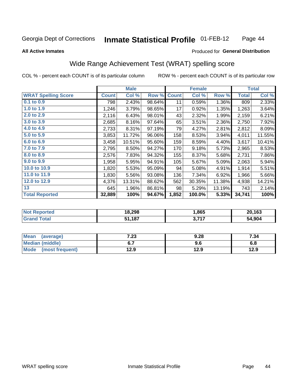#### **Inmate Statistical Profile 01-FEB-12** Page 44

#### **All Active Inmates**

## Produced for General Distribution

# Wide Range Achievement Test (WRAT) spelling score

COL % - percent each COUNT is of its particular column

|                            |         | <b>Male</b> |        |              | <b>Female</b> |        |              | <b>Total</b> |
|----------------------------|---------|-------------|--------|--------------|---------------|--------|--------------|--------------|
| <b>WRAT Spelling Score</b> | Count l | Col %       | Row %  | <b>Count</b> | Col %         | Row %  | <b>Total</b> | Col %        |
| $0.1$ to $0.9$             | 798     | 2.43%       | 98.64% | 11           | 0.59%         | 1.36%  | 809          | 2.33%        |
| 1.0 to 1.9                 | 1,246   | 3.79%       | 98.65% | 17           | 0.92%         | 1.35%  | 1,263        | 3.64%        |
| 2.0 to 2.9                 | 2,116   | 6.43%       | 98.01% | 43           | 2.32%         | 1.99%  | 2,159        | 6.21%        |
| 3.0 to 3.9                 | 2,685   | 8.16%       | 97.64% | 65           | 3.51%         | 2.36%  | 2,750        | 7.92%        |
| 4.0 to 4.9                 | 2,733   | 8.31%       | 97.19% | 79           | 4.27%         | 2.81%  | 2,812        | 8.09%        |
| 5.0 to 5.9                 | 3,853   | 11.72%      | 96.06% | 158          | 8.53%         | 3.94%  | 4,011        | 11.55%       |
| 6.0 to 6.9                 | 3,458   | 10.51%      | 95.60% | 159          | 8.59%         | 4.40%  | 3,617        | 10.41%       |
| 7.0 to 7.9                 | 2,795   | 8.50%       | 94.27% | 170          | 9.18%         | 5.73%  | 2,965        | 8.53%        |
| 8.0 to 8.9                 | 2,576   | 7.83%       | 94.32% | 155          | 8.37%         | 5.68%  | 2,731        | 7.86%        |
| 9.0 to 9.9                 | 1,958   | 5.95%       | 94.91% | 105          | 5.67%         | 5.09%  | 2,063        | 5.94%        |
| 10.0 to 10.9               | 1,820   | 5.53%       | 95.09% | 94           | 5.08%         | 4.91%  | 1,914        | 5.51%        |
| 11.0 to 11.9               | 1,830   | 5.56%       | 93.08% | 136          | 7.34%         | 6.92%  | 1,966        | 5.66%        |
| 12.0 to 12.9               | 4,376   | 13.31%      | 88.62% | 562          | 30.35%        | 11.38% | 4,938        | 14.21%       |
| 13                         | 645     | 1.96%       | 86.81% | 98           | 5.29%         | 13.19% | 743          | 2.14%        |
| <b>Total Reported</b>      | 32,889  | 100%        | 94.67% | 1,852        | 100.0%        | 5.33%  | 34,741       | 100%         |

| Reported<br><b>NOT</b> | 18,298 | .865       | 20,163 |
|------------------------|--------|------------|--------|
| <b>otal</b>            | ,187   | つ フィフ<br>. | 54,904 |

| <b>Mean</b><br>(average) | 7.23 | 9.28 | 7.34 |
|--------------------------|------|------|------|
| Median (middle)          |      | 9.6  | o.o  |
| Mode<br>(most frequent)  | 12.9 | 12.9 | 12.9 |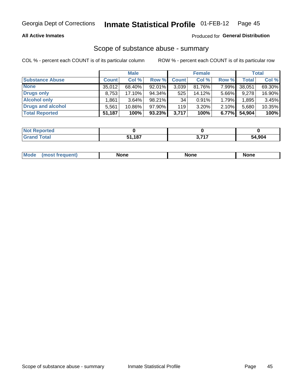### **All Active Inmates**

## Produced for General Distribution

# Scope of substance abuse - summary

COL % - percent each COUNT is of its particular column

|                        |              | <b>Male</b> |           |                 | <b>Female</b> |       |              | <b>Total</b> |
|------------------------|--------------|-------------|-----------|-----------------|---------------|-------|--------------|--------------|
| <b>Substance Abuse</b> | <b>Count</b> | Col %       | Row %     | <b>Count</b>    | Col %         | Row % | <b>Total</b> | Col %        |
| <b>None</b>            | 35.012       | 68.40%      | 92.01%    | 3,039           | 81.76%        | 7.99% | 38,051       | 69.30%       |
| <b>Drugs only</b>      | 8.753        | $17.10\%$   | $94.34\%$ | 525             | 14.12%        | 5.66% | 9,278        | 16.90%       |
| <b>Alcohol only</b>    | .861         | $3.64\%$    | $98.21\%$ | 34 <sub>1</sub> | $0.91\%$      | 1.79% | 1,895        | 3.45%        |
| Drugs and alcohol      | 5.561        | $10.86\%$   | 97.90%    | 119             | $3.20\%$      | 2.10% | 5,680        | 10.35%       |
| <b>Total Reported</b>  | 51,187       | 100%        | $93.23\%$ | 3,717           | 100%          | 6.77% | 54.904       | 100%         |

| <b>Not</b><br><b>Reported</b> |      |                  |        |
|-------------------------------|------|------------------|--------|
| Total                         | .187 | <b>2747</b><br>. | 54.904 |

|  | Mode<br>auenu | None | None | None |
|--|---------------|------|------|------|
|--|---------------|------|------|------|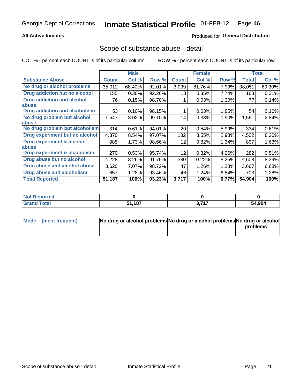### **All Active Inmates**

## **Produced for General Distribution**

## Scope of substance abuse - detail

COL % - percent each COUNT is of its particular column

|                                      |              | <b>Male</b> |        |              | <b>Female</b> |       |              | <b>Total</b> |
|--------------------------------------|--------------|-------------|--------|--------------|---------------|-------|--------------|--------------|
| <b>Substance Abuse</b>               | <b>Count</b> | Col %       | Row %  | <b>Count</b> | Col %         | Row % | <b>Total</b> | Col %        |
| No drug or alcohol problems          | 35,012       | 68.40%      | 92.01% | 3,039        | 81.76%        | 7.99% | 38,051       | 69.30%       |
| Drug addiction but no alcohol        | 155          | 0.30%       | 92.26% | 13           | 0.35%         | 7.74% | 168          | 0.31%        |
| <b>Drug addiction and alcohol</b>    | 76           | 0.15%       | 98.70% |              | 0.03%         | 1.30% | 77           | 0.14%        |
| abuse                                |              |             |        |              |               |       |              |              |
| <b>Drug addiction and alcoholism</b> | 53           | 0.10%       | 98.15% |              | 0.03%         | 1.85% | 54           | 0.10%        |
| No drug problem but alcohol          | 1,547        | 3.02%       | 99.10% | 14           | 0.38%         | 0.90% | 1,561        | 2.84%        |
| <b>labuse</b>                        |              |             |        |              |               |       |              |              |
| No drug problem but alcoholism       | 314          | 0.61%       | 94.01% | 20           | 0.54%         | 5.99% | 334          | 0.61%        |
| Drug experiment but no alcohol       | 4,370        | 8.54%       | 97.07% | 132          | 3.55%         | 2.93% | 4,502        | 8.20%        |
| <b>Drug experiment &amp; alcohol</b> | 885          | 1.73%       | 98.66% | 12           | $0.32\%$      | 1.34% | 897          | 1.63%        |
| <b>labuse</b>                        |              |             |        |              |               |       |              |              |
| Drug experiment & alcoholism         | 270          | 0.53%       | 95.74% | 12           | 0.32%         | 4.26% | 282          | 0.51%        |
| Drug abuse but no alcohol            | 4,228        | 8.26%       | 91.75% | 380          | 10.22%        | 8.25% | 4,608        | 8.39%        |
| Drug abuse and alcohol abuse         | 3,620        | 7.07%       | 98.72% | 47           | 1.26%         | 1.28% | 3,667        | 6.68%        |
| <b>Drug abuse and alcoholism</b>     | 657          | 1.28%       | 93.46% | 46           | 1.24%         | 6.54% | 703          | 1.28%        |
| <b>Total Reported</b>                | 51,187       | 100%        | 93.23% | 3,717        | 100%          | 6.77% | 54,904       | 100%         |

| oorted<br>NOT |        |           |        |
|---------------|--------|-----------|--------|
| <b>otal</b>   | 51.187 | 2747<br>. | 54,904 |

| Mode (most frequent) | No drug or alcohol problems No drug or alcohol problems No drug or alcohol |          |
|----------------------|----------------------------------------------------------------------------|----------|
|                      |                                                                            | problems |
|                      |                                                                            |          |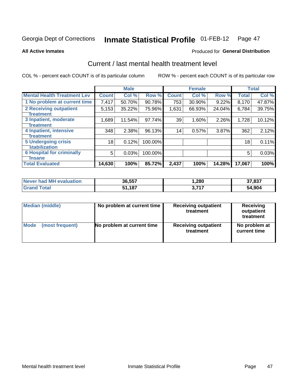#### **Inmate Statistical Profile 01-FEB-12** Page 47

**All Active Inmates** 

#### Produced for General Distribution

# Current / last mental health treatment level

COL % - percent each COUNT is of its particular column

|                                    |              | <b>Male</b> |         |              | <b>Female</b> |          |              | <b>Total</b> |
|------------------------------------|--------------|-------------|---------|--------------|---------------|----------|--------------|--------------|
| <b>Mental Health Treatment Lev</b> | <b>Count</b> | Col %       | Row %   | <b>Count</b> | Col %         | Row %    | <b>Total</b> | Col %        |
| 1 No problem at current time       | 7,417        | 50.70%      | 90.78%  | 753          | 30.90%        | 9.22%    | 8,170        | 47.87%       |
| 2 Receiving outpatient             | 5,153        | 35.22%      | 75.96%  | 1,631        | 66.93%        | 24.04%   | 6,784        | 39.75%       |
| <b>Treatment</b>                   |              |             |         |              |               |          |              |              |
| 3 Inpatient, moderate              | 1,689        | 11.54%      | 97.74%  | 39           | 1.60%         | 2.26%    | 1,728        | 10.12%       |
| Treatment                          |              |             |         |              |               |          |              |              |
| 4 Inpatient, intensive             | 348          | 2.38%       | 96.13%  | 14           | 0.57%         | $3.87\%$ | 362          | 2.12%        |
| Treatment                          |              |             |         |              |               |          |              |              |
| <b>5 Undergoing crisis</b>         | 18           | 0.12%       | 100.00% |              |               |          | 18           | 0.11%        |
| <b>stabilization</b>               |              |             |         |              |               |          |              |              |
| <b>6 Hospital for criminally</b>   | 5            | 0.03%       | 100.00% |              |               |          | 5            | 0.03%        |
| <b>Tinsane</b>                     |              |             |         |              |               |          |              |              |
| <b>Total Evaluated</b>             | 14,630       | 100%        | 85.72%  | 2,437        | 100%          | 14.28%   | 17,067       | 100%         |

| Never had MH evaluation | 36,557 | 280, ا              | 37,837 |
|-------------------------|--------|---------------------|--------|
| <b>Grand Total</b>      | 51.187 | フィフ<br><b>J.III</b> | 54,904 |

| Median (middle) | No problem at current time | <b>Receiving outpatient</b><br>treatment | <b>Receiving</b><br>outpatient<br>treatment |
|-----------------|----------------------------|------------------------------------------|---------------------------------------------|
| <b>Mode</b>     | No problem at current time | <b>Receiving outpatient</b>              | No problem at                               |
| (most frequent) |                            | treatment                                | current time                                |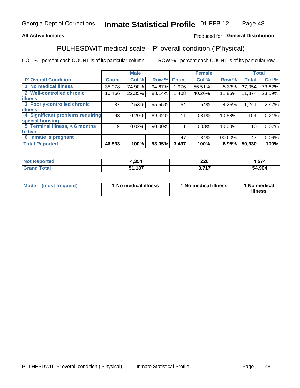### **All Active Inmates**

## Produced for General Distribution

# PULHESDWIT medical scale - 'P' overall condition ('P'hysical)

COL % - percent each COUNT is of its particular column

|                                  |                | <b>Male</b> |        |              | <b>Female</b> |         |              | <b>Total</b> |
|----------------------------------|----------------|-------------|--------|--------------|---------------|---------|--------------|--------------|
| <b>P' Overall Condition</b>      | <b>Count</b>   | Col %       | Row %  | <b>Count</b> | Col %         | Row %   | <b>Total</b> | Col %        |
| 1 No medical illness             | 35,078         | 74.90%      | 94.67% | 1,976        | 56.51%        | 5.33%   | 37,054       | 73.62%       |
| 2 Well-controlled chronic        | 10,466         | 22.35%      | 88.14% | 1,408        | 40.26%        | 11.86%  | 11,874       | 23.59%       |
| <b>lillness</b>                  |                |             |        |              |               |         |              |              |
| 3 Poorly-controlled chronic      | 1,187          | 2.53%       | 95.65% | 54           | 1.54%         | 4.35%   | 1,241        | 2.47%        |
| <b>illness</b>                   |                |             |        |              |               |         |              |              |
| 4 Significant problems requiring | 93             | 0.20%       | 89.42% | 11           | 0.31%         | 10.58%  | 104          | 0.21%        |
| special housing                  |                |             |        |              |               |         |              |              |
| 5 Terminal illness, $< 6$ months | 9 <sub>1</sub> | 0.02%       | 90.00% |              | 0.03%         | 10.00%  | 10           | 0.02%        |
| to live                          |                |             |        |              |               |         |              |              |
| 6 Inmate is pregnant             |                |             |        | 47           | 1.34%         | 100.00% | 47           | 0.09%        |
| <b>Total Reported</b>            | 46,833         | 100%        | 93.05% | 3,497        | 100%          | 6.95%   | 50,330       | 100%         |

| тео | . 9E A<br>7.33C | າາດ<br>ZZU | -- 1       |
|-----|-----------------|------------|------------|
|     | 407             | フィフ        | .904<br>54 |

| Mode | (most frequent) | 1 No medical illness | 1 No medical illness | 1 No medical<br>illness |
|------|-----------------|----------------------|----------------------|-------------------------|
|------|-----------------|----------------------|----------------------|-------------------------|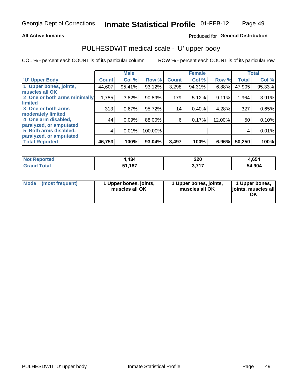### **All Active Inmates**

## Produced for General Distribution

# PULHESDWIT medical scale - 'U' upper body

COL % - percent each COUNT is of its particular column

|                              |              | <b>Male</b> |         |              | <b>Female</b> |        |              | <b>Total</b> |
|------------------------------|--------------|-------------|---------|--------------|---------------|--------|--------------|--------------|
| <b>U' Upper Body</b>         | <b>Count</b> | Col %       | Row %   | <b>Count</b> | Col %         | Row %  | <b>Total</b> | Col %        |
| 1 Upper bones, joints,       | 44,607       | 95.41%      | 93.12%  | 3,298        | 94.31%        | 6.88%  | 47,905       | 95.33%       |
| muscles all OK               |              |             |         |              |               |        |              |              |
| 2 One or both arms minimally | 1,785        | 3.82%       | 90.89%  | 179          | 5.12%         | 9.11%  | 1,964        | 3.91%        |
| limited                      |              |             |         |              |               |        |              |              |
| 3 One or both arms           | 313          | 0.67%       | 95.72%  | 14           | 0.40%         | 4.28%  | 327          | 0.65%        |
| <b>moderately limited</b>    |              |             |         |              |               |        |              |              |
| 4 One arm disabled,          | 44           | 0.09%       | 88.00%  | 6            | 0.17%         | 12.00% | 50           | 0.10%        |
| paralyzed, or amputated      |              |             |         |              |               |        |              |              |
| 5 Both arms disabled,        | 4            | 0.01%       | 100.00% |              |               |        | 4            | 0.01%        |
| paralyzed, or amputated      |              |             |         |              |               |        |              |              |
| <b>Total Reported</b>        | 46,753       | 100%        | 93.04%  | 3,497        | 100%          | 6.96%  | 50,250       | 100%         |

| <b>Not Reported</b>     | 4,434  | 220             | 4,654  |
|-------------------------|--------|-----------------|--------|
| <b>Total</b><br>' Grand | 51,187 | 747<br><u>.</u> | 54,904 |

| Mode<br>(most frequent) | 1 Upper bones, joints,<br>muscles all OK | 1 Upper bones, joints,<br>muscles all OK | 1 Upper bones,<br>joints, muscles all<br>ΟK |
|-------------------------|------------------------------------------|------------------------------------------|---------------------------------------------|
|-------------------------|------------------------------------------|------------------------------------------|---------------------------------------------|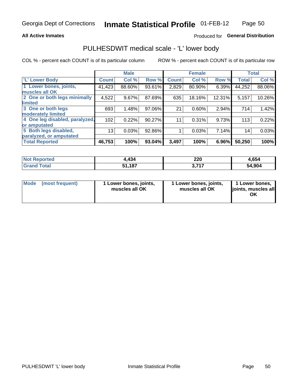#### **All Active Inmates**

## Produced for General Distribution

## PULHESDWIT medical scale - 'L' lower body

COL % - percent each COUNT is of its particular column

|                                |              | <b>Male</b> |        |              | <b>Female</b> |        |              | <b>Total</b> |
|--------------------------------|--------------|-------------|--------|--------------|---------------|--------|--------------|--------------|
| 'L' Lower Body                 | <b>Count</b> | Col %       | Row %  | <b>Count</b> | Col %         | Row %  | <b>Total</b> | Col %        |
| 1 Lower bones, joints,         | 41,423       | 88.60%      | 93.61% | 2,829        | 80.90%        | 6.39%  | 44,252       | 88.06%       |
| muscles all OK                 |              |             |        |              |               |        |              |              |
| 2 One or both legs minimally   | 4,522        | 9.67%       | 87.69% | 635          | 18.16%        | 12.31% | 5,157        | 10.26%       |
| limited                        |              |             |        |              |               |        |              |              |
| 3 One or both legs             | 693          | 1.48%       | 97.06% | 21           | 0.60%         | 2.94%  | 714          | 1.42%        |
| moderately limited             |              |             |        |              |               |        |              |              |
| 4 One leg disabled, paralyzed, | 102          | 0.22%       | 90.27% | 11           | 0.31%         | 9.73%  | 113          | 0.22%        |
| or amputated                   |              |             |        |              |               |        |              |              |
| 5 Both legs disabled,          | 13           | 0.03%       | 92.86% |              | 0.03%         | 7.14%  | 14           | 0.03%        |
| paralyzed, or amputated        |              |             |        |              |               |        |              |              |
| <b>Total Reported</b>          | 46,753       | 100%        | 93.04% | 3,497        | 100%          | 6.96%  | 50,250       | 100%         |

| <b>Not Reported</b>   | 4,434  | 220               | 4,654  |
|-----------------------|--------|-------------------|--------|
| <b>Total</b><br>Grand | 51,187 | 747<br>. <b>.</b> | 54,904 |

| Mode (most frequent) | 1 Lower bones, joints,<br>muscles all OK | 1 Lower bones, joints,<br>muscles all OK | 1 Lower bones,<br>joints, muscles all<br>ΟK |
|----------------------|------------------------------------------|------------------------------------------|---------------------------------------------|
|----------------------|------------------------------------------|------------------------------------------|---------------------------------------------|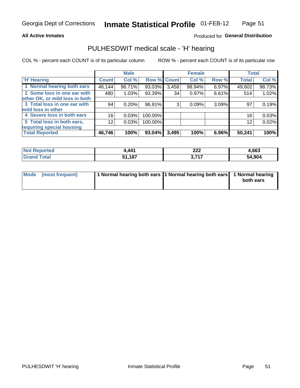#### **All Active Inmates**

### Produced for General Distribution

# PULHESDWIT medical scale - 'H' hearing

COL % - percent each COUNT is of its particular column

|                                |               | <b>Male</b> |             |       | <b>Female</b> |       | <b>Total</b> |        |
|--------------------------------|---------------|-------------|-------------|-------|---------------|-------|--------------|--------|
| <b>'H' Hearing</b>             | <b>Count!</b> | Col %       | Row % Count |       | Col %         | Row % | <b>Total</b> | Col %  |
| 1 Normal hearing both ears     | 46,144        | 98.71%      | 93.03%      | 3,458 | 98.94%        | 6.97% | 49,602       | 98.73% |
| 2 Some loss in one ear with    | 480           | 1.03%       | 93.39%      | 34    | 0.97%         | 6.61% | 514          | 1.02%  |
| other OK, or mild loss in both |               |             |             |       |               |       |              |        |
| 3 Total loss in one ear with   | 94            | 0.20%       | 96.91%      | 3     | 0.09%         | 3.09% | 97           | 0.19%  |
| mild loss in other             |               |             |             |       |               |       |              |        |
| 4 Severe loss in both ears     | 16            | 0.03%       | 100.00%     |       |               |       | 16           | 0.03%  |
| 5 Total loss in both ears,     | 12            | 0.03%       | 100.00%     |       |               |       | 12           | 0.02%  |
| requiring special housing      |               |             |             |       |               |       |              |        |
| <b>Total Reported</b>          | 46,746        | 100%        | $93.04\%$   | 3,495 | 100%          | 6.96% | 50,241       | 100%   |

| <b>Not Reported</b> | $AA^4$<br>44 I       | ົດດຕ<br>LLL       | 4,663  |
|---------------------|----------------------|-------------------|--------|
| Total               | 407<br>C 4<br>,,,,,, | っ フィフ<br>.<br>. . | 54,904 |

| Mode (most frequent) | 1 Normal hearing both ears 1 Normal hearing both ears 1 Normal hearing | both ears |
|----------------------|------------------------------------------------------------------------|-----------|
|                      |                                                                        |           |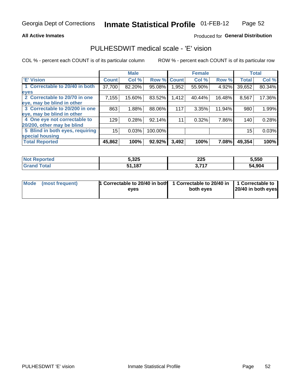### **All Active Inmates**

### Produced for General Distribution

## PULHESDWIT medical scale - 'E' vision

COL % - percent each COUNT is of its particular column

|                                 |              | <b>Male</b> |         |              | <b>Female</b> |        |              | <b>Total</b> |
|---------------------------------|--------------|-------------|---------|--------------|---------------|--------|--------------|--------------|
| <b>E' Vision</b>                | <b>Count</b> | Col %       | Row %   | <b>Count</b> | Col %         | Row %  | <b>Total</b> | Col %        |
| 1 Correctable to 20/40 in both  | 37,700       | 82.20%      | 95.08%  | .952         | 55.90%        | 4.92%  | 39,652       | 80.34%       |
| eyes                            |              |             |         |              |               |        |              |              |
| 2 Correctable to 20/70 in one   | 7,155        | 15.60%      | 83.52%  | 1,412        | 40.44%        | 16.48% | 8,567        | 17.36%       |
| eye, may be blind in other      |              |             |         |              |               |        |              |              |
| 3 Correctable to 20/200 in one  | 863          | 1.88%       | 88.06%  | 117          | 3.35%         | 11.94% | 980          | 1.99%        |
| eye, may be blind in other      |              |             |         |              |               |        |              |              |
| 4 One eye not correctable to    | 129          | 0.28%       | 92.14%  | 11           | 0.32%         | 7.86%  | 140          | 0.28%        |
| 20/200, other may be blind      |              |             |         |              |               |        |              |              |
| 5 Blind in both eyes, requiring | 15           | 0.03%       | 100.00% |              |               |        | 15           | 0.03%        |
| special housing                 |              |             |         |              |               |        |              |              |
| <b>Total Reported</b>           | 45,862       | 100%        | 92.92%  | 3,492        | 100%          | 7.08%  | 49,354       | 100%         |

| <b>Not Reported</b> | 5,325  | 225<br>___ | 5,550  |
|---------------------|--------|------------|--------|
| Гоtal               | 51,187 | ד ל        | 54,904 |

| Mode (most frequent) | 1 Correctable to 20/40 in both<br>eves | 1 Correctable to 20/40 in   1 Correctable to  <br>both eves | 20/40 in both eyes |
|----------------------|----------------------------------------|-------------------------------------------------------------|--------------------|
|                      |                                        |                                                             |                    |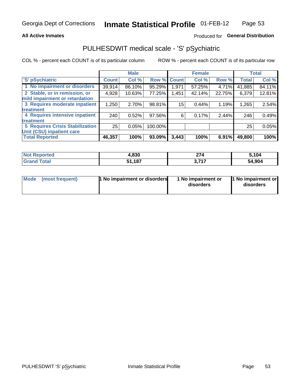### **All Active Inmates**

## Produced for General Distribution

# PULHESDWIT medical scale - 'S' pSychiatric

COL % - percent each COUNT is of its particular column

|                                        |              | <b>Male</b> |         |              | <b>Female</b> |        |              | <b>Total</b> |
|----------------------------------------|--------------|-------------|---------|--------------|---------------|--------|--------------|--------------|
| 'S' pSychiatric                        | <b>Count</b> | Col %       | Row %   | <b>Count</b> | Col %         | Row %  | <b>Total</b> | Col %        |
| 1 No impairment or disorders           | 39,914       | 86.10%      | 95.29%  | 1,971        | 57.25%        | 4.71%  | 41,885       | 84.11%       |
| 2 Stable, or in remission, or          | 4,928        | 10.63%      | 77.25%  | 1,451        | 42.14%        | 22.75% | 6,379        | 12.81%       |
| mild impairment or retardation         |              |             |         |              |               |        |              |              |
| 3 Requires moderate inpatient          | 1,250        | 2.70%       | 98.81%  | 15           | 0.44%         | 1.19%  | 1,265        | 2.54%        |
| treatment                              |              |             |         |              |               |        |              |              |
| 4 Requires intensive inpatient         | 240          | 0.52%       | 97.56%  | 6            | 0.17%         | 2.44%  | 246          | 0.49%        |
| treatment                              |              |             |         |              |               |        |              |              |
| <b>5 Requires Crisis Stabilization</b> | 25           | 0.05%       | 100.00% |              |               |        | 25           | 0.05%        |
| Unit (CSU) inpatient care              |              |             |         |              |               |        |              |              |
| <b>Total Reported</b>                  | 46,357       | 100%        | 93.09%  | 3,443        | 100%          | 6.91%  | 49,800       | 100%         |

| <b>Not Reported</b> | 1,830 | $\sim$<br>214 | 5,104  |
|---------------------|-------|---------------|--------|
| Total               | 1,187 | っ フィフ<br>.    | 54,904 |

| Mode | (most frequent) | 1 No impairment or disorders | 1 No impairment or<br>disorders | 11 No impairment or<br>disorders |
|------|-----------------|------------------------------|---------------------------------|----------------------------------|
|------|-----------------|------------------------------|---------------------------------|----------------------------------|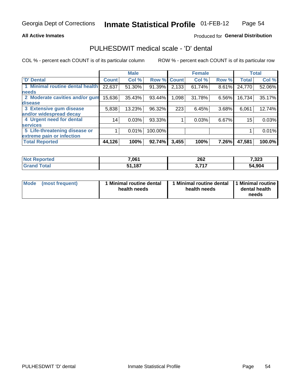### **All Active Inmates**

### Produced for General Distribution

## PULHESDWIT medical scale - 'D' dental

COL % - percent each COUNT is of its particular column

|                                 |              | <b>Male</b> |         |              | <b>Female</b> |       |              | <b>Total</b> |
|---------------------------------|--------------|-------------|---------|--------------|---------------|-------|--------------|--------------|
| <b>D'</b> Dental                | <b>Count</b> | Col %       | Row %   | <b>Count</b> | Col %         | Row % | <b>Total</b> | Col %        |
| 1 Minimal routine dental health | 22,637       | 51.30%      | 91.39%  | 2,133        | 61.74%        | 8.61% | 24,770       | 52.06%       |
| <b>needs</b>                    |              |             |         |              |               |       |              |              |
| 2 Moderate cavities and/or gum  | 15,636       | 35.43%      | 93.44%  | 1,098        | 31.78%        | 6.56% | 16,734       | 35.17%       |
| disease                         |              |             |         |              |               |       |              |              |
| 3 Extensive gum disease         | 5,838        | 13.23%      | 96.32%  | 223          | 6.45%         | 3.68% | 6,061        | 12.74%       |
| and/or widespread decay         |              |             |         |              |               |       |              |              |
| 4 Urgent need for dental        | 14           | 0.03%       | 93.33%  |              | 0.03%         | 6.67% | 15           | 0.03%        |
| <b>services</b>                 |              |             |         |              |               |       |              |              |
| 5 Life-threatening disease or   |              | 0.01%       | 100.00% |              |               |       |              | 0.01%        |
| extreme pain or infection       |              |             |         |              |               |       |              |              |
| <b>Total Reported</b>           | 44,126       | 100%        | 92.74%  | 3,455        | 100%          | 7.26% | 47,581       | 100.0%       |

| <b>Not Reported</b> | 7,061  | 262<br>______ | 7,323  |
|---------------------|--------|---------------|--------|
| <b>Total</b>        | 51,187 | <b>2747</b>   | 54,904 |

| 1 Minimal routine dental<br>Mode<br>(most frequent)<br>health needs | 1 Minimal routine dental 1 Minimal routine<br>health needs | dental health<br>needs |
|---------------------------------------------------------------------|------------------------------------------------------------|------------------------|
|---------------------------------------------------------------------|------------------------------------------------------------|------------------------|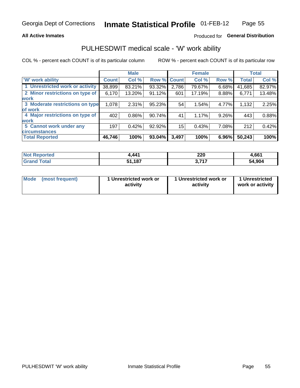### **All Active Inmates**

## Produced for General Distribution

## PULHESDWIT medical scale - 'W' work ability

COL % - percent each COUNT is of its particular column

|                                 |              | <b>Male</b> |        |             | <b>Female</b> |       |              | <b>Total</b> |
|---------------------------------|--------------|-------------|--------|-------------|---------------|-------|--------------|--------------|
| 'W' work ability                | <b>Count</b> | Col %       |        | Row % Count | Col %         | Row % | <b>Total</b> | Col %        |
| 1 Unrestricted work or activity | 38,899       | 83.21%      | 93.32% | 2,786       | 79.67%        | 6.68% | 41,685       | 82.97%       |
| 2 Minor restrictions on type of | 6,170        | 13.20%      | 91.12% | 601         | 17.19%        | 8.88% | 6,771        | 13.48%       |
| <b>work</b>                     |              |             |        |             |               |       |              |              |
| 3 Moderate restrictions on type | 1,078        | 2.31%       | 95.23% | 54          | 1.54%         | 4.77% | 1,132        | 2.25%        |
| lof work                        |              |             |        |             |               |       |              |              |
| 4 Major restrictions on type of | 402          | 0.86%       | 90.74% | 41          | 1.17%         | 9.26% | 443          | 0.88%        |
| <b>work</b>                     |              |             |        |             |               |       |              |              |
| 5 Cannot work under any         | 197          | 0.42%       | 92.92% | 15          | 0.43%         | 7.08% | 212          | 0.42%        |
| <b>circumstances</b>            |              |             |        |             |               |       |              |              |
| <b>Total Reported</b>           | 46,746       | 100%        | 93.04% | 3,497       | 100%          | 6.96% | 50,243       | 100%         |

| NotR<br><b>Enorted</b> | <b>441</b>        | חרר<br>ZZU<br>__ | 4,661  |
|------------------------|-------------------|------------------|--------|
| Гоtal                  | ,187<br>. .<br>こん | っっっ<br><b></b>   | 54,904 |

| Mode            | 1 Unrestricted work or | 1 Unrestricted work or | 1 Unrestricted   |
|-----------------|------------------------|------------------------|------------------|
| (most frequent) | activity               | activity               | work or activity |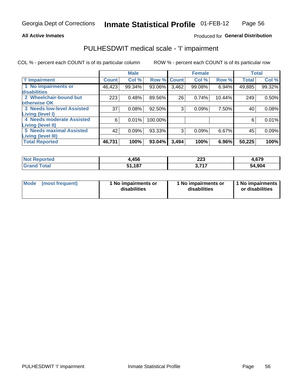### **All Active Inmates**

### Produced for General Distribution

# PULHESDWIT medical scale - 'I' impairment

COL % - percent each COUNT is of its particular column

|                                                              |              | <b>Male</b> |         |             | <b>Female</b> |        |              | <b>Total</b> |
|--------------------------------------------------------------|--------------|-------------|---------|-------------|---------------|--------|--------------|--------------|
| <b>T' Impairment</b>                                         | <b>Count</b> | Col %       |         | Row % Count | Col %         | Row %  | <b>Total</b> | Col %        |
| 1 No impairments or<br>disabilities                          | 46,423       | 99.34%      | 93.06%  | 3,462       | 99.08%        | 6.94%  | 49,885       | 99.32%       |
| 2 Wheelchair-bound but<br>otherwise OK                       | 223          | 0.48%       | 89.56%  | 26          | 0.74%         | 10.44% | 249          | 0.50%        |
| <b>3 Needs low-level Assisted</b><br>Living (level I)        | 37           | 0.08%       | 92.50%  | 3           | 0.09%         | 7.50%  | 40           | 0.08%        |
| 4 Needs moderate Assisted<br>Living (level II)               | 6            | 0.01%       | 100.00% |             |               |        | 6            | 0.01%        |
| <b>5 Needs maximal Assisted</b><br><b>Living (level III)</b> | 42           | 0.09%       | 93.33%  | 3           | 0.09%         | 6.67%  | 45           | 0.09%        |
| <b>Total Reported</b>                                        | 46,731       | 100%        | 93.04%  | 3,494       | 100%          | 6.96%  | 50,225       | 100%         |

| <b>Not</b><br>Reported | 4,456  | っっっ<br>ـد∠ــ<br>$\sim$ | 4,679  |
|------------------------|--------|------------------------|--------|
| Total                  | 51.187 | フィフ<br>J.              | 54,904 |

| Mode | (most frequent) | 1 No impairments or<br>disabilities | 1 No impairments or<br>disabilities | 1 No impairments<br>or disabilities |
|------|-----------------|-------------------------------------|-------------------------------------|-------------------------------------|
|------|-----------------|-------------------------------------|-------------------------------------|-------------------------------------|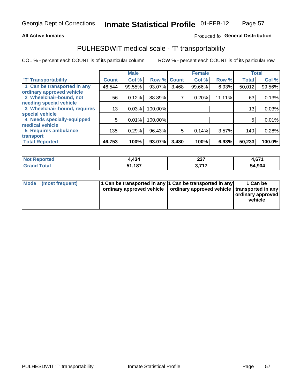### **All Active Inmates**

### Produced fo General Distribution

# PULHESDWIT medical scale - 'T' transportability

COL % - percent each COUNT is of its particular column

|                              |              | <b>Male</b> |         |              | <b>Female</b> |        |              | <b>Total</b> |
|------------------------------|--------------|-------------|---------|--------------|---------------|--------|--------------|--------------|
| <b>T' Transportability</b>   | <b>Count</b> | Col %       | Row %   | <b>Count</b> | Col %         | Row %  | <b>Total</b> | Col %        |
| 1 Can be transported in any  | 46,544       | 99.55%      | 93.07%  | 3,468        | 99.66%        | 6.93%  | 50,012       | 99.56%       |
| ordinary approved vehicle    |              |             |         |              |               |        |              |              |
| 2 Wheelchair-bound, not      | 56           | 0.12%       | 88.89%  | 7            | 0.20%         | 11.11% | 63           | 0.13%        |
| needing special vehicle      |              |             |         |              |               |        |              |              |
| 3 Wheelchair-bound, requires | 13           | 0.03%       | 100.00% |              |               |        | 13           | 0.03%        |
| special vehicle              |              |             |         |              |               |        |              |              |
| 4 Needs specially-equipped   | 5            | 0.01%       | 100.00% |              |               |        | 5            | 0.01%        |
| medical vehicle              |              |             |         |              |               |        |              |              |
| <b>5 Requires ambulance</b>  | 135          | 0.29%       | 96.43%  | 5            | 0.14%         | 3.57%  | 140          | 0.28%        |
| transport                    |              |             |         |              |               |        |              |              |
| <b>Total Reported</b>        | 46,753       | 100%        | 93.07%  | 3,480        | 100%          | 6.93%  | 50,233       | 100.0%       |

| orted      | .434               | 027<br>2J I | c74<br>4,07 L |
|------------|--------------------|-------------|---------------|
| <b>ota</b> | E <sub>4</sub> 497 | ・フィフ        | 54,904        |

|  | Mode (most frequent) | 1 Can be transported in any 1 Can be transported in any<br>ordinary approved vehicle   ordinary approved vehicle   transported in any |  | 1 Can be<br>  ordinary approved  <br>vehicle |
|--|----------------------|---------------------------------------------------------------------------------------------------------------------------------------|--|----------------------------------------------|
|--|----------------------|---------------------------------------------------------------------------------------------------------------------------------------|--|----------------------------------------------|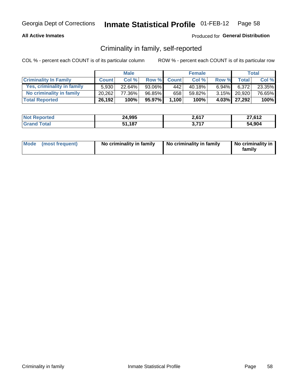### **All Active Inmates**

### Produced for General Distribution

## Criminality in family, self-reported

COL % - percent each COUNT is of its particular column

|                              |              | <b>Male</b> |        |              | <b>Female</b> |          |                 | <b>Total</b> |
|------------------------------|--------------|-------------|--------|--------------|---------------|----------|-----------------|--------------|
| <b>Criminality In Family</b> | <b>Count</b> | Col%        | Row %  | <b>Count</b> | Col %         | Row %    | <b>Total</b>    | Col %        |
| Yes, criminality in family   | 5.930        | $22.64\%$   | 93.06% | 4421         | 40.18%        | $6.94\%$ | 6.372           | 23.35%       |
| No criminality in family     | 20.262       | 77.36%      | 96.85% | 658          | 59.82%        |          | $3.15\%$ 20,920 | 76.65%       |
| <b>Total Reported</b>        | 26,192       | 100%        | 95.97% | 1,100        | 100%          |          | 4.03% 27,292    | 100%         |

| <b>Not</b><br>Reported | 24,995       | 0.017<br>Z, O I J | 27,612 |
|------------------------|--------------|-------------------|--------|
| <b>ota</b>             | 1,187ذ<br>51 | 747<br>v.         | 54.904 |

|  | Mode (most frequent) | No criminality in family | No criminality in family | No criminality in<br>family |
|--|----------------------|--------------------------|--------------------------|-----------------------------|
|--|----------------------|--------------------------|--------------------------|-----------------------------|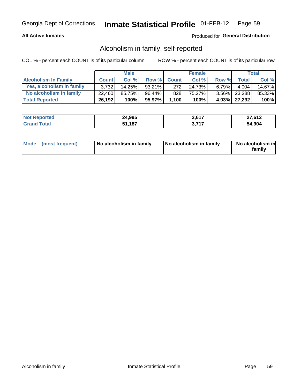### **All Active Inmates**

### Produced for General Distribution

## Alcoholism in family, self-reported

COL % - percent each COUNT is of its particular column

|                             |              | <b>Male</b> |           |              | <b>Female</b> |          |              | Total  |
|-----------------------------|--------------|-------------|-----------|--------------|---------------|----------|--------------|--------|
| <b>Alcoholism In Family</b> | <b>Count</b> | Col%        | Row %     | <b>Count</b> | Col %         | Row %    | <b>Total</b> | Col %  |
| Yes, alcoholism in family   | 3.732        | 14.25%      | $93.21\%$ | 272          | 24.73%        | $6.79\%$ | 4.004        | 14.67% |
| No alcoholism in family     | 22.460       | 85.75%      | 96.44%    | 828          | 75.27%        |          | 3.56% 23,288 | 85.33% |
| <b>Total Reported</b>       | 26,192       | 100%        | 95.97%    | 1,100        | 100%          |          | 4.03% 27,292 | 100%   |

| <b>Not Reported</b>   | 24,995 | 2617<br>Z,O I | 27,612 |
|-----------------------|--------|---------------|--------|
| Total<br><b>Grand</b> | 51,187 | フィフ           | 54,904 |

|  | Mode (most frequent) | No alcoholism in family | No alcoholism in family | No alcoholism in<br>family |
|--|----------------------|-------------------------|-------------------------|----------------------------|
|--|----------------------|-------------------------|-------------------------|----------------------------|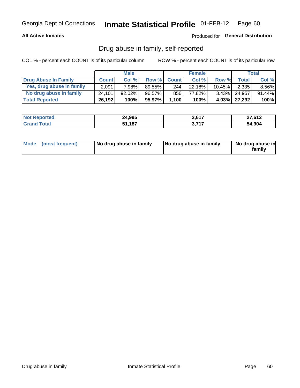### **All Active Inmates**

## Produced for General Distribution

## Drug abuse in family, self-reported

COL % - percent each COUNT is of its particular column

|                           |              | <b>Male</b> |           |              | <b>Female</b> |           |              | Total    |
|---------------------------|--------------|-------------|-----------|--------------|---------------|-----------|--------------|----------|
| Drug Abuse In Family      | <b>Count</b> | Col %       | Row %     | <b>Count</b> | Col %         | Row %     | <b>Total</b> | Col %    |
| Yes, drug abuse in family | 2,091        | 7.98%       | 89.55%    | 244          | 22.18%        | $10.45\%$ | 2,335        | $8.56\%$ |
| No drug abuse in family   | 24.101       | 92.02%      | $96.57\%$ | 856          | 77.82%        |           | 3.43% 24,957 | 91.44%   |
| <b>Total Reported</b>     | 26,192       | 100%        | 95.97%    | 1,100        | 100%          |           | 4.03% 27,292 | $100\%$  |

| <b>Not Reported</b>   | 24,995 | 2617<br>Z,O I | 27,612 |
|-----------------------|--------|---------------|--------|
| Total<br><b>Grand</b> | 51,187 | フィフ           | 54,904 |

|  | Mode (most frequent) | No drug abuse in family | No drug abuse in family | No drug abuse in<br>familv |
|--|----------------------|-------------------------|-------------------------|----------------------------|
|--|----------------------|-------------------------|-------------------------|----------------------------|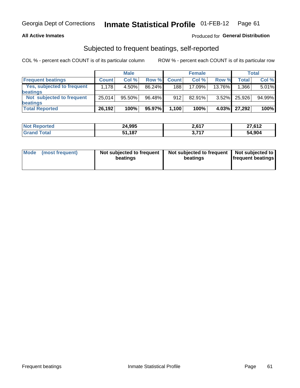### **All Active Inmates**

## **Produced for General Distribution**

## Subjected to frequent beatings, self-reported

COL % - percent each COUNT is of its particular column

|                            |              | <b>Male</b> |        |              | <b>Female</b> |          |              | Total  |
|----------------------------|--------------|-------------|--------|--------------|---------------|----------|--------------|--------|
| <b>Frequent beatings</b>   | <b>Count</b> | Col %       | Row %  | <b>Count</b> | Col %         | Row %    | <b>Total</b> | Col %  |
| Yes, subjected to frequent | 1,178        | 4.50%       | 86.24% | 188          | 17.09%        | 13.76%   | 1,366        | 5.01%  |
| beatings                   |              |             |        |              |               |          |              |        |
| Not subjected to frequent  | 25.014       | 95.50%      | 96.48% | 912          | 82.91%        | $3.52\%$ | 25,926       | 94.99% |
| beatings                   |              |             |        |              |               |          |              |        |
| <b>Total Reported</b>      | 26,192       | 100%        | 95.97% | 1,100        | 100%          | 4.03%    | 27,292       | 100%   |

| <b>Not Reported</b> | 24,995 | 2,617      | 27,612 |
|---------------------|--------|------------|--------|
| <b>Grand Total</b>  | 51,187 | -74.7<br>. | 54,904 |

| Mode (most frequent) | Not subjected to frequent<br>beatings | Not subjected to frequent<br>beatings | Not subjected to<br><b>frequent beatings</b> |
|----------------------|---------------------------------------|---------------------------------------|----------------------------------------------|
|                      |                                       |                                       |                                              |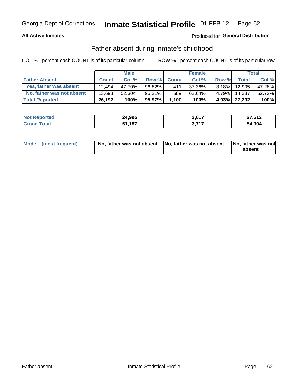### **All Active Inmates**

## Produced for General Distribution

## Father absent during inmate's childhood

COL % - percent each COUNT is of its particular column

|                           |              | <b>Male</b> |           |              | <b>Female</b> |          |              | Total  |
|---------------------------|--------------|-------------|-----------|--------------|---------------|----------|--------------|--------|
| <b>Father Absent</b>      | <b>Count</b> | Col%        | Row %     | <b>Count</b> | Col %         | Row %    | <b>Total</b> | Col %  |
| Yes, father was absent    | 12.494       | 47.70%      | 96.82%    | 411          | 37.36%        | $3.18\%$ | 12,905       | 47.28% |
| No, father was not absent | 13.698       | 52.30%      | $95.21\%$ | 689          | 62.64%        | $4.79\%$ | 14.387       | 52.72% |
| <b>Total Reported</b>     | 26,192       | 100%        | 95.97%    | 1,100        | 100%          |          | 4.03% 27,292 | 100%   |

| <b>Not Reported</b> | 24,995 | 2617<br>2.011 | 27,612 |
|---------------------|--------|---------------|--------|
| Total<br>l Grand T  | 51,187 | フィフ<br>J.     | 54,904 |

|  | Mode (most frequent) | No, father was not absent No, father was not absent |  | No, father was not<br>absent |
|--|----------------------|-----------------------------------------------------|--|------------------------------|
|--|----------------------|-----------------------------------------------------|--|------------------------------|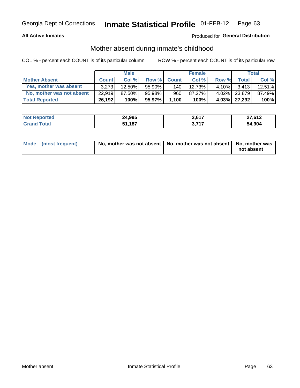### **All Active Inmates**

### Produced for General Distribution

## Mother absent during inmate's childhood

COL % - percent each COUNT is of its particular column

|                           |              | <b>Male</b> |           |              | <b>Female</b> |          |              | Total  |
|---------------------------|--------------|-------------|-----------|--------------|---------------|----------|--------------|--------|
| <b>Mother Absent</b>      | <b>Count</b> | Col%        | Row %     | <b>Count</b> | Col %         | Row %    | <b>Total</b> | Col %  |
| Yes, mother was absent    | 3.273        | 12.50%      | $95.90\%$ | 140          | 12.73%        | $4.10\%$ | 3.413        | 12.51% |
| No, mother was not absent | 22.919       | 87.50%      | 95.98%    | 960          | 87.27%        | $4.02\%$ | 23,879       | 87.49% |
| <b>Total Reported</b>     | 26,192       | 100%        | 95.97%    | 1,100        | 100%          |          | 4.03% 27,292 | 100%   |

| <b>Not</b><br>Reported | 24,995       | 0.017<br>Z, O I J | 27,612 |
|------------------------|--------------|-------------------|--------|
| <b>ota</b>             | 1,187ذ<br>51 | 747<br>v.         | 54.904 |

| Mode (most frequent) | No, mother was not absent   No, mother was not absent   No, mother was | not absent |
|----------------------|------------------------------------------------------------------------|------------|
|                      |                                                                        |            |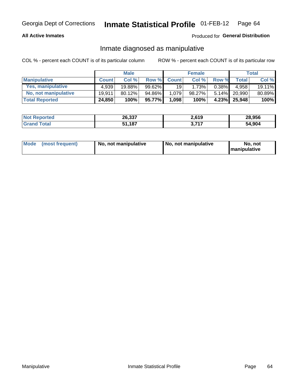### **All Active Inmates**

### Produced for General Distribution

## Inmate diagnosed as manipulative

COL % - percent each COUNT is of its particular column

|                       |              | <b>Male</b> |           |              | <b>Female</b> |          |              | Total  |
|-----------------------|--------------|-------------|-----------|--------------|---------------|----------|--------------|--------|
| <b>Manipulative</b>   | <b>Count</b> | Col %       | Row %     | <b>Count</b> | Col%          | Row %    | <b>Total</b> | Col %  |
| Yes, manipulative     | 4,939        | 19.88%      | $99.62\%$ | 19           | 1.73%         | $0.38\%$ | 4.958        | 19.11% |
| No, not manipulative  | 19.911       | 80.12%      | 94.86%    | 1,079        | 98.27%」       | $5.14\%$ | 20.990       | 80.89% |
| <b>Total Reported</b> | 24,850       | 100%        | 95.77%    | 1,098        | 100%          | 4.23%    | 25,948       | 100%   |

| <b>Not Reported</b>          | 26,337 | 2,619      | 28,956 |
|------------------------------|--------|------------|--------|
| <b>Total</b><br><b>Grand</b> | 51,187 | 2747<br>v. | 54,904 |

| Mode | (most frequent) | No, not manipulative | No, not manipulative | No. not<br><b>I</b> manipulative |
|------|-----------------|----------------------|----------------------|----------------------------------|
|------|-----------------|----------------------|----------------------|----------------------------------|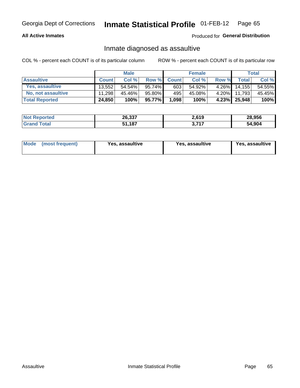### **All Active Inmates**

### Produced for General Distribution

## Inmate diagnosed as assaultive

COL % - percent each COUNT is of its particular column

|                           |              | <b>Male</b> |         |              | <b>Female</b> |          |              | Total  |
|---------------------------|--------------|-------------|---------|--------------|---------------|----------|--------------|--------|
| <b>Assaultive</b>         | <b>Count</b> | Col %       | Row %   | <b>Count</b> | Col %         | Row %    | <b>Total</b> | Col %  |
| Yes, assaultive           | 13.552       | $54.54\%$   | 95.74%  | 603          | 54.92%        | $4.26\%$ | 14,155       | 54.55% |
| <b>No, not assaultive</b> | 11,298       | 45.46%      | 95.80%  | 495          | 45.08%        | $4.20\%$ | 11,793       | 45.45% |
| <b>Total Reported</b>     | 24,850       | 100%        | 95.77%I | 1,098        | 100%          |          | 4.23% 25,948 | 100%   |

| <b>Not Reported</b>   | 26,337   | 2,619 | 28.956 |
|-----------------------|----------|-------|--------|
| <b>Grand</b><br>īotal | 1,187ء ر | フィフ   | 54.904 |

| Mode<br>(most frequent) | Yes, assaultive | Yes, assaultive | <b>Yes, assaultive</b> |
|-------------------------|-----------------|-----------------|------------------------|
|-------------------------|-----------------|-----------------|------------------------|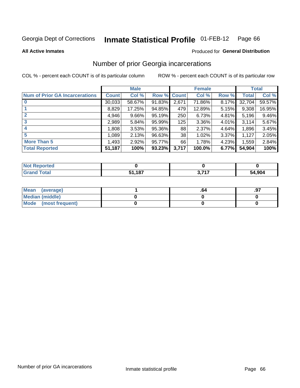#### **Inmate Statistical Profile 01-FEB-12** Page 66

**All Active Inmates** 

#### Produced for General Distribution

## Number of prior Georgia incarcerations

COL % - percent each COUNT is of its particular column

|                                       |              | <b>Male</b> |             |       | <b>Female</b> |       |        | <b>Total</b> |
|---------------------------------------|--------------|-------------|-------------|-------|---------------|-------|--------|--------------|
| <b>Num of Prior GA Incarcerations</b> | <b>Count</b> | Col %       | Row % Count |       | Col %         | Row % | Total  | Col %        |
|                                       | 30,033       | 58.67%      | 91.83%      | 2,671 | 71.86%        | 8.17% | 32,704 | 59.57%       |
|                                       | 8,829        | 17.25%      | 94.85%      | 479   | 12.89%        | 5.15% | 9,308  | 16.95%       |
| $\overline{2}$                        | 4,946        | $9.66\%$    | 95.19%      | 250   | 6.73%         | 4.81% | 5,196  | 9.46%        |
| 3                                     | 2,989        | 5.84%       | 95.99%      | 125   | 3.36%         | 4.01% | 3,114  | 5.67%        |
| $\boldsymbol{4}$                      | 1,808        | 3.53%       | 95.36%      | 88    | 2.37%         | 4.64% | 1,896  | 3.45%        |
| 5                                     | 1,089        | 2.13%       | 96.63%      | 38    | 1.02%         | 3.37% | 1,127  | 2.05%        |
| <b>More Than 5</b>                    | 1,493        | 2.92%       | 95.77%      | 66    | 1.78%         | 4.23% | 1,559  | 2.84%        |
| <b>Total Reported</b>                 | 51,187       | 100%        | 93.23%      | 3,717 | 100.0%        | 6.77% | 54,904 | 100%         |

| <b>Reported</b><br><b>NOT</b> |        |             |        |
|-------------------------------|--------|-------------|--------|
| <b>Total</b><br>.Grs          | 51,187 | <b>2747</b> | 54,904 |

| Mean (average)       |  | .9. |
|----------------------|--|-----|
| Median (middle)      |  |     |
| Mode (most frequent) |  |     |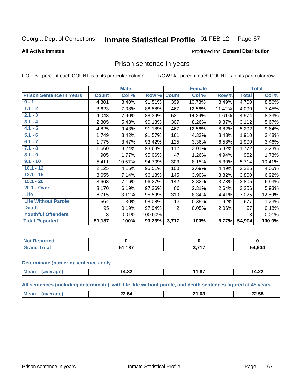#### Inmate Statistical Profile 01-FEB-12 Page 67

#### **All Active Inmates**

#### Produced for General Distribution

## Prison sentence in years

COL % - percent each COUNT is of its particular column

ROW % - percent each COUNT is of its particular row

|                                 |              | <b>Male</b> |           |                | <b>Female</b> |        |              | <b>Total</b> |
|---------------------------------|--------------|-------------|-----------|----------------|---------------|--------|--------------|--------------|
| <b>Prison Sentence In Years</b> | <b>Count</b> | Col %       | Row %     | <b>Count</b>   | Col %         | Row %  | <b>Total</b> | Col %        |
| $0 - 1$                         | 4,301        | 8.40%       | 91.51%    | 399            | 10.73%        | 8.49%  | 4,700        | 8.56%        |
| $1.1 - 2$                       | 3,623        | 7.08%       | 88.58%    | 467            | 12.56%        | 11.42% | 4,090        | 7.45%        |
| $2.1 - 3$                       | 4,043        | 7.90%       | 88.39%    | 531            | 14.29%        | 11.61% | 4,574        | 8.33%        |
| $3.1 - 4$                       | 2,805        | 5.48%       | 90.13%    | 307            | 8.26%         | 9.87%  | 3,112        | 5.67%        |
| $4.1 - 5$                       | 4,825        | 9.43%       | 91.18%    | 467            | 12.56%        | 8.82%  | 5,292        | 9.64%        |
| $5.1 - 6$                       | 1,749        | 3.42%       | 91.57%    | 161            | 4.33%         | 8.43%  | 1,910        | 3.48%        |
| $6.1 - 7$                       | 1,775        | 3.47%       | 93.42%    | 125            | 3.36%         | 6.58%  | 1,900        | 3.46%        |
| $7.1 - 8$                       | 1,660        | 3.24%       | 93.68%    | 112            | 3.01%         | 6.32%  | 1,772        | 3.23%        |
| $8.1 - 9$                       | 905          | 1.77%       | 95.06%    | 47             | 1.26%         | 4.94%  | 952          | 1.73%        |
| $9.1 - 10$                      | 5,411        | 10.57%      | 94.70%    | 303            | 8.15%         | 5.30%  | 5,714        | 10.41%       |
| $10.1 - 12$                     | 2,125        | 4.15%       | 95.51%    | 100            | 2.69%         | 4.49%  | 2,225        | 4.05%        |
| $12.1 - 15$                     | 3,655        | 7.14%       | 96.18%    | 145            | 3.90%         | 3.82%  | 3,800        | 6.92%        |
| $15.1 - 20$                     | 3,663        | 7.16%       | 96.27%    | 142            | 3.82%         | 3.73%  | 3,805        | 6.93%        |
| 20.1 - Over                     | 3,170        | 6.19%       | 97.36%    | 86             | 2.31%         | 2.64%  | 3,256        | 5.93%        |
| <b>Life</b>                     | 6,715        | 13.12%      | 95.59%    | 310            | 8.34%         | 4.41%  | 7,025        | 12.80%       |
| <b>Life Without Parole</b>      | 664          | 1.30%       | 98.08%    | 13             | 0.35%         | 1.92%  | 677          | 1.23%        |
| <b>Death</b>                    | 95           | 0.19%       | 97.94%    | $\overline{2}$ | 0.05%         | 2.06%  | 97           | 0.18%        |
| <b>Youthful Offenders</b>       | 3            | 0.01%       | 100.00%   |                |               |        | 3            | 0.01%        |
| <b>Total Reported</b>           | 51,187       | 100%        | $93.23\%$ | 3,717          | 100%          | 6.77%  | 54,904       | 100.0%       |

| I NOT<br>Reported |      |       |        |
|-------------------|------|-------|--------|
|                   | .187 | , 747 | 54,904 |

#### **Determinate (numeric) sentences only**

| <b>Mean</b> | . ^^<br>ـ⊿د.14<br>______ | $-$<br> | $\sim$<br>$\overline{\phantom{a}}$<br>4.ZZ |
|-------------|--------------------------|---------|--------------------------------------------|
|             |                          |         |                                            |

All sentences (including determinate), with life, life without parole, and death sentences figured at 45 years

| $\sim$<br>. . |                  |   |       |
|---------------|------------------|---|-------|
| __<br>___     | $^{\dagger}$ Me: | m | 22.58 |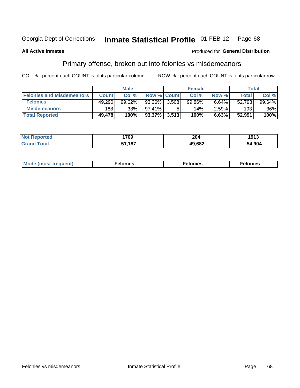#### Inmate Statistical Profile 01-FEB-12 Page 68

### **All Active Inmates**

### Produced for General Distribution

## Primary offense, broken out into felonies vs misdemeanors

COL % - percent each COUNT is of its particular column

|                                  |              | <b>Male</b> |              |                    | <b>Female</b> |          | Total  |         |
|----------------------------------|--------------|-------------|--------------|--------------------|---------------|----------|--------|---------|
| <b>Felonies and Misdemeanors</b> | <b>Count</b> | Col%        |              | <b>Row % Count</b> | Col%          | Row %    | Total, | Col %   |
| <b>Felonies</b>                  | 49,290       | 99.62%      | 93.36%       | 3.508              | 99.86%        | 6.64%    | 52,798 | 99.64%  |
| <b>Misdemeanors</b>              | 188          | .38% '      | $97.41\%$    |                    | 14%           | $2.59\%$ | 193    | $.36\%$ |
| <b>Total Reported</b>            | 49,478       | 100%        | 93.37% 3,513 |                    | 100%          | 6.63%    | 52,991 | 100%    |

| <b>Not</b><br>rted<br>___ | 1709  | 204          | 1913   |
|---------------------------|-------|--------------|--------|
| Grar<br><b>ota</b> n      | -4.07 | 19,682<br>ДU | 54.904 |

| Mo | ____ | 11 C.S<br>. | onies<br>. |
|----|------|-------------|------------|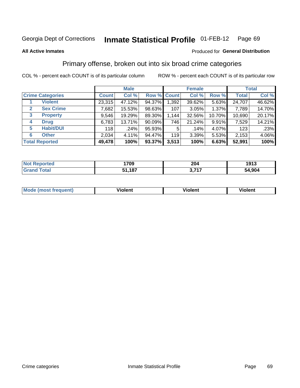#### **All Active Inmates**

### Produced for **General Distribution**

## Primary offense, broken out into six broad crime categories

|                         | <b>Male</b>  |        |           | <b>Female</b> |        |        | <b>Total</b> |        |
|-------------------------|--------------|--------|-----------|---------------|--------|--------|--------------|--------|
| <b>Crime Categories</b> | <b>Count</b> | Col %  |           | Row % Count   | Col %  | Row %  | <b>Total</b> | Col %  |
| <b>Violent</b>          | 23,315       | 47.12% | 94.37%    | 1,392         | 39.62% | 5.63%  | 24,707       | 46.62% |
| <b>Sex Crime</b><br>2   | 7,682        | 15.53% | 98.63%    | 107           | 3.05%  | 1.37%  | 7,789        | 14.70% |
| 3<br><b>Property</b>    | 9,546        | 19.29% | 89.30%    | 1,144         | 32.56% | 10.70% | 10,690       | 20.17% |
| <b>Drug</b><br>4        | 6,783        | 13.71% | $90.09\%$ | 746           | 21.24% | 9.91%  | 7,529        | 14.21% |
| <b>Habit/DUI</b><br>5   | 118          | .24%   | 95.93%    | 5             | .14%   | 4.07%  | 123          | .23%   |
| <b>Other</b><br>6       | 2,034        | 4.11%  | 94.47%    | 119           | 3.39%  | 5.53%  | 2,153        | 4.06%  |
| <b>Total Reported</b>   | 49,478       | 100%   | 93.37%    | 3,513         | 100%   | 6.63%  | 52,991       | 100%   |

| rted<br>NO | 1709   | 204  | 1913 |  |  |
|------------|--------|------|------|--|--|
| $\sim$     | 1,187خ | ゝヮィヮ | .904 |  |  |
|            | E A    | . .  | 54   |  |  |

| Mc | .<br>$\cdots$ | VIOIEM |
|----|---------------|--------|
|    |               |        |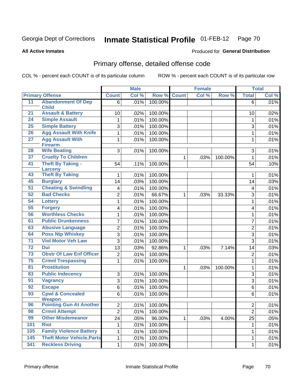**All Active Inmates**

### Produced for **General Distribution**

# Primary offense, detailed offense code

|                  |                                       |                 | <b>Male</b> |         |              | <b>Female</b> |         |                | <b>Total</b> |
|------------------|---------------------------------------|-----------------|-------------|---------|--------------|---------------|---------|----------------|--------------|
|                  | <b>Primary Offense</b>                | <b>Count</b>    | Col %       | Row %   | <b>Count</b> | Col %         | Row %   | <b>Total</b>   | Col %        |
| 11               | <b>Abandonment Of Dep</b>             | 6               | .01%        | 100.00% |              |               |         | 6              | .01%         |
|                  | <b>Child</b>                          |                 |             |         |              |               |         |                |              |
| 21               | <b>Assault &amp; Battery</b>          | 10              | .02%        | 100.00% |              |               |         | 10             | .02%         |
| 24               | <b>Simple Assault</b>                 | 1               | .01%        | 100.00% |              |               |         | 1              | .01%         |
| 25               | <b>Simple Battery</b>                 | 3               | .01%        | 100.00% |              |               |         | 3              | .01%         |
| 26               | <b>Agg Assault With Knife</b>         | 1               | .01%        | 100.00% |              |               |         | $\mathbf{1}$   | .01%         |
| $\overline{27}$  | <b>Agg Assault With</b>               | 1               | .01%        | 100.00% |              |               |         | 1              | .01%         |
| 28               | <b>Firearm</b><br><b>Wife Beating</b> | 3               | .01%        | 100.00% |              |               |         | 3              | .01%         |
| 37               | <b>Cruelty To Children</b>            |                 |             |         | 1            | .03%          | 100.00% | 1              | .01%         |
| 41               | <b>Theft By Taking -</b>              | 54              | .11%        | 100.00% |              |               |         | 54             | .10%         |
|                  | <b>Larceny</b>                        |                 |             |         |              |               |         |                |              |
| 43               | <b>Theft By Taking</b>                | 1               | .01%        | 100.00% |              |               |         | 1              | .01%         |
| 45               | <b>Burglary</b>                       | 14              | .03%        | 100.00% |              |               |         | 14             | .03%         |
| 51               | <b>Cheating &amp; Swindling</b>       | 4               | .01%        | 100.00% |              |               |         | 4              | .01%         |
| 52               | <b>Bad Checks</b>                     | $\overline{2}$  | .01%        | 66.67%  | $\mathbf{1}$ | .03%          | 33.33%  | 3              | .01%         |
| 54               | <b>Lottery</b>                        | 1               | .01%        | 100.00% |              |               |         | 1              | .01%         |
| 55               | <b>Forgery</b>                        | 4               | .01%        | 100.00% |              |               |         | 4              | .01%         |
| 56               | <b>Worthless Checks</b>               | 1               | .01%        | 100.00% |              |               |         | 1              | .01%         |
| 61               | <b>Public Drunkenness</b>             | 7               | .01%        | 100.00% |              |               |         | $\overline{7}$ | .01%         |
| 63               | <b>Abusive Language</b>               | 2               | .01%        | 100.00% |              |               |         | $\overline{2}$ | .01%         |
| 64               | <b>Poss Ntp Whiskey</b>               | 3               | .01%        | 100.00% |              |               |         | 3              | .01%         |
| $\overline{71}$  | <b>Viol Motor Veh Law</b>             | 3               | .01%        | 100.00% |              |               |         | 3              | .01%         |
| 72               | <b>Dui</b>                            | 13              | .03%        | 92.86%  | $\mathbf{1}$ | .03%          | 7.14%   | 14             | .03%         |
| 73               | <b>Obstr Of Law Enf Officer</b>       | $\overline{c}$  | .01%        | 100.00% |              |               |         | $\overline{2}$ | .01%         |
| 75               | <b>Crmnl Trespassing</b>              | 1               | .01%        | 100.00% |              |               |         | 1              | .01%         |
| 81               | <b>Prostitution</b>                   |                 |             |         | $\mathbf{1}$ | .03%          | 100.00% | 1              | .01%         |
| 83               | <b>Public Indecency</b>               | 3               | .01%        | 100.00% |              |               |         | 3              | .01%         |
| 91               | <b>Vagrancy</b>                       | 3               | .01%        | 100.00% |              |               |         | 3              | .01%         |
| 92               | <b>Escape</b>                         | $\overline{6}$  | .01%        | 100.00% |              |               |         | 6              | .01%         |
| 93               | <b>Cpwl &amp; Concealed</b>           | 6               | .01%        | 100.00% |              |               |         | 6              | .01%         |
|                  | <b>Weapon</b>                         |                 |             |         |              |               |         |                |              |
| 96               | <b>Pointing Gun At Another</b>        | $\overline{c}$  | .01%        | 100.00% |              |               |         | $\overline{c}$ | .01%         |
| 98               | <b>Crmnl Attempt</b>                  | $\overline{2}$  | .01%        | 100.00% |              |               |         | $\overline{2}$ | .01%         |
| 99               | <b>Other Misdemeanor</b>              | $\overline{24}$ | .05%        | 96.00%  | $\mathbf{1}$ | .03%          | 4.00%   | 25             | .05%         |
| 101              | <b>Riot</b>                           | 1               | .01%        | 100.00% |              |               |         | 1              | .01%         |
| 105              | <b>Family Violence Battery</b>        | 1               | .01%        | 100.00% |              |               |         | $\mathbf{1}$   | .01%         |
| $\overline{145}$ | <b>Theft Motor Vehicle, Parts</b>     | 1               | .01%        | 100.00% |              |               |         | 1              | .01%         |
| 341              | <b>Reckless Driving</b>               | 1               | .01%        | 100.00% |              |               |         | 1              | .01%         |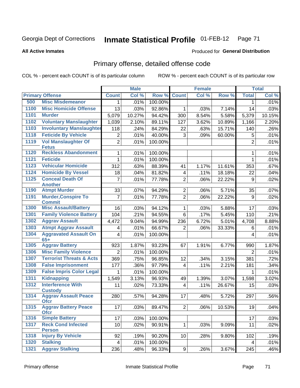#### **All Active Inmates**

# Produced for **General Distribution**

# Primary offense, detailed offense code

|      |                                                           |                         | <b>Male</b> |         |                         | <b>Female</b> |        |                | <b>Total</b> |
|------|-----------------------------------------------------------|-------------------------|-------------|---------|-------------------------|---------------|--------|----------------|--------------|
|      | <b>Primary Offense</b>                                    | <b>Count</b>            | Col %       | Row %   | <b>Count</b>            | Col %         | Row %  | <b>Total</b>   | Col %        |
| 500  | <b>Misc Misdemeanor</b>                                   | $\mathbf{1}$            | .01%        | 100.00% |                         |               |        | 1              | .01%         |
| 1100 | <b>Misc Homicide Offense</b>                              | 13                      | .03%        | 92.86%  | 1                       | .03%          | 7.14%  | 14             | .03%         |
| 1101 | <b>Murder</b>                                             | 5,079                   | 10.27%      | 94.42%  | 300                     | 8.54%         | 5.58%  | 5,379          | 10.15%       |
| 1102 | <b>Voluntary Manslaughter</b>                             | 1,039                   | 2.10%       | 89.11%  | 127                     | 3.62%         | 10.89% | 1,166          | 2.20%        |
| 1103 | <b>Involuntary Manslaughter</b>                           | 118                     | .24%        | 84.29%  | 22                      | .63%          | 15.71% | 140            | .26%         |
| 1118 | <b>Feticide By Vehicle</b>                                | $\overline{c}$          | .01%        | 40.00%  | 3                       | .09%          | 60.00% | 5              | .01%         |
| 1119 | <b>Vol Manslaughter Of</b><br><b>Fetus</b>                | $\overline{2}$          | .01%        | 100.00% |                         |               |        | $\overline{2}$ | .01%         |
| 1120 | <b>Reckless Abandonment</b>                               | 1                       | .01%        | 100.00% |                         |               |        | 1              | .01%         |
| 1121 | <b>Feticide</b>                                           |                         | .01%        | 100.00% |                         |               |        | 1              | .01%         |
| 1123 | <b>Vehicular Homicide</b>                                 | 312                     | .63%        | 88.39%  | 41                      | 1.17%         | 11.61% | 353            | .67%         |
| 1124 | <b>Homicide By Vessel</b>                                 | 18                      | .04%        | 81.82%  | $\overline{\mathbf{4}}$ | .11%          | 18.18% | 22             | .04%         |
| 1125 | <b>Conceal Death Of</b><br><b>Another</b>                 | 7                       | .01%        | 77.78%  | $\overline{2}$          | .06%          | 22.22% | 9              | .02%         |
| 1190 | <b>Atmpt Murder</b>                                       | 33                      | .07%        | 94.29%  | $\overline{2}$          | .06%          | 5.71%  | 35             | .07%         |
| 1191 | <b>Murder, Conspire To</b>                                | $\overline{7}$          | .01%        | 77.78%  | $\overline{2}$          | .06%          | 22.22% | 9              | .02%         |
|      | <b>Commit</b>                                             |                         |             |         |                         |               |        |                |              |
| 1300 | <b>Misc Assault/Battery</b>                               | 16                      | .03%        | 94.12%  | $\mathbf 1$             | .03%          | 5.88%  | 17             | .03%         |
| 1301 | <b>Family Violence Battery</b>                            | 104                     | .21%        | 94.55%  | $\overline{6}$          | .17%          | 5.45%  | 110            | .21%         |
| 1302 | <b>Aggrav Assault</b>                                     | 4,472                   | 9.04%       | 94.99%  | 236                     | 6.72%         | 5.01%  | 4,708          | 8.88%        |
| 1303 | <b>Atmpt Aggrav Assault</b>                               | 4                       | .01%        | 66.67%  | $\overline{2}$          | .06%          | 33.33% | 6              | .01%         |
| 1304 | <b>Aggravated Assault On</b><br>$65+$                     | 4                       | .01%        | 100.00% |                         |               |        | 4              | .01%         |
| 1305 | <b>Aggrav Battery</b>                                     | 923                     | 1.87%       | 93.23%  | 67                      | 1.91%         | 6.77%  | 990            | 1.87%        |
| 1306 | <b>Misc Family Violence</b>                               | $\overline{2}$          | .01%        | 100.00% |                         |               |        | $\overline{2}$ | .01%         |
| 1307 | <b>Terrorist Threats &amp; Acts</b>                       | 369                     | .75%        | 96.85%  | 12                      | .34%          | 3.15%  | 381            | .72%         |
| 1308 | <b>False Imprisonment</b>                                 | 177                     | .36%        | 97.79%  | $\overline{4}$          | .11%          | 2.21%  | 181            | .34%         |
| 1309 | <b>False Impris Color Legal</b>                           | 1                       | .01%        | 100.00% |                         |               |        | 1              | .01%         |
| 1311 | <b>Kidnapping</b>                                         | 1,549                   | 3.13%       | 96.93%  | 49                      | 1.39%         | 3.07%  | 1,598          | 3.02%        |
| 1312 | <b>Interference With</b>                                  | 11                      | .02%        | 73.33%  | $\overline{\mathbf{4}}$ | .11%          | 26.67% | 15             | .03%         |
| 1314 | <b>Custody</b><br><b>Aggrav Assault Peace</b>             | 280                     | .57%        | 94.28%  | 17                      | .48%          | 5.72%  | 297            | .56%         |
| 1315 | <b>Ofcr</b><br><b>Aggrav Battery Peace</b><br><b>Ofcr</b> | 17                      | .03%        | 89.47%  | 2                       | .06%          | 10.53% | 19             | .04%         |
| 1316 | <b>Simple Battery</b>                                     | 17                      | .03%        | 100.00% |                         |               |        | 17             | .03%         |
| 1317 | <b>Reck Cond Infected</b>                                 | 10                      | .02%        | 90.91%  | 1 <sup>1</sup>          | .03%          | 9.09%  | 11             | .02%         |
|      | <b>Person</b>                                             |                         |             |         |                         |               |        |                |              |
| 1318 | <b>Injury By Vehicle</b>                                  | 92                      | .19%        | 90.20%  | 10 <sup>1</sup>         | .28%          | 9.80%  | 102            | .19%         |
| 1320 | <b>Stalking</b>                                           | $\overline{\mathbf{4}}$ | .01%        | 100.00% |                         |               |        | 4              | .01%         |
| 1321 | <b>Aggrav Stalking</b>                                    | 236                     | .48%        | 96.33%  | 9                       | .26%          | 3.67%  | 245            | .46%         |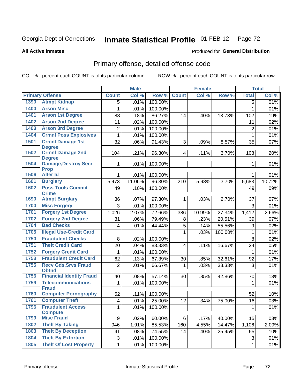#### **All Active Inmates**

# Produced for **General Distribution**

# Primary offense, detailed offense code

|      |                                             |                | <b>Male</b> |         |                | <b>Female</b> |         |                | <b>Total</b> |
|------|---------------------------------------------|----------------|-------------|---------|----------------|---------------|---------|----------------|--------------|
|      | <b>Primary Offense</b>                      | <b>Count</b>   | Col %       | Row %   | <b>Count</b>   | Col %         | Row %   | <b>Total</b>   | Col %        |
| 1390 | <b>Atmpt Kidnap</b>                         | 5              | .01%        | 100.00% |                |               |         | $\overline{5}$ | .01%         |
| 1400 | <b>Arson Misc</b>                           | 1              | .01%        | 100.00% |                |               |         | 1              | .01%         |
| 1401 | <b>Arson 1st Degree</b>                     | 88             | .18%        | 86.27%  | 14             | .40%          | 13.73%  | 102            | .19%         |
| 1402 | <b>Arson 2nd Degree</b>                     | 11             | .02%        | 100.00% |                |               |         | 11             | .02%         |
| 1403 | <b>Arson 3rd Degree</b>                     | $\overline{2}$ | .01%        | 100.00% |                |               |         | $\overline{2}$ | .01%         |
| 1404 | <b>Crmnl Poss Explosives</b>                | $\mathbf{1}$   | .01%        | 100.00% |                |               |         | $\mathbf{1}$   | .01%         |
| 1501 | <b>Crmnl Damage 1st</b><br><b>Degree</b>    | 32             | .06%        | 91.43%  | 3              | .09%          | 8.57%   | 35             | .07%         |
| 1502 | <b>Crmnl Damage 2nd</b><br><b>Degree</b>    | 104            | .21%        | 96.30%  | $\overline{4}$ | .11%          | 3.70%   | 108            | .20%         |
| 1504 | <b>Damage, Destroy Secr</b><br><b>Prop</b>  | $\mathbf{1}$   | .01%        | 100.00% |                |               |         | $\mathbf 1$    | .01%         |
| 1506 | <b>Alter Id</b>                             | $\mathbf 1$    | .01%        | 100.00% |                |               |         | 1              | .01%         |
| 1601 | <b>Burglary</b>                             | 5,473          | 11.06%      | 96.30%  | 210            | 5.98%         | 3.70%   | 5,683          | 10.72%       |
| 1602 | <b>Poss Tools Commit</b><br><b>Crime</b>    | 49             | .10%        | 100.00% |                |               |         | 49             | .09%         |
| 1690 | <b>Atmpt Burglary</b>                       | 36             | .07%        | 97.30%  | $\mathbf{1}$   | .03%          | 2.70%   | 37             | .07%         |
| 1700 | <b>Misc Forgery</b>                         | 3              | .01%        | 100.00% |                |               |         | 3              | .01%         |
| 1701 | <b>Forgery 1st Degree</b>                   | 1,026          | 2.07%       | 72.66%  | 386            | 10.99%        | 27.34%  | 1,412          | 2.66%        |
| 1702 | <b>Forgery 2nd Degree</b>                   | 31             | .06%        | 79.49%  | 8              | .23%          | 20.51%  | 39             | .07%         |
| 1704 | <b>Bad Checks</b>                           | 4              | .01%        | 44.44%  | 5              | .14%          | 55.56%  | 9              | .02%         |
| 1705 | <b>Illegal Use-Credit Card</b>              |                |             |         | 1              | .03%          | 100.00% | 1              | .01%         |
| 1750 | <b>Fraudulent Checks</b>                    | 8              | .02%        | 100.00% |                |               |         | 8              | .02%         |
| 1751 | <b>Theft Credit Card</b>                    | 20             | .04%        | 83.33%  | $\overline{4}$ | .11%          | 16.67%  | 24             | .05%         |
| 1752 | <b>Forgery Credit Card</b>                  | $\mathbf{1}$   | .01%        | 100.00% |                |               |         | 1              | .01%         |
| 1753 | <b>Fraudulent Credit Card</b>               | 62             | .13%        | 67.39%  | 30             | .85%          | 32.61%  | 92             | .17%         |
| 1755 | <b>Recv Gds, Srvs Fraud</b><br><b>Obtnd</b> | $\overline{2}$ | .01%        | 66.67%  | 1              | .03%          | 33.33%  | 3              | .01%         |
| 1756 | <b>Financial Identity Fraud</b>             | 40             | .08%        | 57.14%  | 30             | .85%          | 42.86%  | 70             | .13%         |
| 1759 | <b>Telecommunications</b><br><b>Fraud</b>   | 1              | .01%        | 100.00% |                |               |         | 1              | .01%         |
| 1760 | <b>Computer Pornography</b>                 | 52             | .11%        | 100.00% |                |               |         | 52             | .10%         |
| 1761 | <b>Computer Theft</b>                       | 4              | .01%        | 25.00%  | 12             | .34%          | 75.00%  | 16             | .03%         |
| 1796 | <b>Fraudulent Access</b><br><b>Compute</b>  | 1              | .01%        | 100.00% |                |               |         | 1              | .01%         |
| 1799 | <b>Misc Fraud</b>                           | 9              | .02%        | 60.00%  | 6              | .17%          | 40.00%  | 15             | .03%         |
| 1802 | <b>Theft By Taking</b>                      | 946            | 1.91%       | 85.53%  | 160            | 4.55%         | 14.47%  | 1,106          | 2.09%        |
| 1803 | <b>Theft By Deception</b>                   | 41             | .08%        | 74.55%  | 14             | .40%          | 25.45%  | 55             | .10%         |
| 1804 | <b>Theft By Extortion</b>                   | 3              | .01%        | 100.00% |                |               |         | 3              | .01%         |
| 1805 | <b>Theft Of Lost Property</b>               | $\mathbf 1$    | .01%        | 100.00% |                |               |         | 1              | .01%         |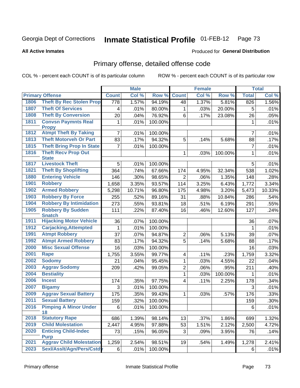#### **All Active Inmates**

#### Produced for **General Distribution**

### Primary offense, detailed offense code

|      |                                            | <b>Male</b>    |        |         | <b>Female</b>  |       | <b>Total</b> |                |        |
|------|--------------------------------------------|----------------|--------|---------|----------------|-------|--------------|----------------|--------|
|      | <b>Primary Offense</b>                     | <b>Count</b>   | Col %  | Row %   | <b>Count</b>   | Col % | Row %        | <b>Total</b>   | Col %  |
| 1806 | <b>Theft By Rec Stolen Prop</b>            | 778            | 1.57%  | 94.19%  | 48             | 1.37% | 5.81%        | 826            | 1.56%  |
| 1807 | <b>Theft Of Services</b>                   | 4              | .01%   | 80.00%  | 1              | .03%  | 20.00%       | 5              | .01%   |
| 1808 | <b>Theft By Conversion</b>                 | 20             | .04%   | 76.92%  | 6              | .17%  | 23.08%       | 26             | .05%   |
| 1811 | <b>Convsn Paymnts Real</b><br><b>Propy</b> | 1              | .01%   | 100.00% |                |       |              | 1              | .01%   |
| 1812 | <b>Atmpt Theft By Taking</b>               | $\overline{7}$ | .01%   | 100.00% |                |       |              | 7              | .01%   |
| 1813 | <b>Theft Motorveh Or Part</b>              | 83             | .17%   | 94.32%  | 5              | .14%  | 5.68%        | 88             | .17%   |
| 1815 | <b>Theft Bring Prop In State</b>           | $\overline{7}$ | .01%   | 100.00% |                |       |              | $\overline{7}$ | .01%   |
| 1816 | <b>Theft Recv Prop Out</b><br><b>State</b> |                |        |         | $\mathbf{1}$   | .03%  | 100.00%      | 1              | .01%   |
| 1817 | <b>Livestock Theft</b>                     | 5              | .01%   | 100.00% |                |       |              | 5              | .01%   |
| 1821 | <b>Theft By Shoplifting</b>                | 364            | .74%   | 67.66%  | 174            | 4.95% | 32.34%       | 538            | 1.02%  |
| 1880 | <b>Entering Vehicle</b>                    | 146            | .30%   | 98.65%  | $\overline{2}$ | .06%  | 1.35%        | 148            | .28%   |
| 1901 | <b>Robbery</b>                             | 1,658          | 3.35%  | 93.57%  | 114            | 3.25% | 6.43%        | 1,772          | 3.34%  |
| 1902 | <b>Armed Robbery</b>                       | 5,298          | 10.71% | 96.80%  | 175            | 4.98% | 3.20%        | 5,473          | 10.33% |
| 1903 | <b>Robbery By Force</b>                    | 255            | .52%   | 89.16%  | 31             | .88%  | 10.84%       | 286            | .54%   |
| 1904 | <b>Robbery By Intimidation</b>             | 273            | .55%   | 93.81%  | 18             | .51%  | 6.19%        | 291            | .55%   |
| 1905 | <b>Robbery By Sudden</b>                   | 111            | .22%   | 87.40%  | 16             | .46%  | 12.60%       | 127            | .24%   |
|      | <b>Snatch</b>                              |                |        |         |                |       |              |                |        |
| 1911 | <b>Hijacking Motor Vehicle</b>             | 36             | .07%   | 100.00% |                |       |              | 36             | .07%   |
| 1912 | <b>Carjacking, Attempted</b>               | 1              | .01%   | 100.00% |                |       |              | 1              | .01%   |
| 1991 | <b>Atmpt Robbery</b>                       | 37             | .07%   | 94.87%  | $\overline{2}$ | .06%  | 5.13%        | 39             | .07%   |
| 1992 | <b>Atmpt Armed Robbery</b>                 | 83             | .17%   | 94.32%  | $\overline{5}$ | .14%  | 5.68%        | 88             | .17%   |
| 2000 | <b>Misc Sexual Offense</b>                 | 16             | .03%   | 100.00% |                |       |              | 16             | .03%   |
| 2001 | <b>Rape</b>                                | 1,755          | 3.55%  | 99.77%  | 4              | .11%  | .23%         | 1,759          | 3.32%  |
| 2002 | <b>Sodomy</b>                              | 21             | .04%   | 95.45%  | $\mathbf{1}$   | .03%  | 4.55%        | 22             | .04%   |
| 2003 | <b>Aggrav Sodomy</b>                       | 209            | .42%   | 99.05%  | $\overline{2}$ | .06%  | .95%         | 211            | .40%   |
| 2004 | <b>Bestiality</b>                          |                |        |         | $\mathbf{1}$   | .03%  | 100.00%      | 1              | .01%   |
| 2006 | <b>Incest</b>                              | 174            | .35%   | 97.75%  | $\overline{4}$ | .11%  | 2.25%        | 178            | .34%   |
| 2007 | <b>Bigamy</b>                              | 3              | .01%   | 100.00% |                |       |              | 3              | .01%   |
| 2009 | <b>Aggrav Sexual Battery</b>               | 175            | .35%   | 99.43%  | 1              | .03%  | .57%         | 176            | .33%   |
| 2011 | <b>Sexual Battery</b>                      | 159            | .32%   | 100.00% |                |       |              | 159            | .30%   |
| 2016 | <b>Pimping A Minor Under</b><br>18         | $\overline{6}$ | .01%   | 100.00% |                |       |              | 6              | .01%   |
| 2018 | <b>Statutory Rape</b>                      | 686            | 1.39%  | 98.14%  | 13             | .37%  | 1.86%        | 699            | 1.32%  |
| 2019 | <b>Child Molestation</b>                   | 2,447          | 4.95%  | 97.88%  | 53             | 1.51% | 2.12%        | 2,500          | 4.72%  |
| 2020 | <b>Enticing Child-Indec</b>                | 73             | .15%   | 96.05%  | 3              | .09%  | 3.95%        | 76             | .14%   |
|      | <b>Purp</b>                                |                |        |         |                |       |              |                |        |
| 2021 | <b>Aggrav Child Molestation</b>            | 1,259          | 2.54%  | 98.51%  | 19             | .54%  | 1.49%        | 1,278          | 2.41%  |
| 2023 | Sexl/Asslt/Agn/Pers/Cstdy                  | 6              | .01%   | 100.00% |                |       |              | 6              | .01%   |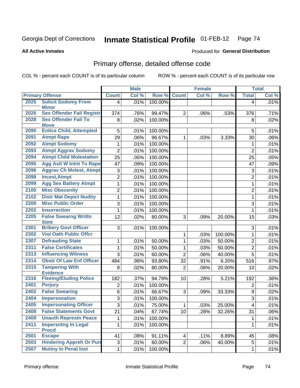**All Active Inmates**

#### Produced for **General Distribution**

### Primary offense, detailed offense code

|      |                                                                 |                | <b>Male</b> |         |                | <b>Female</b> |         |                         | <b>Total</b> |
|------|-----------------------------------------------------------------|----------------|-------------|---------|----------------|---------------|---------|-------------------------|--------------|
|      | <b>Primary Offense</b>                                          | <b>Count</b>   | Col %       | Row %   | <b>Count</b>   | Col %         | Row %   | <b>Total</b>            | Col %        |
| 2025 | <b>Solicit Sodomy From</b>                                      | 4 <sup>1</sup> | .01%        | 100.00% |                |               |         | $\overline{4}$          | .01%         |
|      | <b>Minor</b>                                                    |                |             |         |                |               |         |                         |              |
| 2026 | <b>Sex Offender Fail Registr</b><br><b>Sex Offender Fail To</b> | 374            | .76%        | 99.47%  | $\overline{2}$ | .06%          | .53%    | 376                     | .71%         |
| 2028 | <b>Move</b>                                                     | 8              | .02%        | 100.00% |                |               |         | 8                       | .02%         |
| 2090 | <b>Entice Child, Attempted</b>                                  | 5              | .01%        | 100.00% |                |               |         | 5                       | .01%         |
| 2091 | <b>Atmpt Rape</b>                                               | 29             | .06%        | 96.67%  | 1              | .03%          | 3.33%   | 30                      | .06%         |
| 2092 | <b>Atmpt Sodomy</b>                                             | $\mathbf{1}$   | .01%        | 100.00% |                |               |         | 1                       | .01%         |
| 2093 | <b>Atmpt Aggrav Sodomy</b>                                      | $\overline{c}$ | .01%        | 100.00% |                |               |         | $\overline{2}$          | .01%         |
| 2094 | <b>Atmpt Child Molestation</b>                                  | 25             | .05%        | 100.00% |                |               |         | 25                      | .05%         |
| 2095 | <b>Agg Aslt W Intnt To Rape</b>                                 | 47             | .09%        | 100.00% |                |               |         | 47                      | .09%         |
| 2096 | <b>Aggrav Ch Molest, Atmpt</b>                                  | 3              | .01%        | 100.00% |                |               |         | 3                       | .01%         |
| 2098 | <b>Incest, Atmpt</b>                                            | $\overline{2}$ | .01%        | 100.00% |                |               |         | $\overline{2}$          | .01%         |
| 2099 | <b>Agg Sex Battery Atmpt</b>                                    | $\mathbf{1}$   | .01%        | 100.00% |                |               |         | 1                       | .01%         |
| 2100 | <b>Misc Obscenity</b>                                           | $\overline{2}$ | .01%        | 100.00% |                |               |         | $\overline{2}$          | .01%         |
| 2102 | <b>Distr Mat Depict Nudity</b>                                  | $\mathbf 1$    | .01%        | 100.00% |                |               |         | $\mathbf{1}$            | .01%         |
| 2200 | <b>Misc Public Order</b>                                        | 3              | .01%        | 100.00% |                |               |         | 3                       | .01%         |
| 2202 | <b>Insurrection</b>                                             | $\mathbf{1}$   | .01%        | 100.00% |                |               |         | $\mathbf{1}$            | .01%         |
| 2205 | <b>False Swearng Writtn</b>                                     | 12             | .02%        | 80.00%  | 3              | .09%          | 20.00%  | 15                      | .03%         |
|      | <b>Stmt</b>                                                     |                |             |         |                |               |         |                         |              |
| 2301 | <b>Bribery Govt Officer</b>                                     | 3              | .01%        | 100.00% |                |               |         | 3                       | .01%         |
| 2302 | <b>Viol Oath Public Offcr</b>                                   |                |             |         | 1              | .03%          | 100.00% | $\mathbf{1}$            | .01%         |
| 2307 | <b>Defrauding State</b>                                         | 1              | .01%        | 50.00%  | 1              | .03%          | 50.00%  | $\overline{2}$          | .01%         |
| 2311 | <b>False Certificates</b>                                       | $\mathbf{1}$   | .01%        | 50.00%  | 1              | .03%          | 50.00%  | $\overline{2}$          | .01%         |
| 2313 | <b>Influencing Witness</b>                                      | 3              | .01%        | 60.00%  | $\overline{2}$ | .06%          | 40.00%  | 5                       | .01%         |
| 2314 | <b>Obstr Of Law Enf Officer</b>                                 | 484            | .98%        | 93.80%  | 32             | .91%          | 6.20%   | 516                     | .97%         |
| 2315 | <b>Tampering With</b><br><b>Evidence</b>                        | 8              | .02%        | 80.00%  | $\overline{2}$ | .06%          | 20.00%  | 10                      | .02%         |
| 2316 | <b>Fleeing/Eluding Police</b>                                   | 182            | .37%        | 94.79%  | 10             | .28%          | 5.21%   | 192                     | .36%         |
| 2401 | <b>Perjury</b>                                                  | $\overline{c}$ | .01%        | 100.00% |                |               |         | $\overline{2}$          | .01%         |
| 2402 | <b>False Swearing</b>                                           | 6              | .01%        | 66.67%  | 3              | .09%          | 33.33%  | $\boldsymbol{9}$        | .02%         |
| 2404 | <b>Impersonation</b>                                            | $\overline{3}$ | .01%        | 100.00% |                |               |         | $\mathbf{3}$            | .01%         |
| 2405 | <b>Impersonating Officer</b>                                    | 3              | .01%        | 75.00%  | $\mathbf{1}$   | .03%          | 25.00%  | $\overline{\mathbf{4}}$ | .01%         |
| 2408 | <b>False Statements Govt</b>                                    | 21             | .04%        | 67.74%  | 10             | .28%          | 32.26%  | 31                      | .06%         |
| 2409 | <b>Unauth Represtn Peace</b>                                    | 1              | .01%        | 100.00% |                |               |         | 1                       | .01%         |
| 2411 | <b>Impersntng In Legal</b>                                      | $\mathbf{1}$   | .01%        | 100.00% |                |               |         | $\mathbf{1}$            | .01%         |
|      | <b>Procd</b>                                                    |                |             |         |                |               |         |                         |              |
| 2501 | <b>Escape</b><br><b>Hindering Appreh Or Pun</b>                 | 41             | .08%        | 91.11%  | 4              | .11%          | 8.89%   | 45                      | .08%         |
| 2503 |                                                                 | 3              | .01%        | 60.00%  | $\overline{2}$ | .06%          | 40.00%  | 5                       | .01%         |
| 2507 | <b>Mutiny In Penal Inst</b>                                     | $\mathbf{1}$   | .01%        | 100.00% |                |               |         | 1                       | .01%         |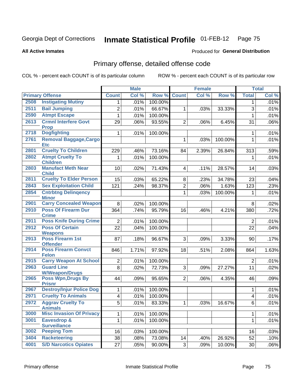**All Active Inmates**

#### Produced for **General Distribution**

### Primary offense, detailed offense code

|      |                                                  |                         | <b>Male</b> |         |                         | <b>Female</b> |         |                | <b>Total</b> |
|------|--------------------------------------------------|-------------------------|-------------|---------|-------------------------|---------------|---------|----------------|--------------|
|      | <b>Primary Offense</b>                           | <b>Count</b>            | Col %       | Row %   | <b>Count</b>            | Col %         | Row %   | <b>Total</b>   | Col %        |
| 2508 | <b>Instigating Mutiny</b>                        | 1 <sup>1</sup>          | .01%        | 100.00% |                         |               |         | 1              | .01%         |
| 2511 | <b>Bail Jumping</b>                              | $\overline{2}$          | .01%        | 66.67%  | 1                       | .03%          | 33.33%  | 3              | .01%         |
| 2590 | <b>Atmpt Escape</b>                              | $\mathbf{1}$            | .01%        | 100.00% |                         |               |         | 1              | .01%         |
| 2613 | <b>Crmnl Interfere Govt</b>                      | 29                      | .06%        | 93.55%  | $\overline{2}$          | .06%          | 6.45%   | 31             | $.06\%$      |
| 2718 | <b>Prop</b>                                      |                         |             |         |                         |               |         |                |              |
|      | <b>Dogfighting</b>                               | $\mathbf{1}$            | .01%        | 100.00% |                         |               |         | 1              | .01%         |
| 2761 | <b>Removal Baggage, Cargo</b><br><b>Etc</b>      |                         |             |         | 1                       | .03%          | 100.00% | 1              | .01%         |
| 2801 | <b>Cruelty To Children</b>                       | 229                     | .46%        | 73.16%  | 84                      | 2.39%         | 26.84%  | 313            | .59%         |
| 2802 | <b>Atmpt Cruelty To</b>                          | 1                       | .01%        | 100.00% |                         |               |         | 1              | .01%         |
|      | <b>Children</b>                                  |                         |             |         |                         |               |         |                |              |
| 2803 | <b>Manufact Meth Near</b><br><b>Child</b>        | 10                      | .02%        | 71.43%  | $\overline{\mathbf{4}}$ | .11%          | 28.57%  | 14             | .03%         |
| 2811 | <b>Cruelty To Elder Person</b>                   | 15                      | .03%        | 65.22%  | 8                       | .23%          | 34.78%  | 23             | .04%         |
| 2843 | <b>Sex Exploitation Child</b>                    | 121                     | .24%        | 98.37%  | $\overline{2}$          | .06%          | 1.63%   | 123            | .23%         |
| 2854 | <b>Cntrbtng Delingency</b>                       |                         |             |         | 1                       | .03%          | 100.00% | 1              | .01%         |
|      | <b>Minor</b>                                     |                         |             |         |                         |               |         |                |              |
| 2901 | <b>Carry Concealed Weapon</b>                    | 8 <sup>1</sup>          | .02%        | 100.00% |                         |               |         | 8              | .02%         |
| 2910 | <b>Poss Of Firearm Dur</b>                       | 364                     | .74%        | 95.79%  | 16                      | .46%          | 4.21%   | 380            | .72%         |
| 2911 | <b>Crime</b><br><b>Poss Knife During Crime</b>   | 2 <sup>1</sup>          | .01%        | 100.00% |                         |               |         | $\overline{2}$ | .01%         |
| 2912 | <b>Poss Of Certain</b>                           | 22                      | .04%        | 100.00% |                         |               |         | 22             | .04%         |
|      | <b>Weapons</b>                                   |                         |             |         |                         |               |         |                |              |
| 2913 | <b>Poss Firearm 1st</b>                          | 87                      | .18%        | 96.67%  | 3                       | .09%          | 3.33%   | 90             | .17%         |
|      | <b>Offender</b>                                  |                         |             |         |                         |               |         |                |              |
| 2914 | <b>Poss Firearm Convct</b>                       | 846                     | 1.71%       | 97.92%  | 18                      | .51%          | 2.08%   | 864            | 1.63%        |
| 2915 | <b>Felon</b><br><b>Carry Weapon At School</b>    | $\overline{2}$          | .01%        | 100.00% |                         |               |         | $\overline{2}$ | .01%         |
| 2963 | <b>Guard Line</b>                                | 8                       | .02%        | 72.73%  | 3                       | .09%          | 27.27%  | 11             | .02%         |
|      | <b>W/Weapon/Drugs</b>                            |                         |             |         |                         |               |         |                |              |
| 2965 | <b>Poss Wpn, Drugs By</b>                        | 44                      | .09%        | 95.65%  | $\overline{2}$          | .06%          | 4.35%   | 46             | .09%         |
| 2967 | <b>Prisnr</b><br><b>Destroy/Injur Police Dog</b> | $\mathbf{1}$            | .01%        | 100.00% |                         |               |         | 1              | .01%         |
| 2971 | <b>Cruelty To Animals</b>                        | $\overline{\mathbf{4}}$ | .01%        | 100.00% |                         |               |         | 4              | .01%         |
| 2972 | <b>Aggrav Cruelty To</b>                         | $\overline{5}$          | .01%        | 83.33%  | $\mathbf{1}$            | .03%          | 16.67%  | 6              | .01%         |
|      | <b>Animals</b>                                   |                         |             |         |                         |               |         |                |              |
| 3000 | <b>Misc Invasion Of Privacy</b>                  | $\mathbf{1}$            | .01%        | 100.00% |                         |               |         | 1              | .01%         |
| 3001 | <b>Eavesdrop &amp;</b>                           | $\mathbf{1}$            | .01%        | 100.00% |                         |               |         | 1              | .01%         |
| 3002 | <b>Surveillance</b><br><b>Peeping Tom</b>        | 16                      | .03%        | 100.00% |                         |               |         | 16             | .03%         |
| 3404 | <b>Racketeering</b>                              | 38                      |             | 73.08%  |                         |               |         |                |              |
| 4001 | <b>S/D Narcotics Opiates</b>                     | $\overline{27}$         | .08%        |         | 14                      | .40%          | 26.92%  | 52             | .10%         |
|      |                                                  |                         | .05%        | 90.00%  | $\mathfrak{S}$          | .09%          | 10.00%  | 30             | $.06\%$      |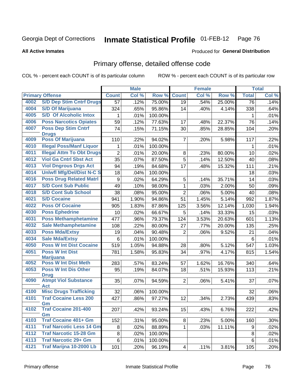#### **All Active Inmates**

#### Produced for **General Distribution**

### Primary offense, detailed offense code

|      |                                            |                  | <b>Male</b> |         |                | Female |                    |              | <b>Total</b> |
|------|--------------------------------------------|------------------|-------------|---------|----------------|--------|--------------------|--------------|--------------|
|      | <b>Primary Offense</b>                     | <b>Count</b>     | Col %       | Row %   | <b>Count</b>   | Col %  | Row %              | <b>Total</b> | Col %        |
| 4002 | <b>S/D Dep Stim Cntrf Drugs</b>            | 57               | .12%        | 75.00%  | 19             | .54%   | 25.00%             | 76           | .14%         |
| 4004 | <b>S/D Of Marijuana</b>                    | 324              | .65%        | 95.86%  | 14             | .40%   | 4.14%              | 338          | .64%         |
| 4005 | <b>S/D Of Alcoholic Intox</b>              | 1                | .01%        | 100.00% |                |        |                    | 1            | .01%         |
| 4006 | <b>Poss Narcotics Opiates</b>              | 59               | .12%        | 77.63%  | 17             | .48%   | 22.37%             | 76           | .14%         |
| 4007 | <b>Poss Dep Stim Cntrf</b>                 | 74               | .15%        | 71.15%  | 30             | .85%   | 28.85%             | 104          | .20%         |
|      | <b>Drugs</b>                               |                  |             |         |                |        |                    |              |              |
| 4009 | <b>Poss Of Marijuana</b>                   | 110              | .22%        | 94.02%  | $\overline{7}$ | .20%   | 5.98%              | 117          | .22%         |
| 4010 | <b>Illegal Poss/Manf Liquor</b>            | 1                | .01%        | 100.00% |                |        |                    | 1            | .01%         |
| 4011 | <b>Illegal Attm To Obt Drugs</b>           | $\overline{2}$   | .01%        | 20.00%  | 8              | .23%   | 80.00%             | 10           | .02%         |
| 4012 | <b>Viol Ga Cntrl Sbst Act</b>              | 35               | .07%        | 87.50%  | 5              | .14%   | 12.50%             | 40           | .08%         |
| 4013 | <b>Viol Dngrous Drgs Act</b>               | 94               | .19%        | 84.68%  | 17             | .48%   | 15.32%             | 111          | .21%         |
| 4014 | <b>Uniwfl Mfg/Del/Dist N-C S</b>           | 18               | .04%        | 100.00% |                |        |                    | 18           | .03%         |
| 4016 | <b>Poss Drug Related Matri</b>             | $\boldsymbol{9}$ | .02%        | 64.29%  | 5              | .14%   | 35.71%             | 14           | .03%         |
| 4017 | <b>S/D Cont Sub Public</b>                 | 49               | .10%        | 98.00%  | 1              | .03%   | 2.00%              | 50           | .09%         |
| 4018 | <b>S/D Cont Sub School</b>                 | 38               | .08%        | 95.00%  | $\overline{2}$ | .06%   | 5.00%              | 40           | .08%         |
| 4021 | <b>S/D Cocaine</b>                         | 941              | 1.90%       | 94.86%  | 51             | 1.45%  | 5.14%              | 992          | 1.87%        |
| 4022 | <b>Poss Of Cocaine</b>                     | 905              | 1.83%       | 87.86%  | 125            | 3.56%  | 12.14%             | 1,030        | 1.94%        |
| 4030 | <b>Poss Ephedrine</b>                      | 10               | .02%        | 66.67%  | 5              | .14%   | 33.33%             | 15           | .03%         |
| 4031 | <b>Poss Methamphetamine</b>                | 477              | .96%        | 79.37%  | 124            | 3.53%  | 20.63%             | 601          | 1.13%        |
| 4032 | <b>Sale Methamphetamine</b>                | 108              | .22%        | 80.00%  | 27             | .77%   | 20.00%             | 135          | .25%         |
| 4033 | <b>Poss Mda/Extsy</b>                      | 19               | .04%        | 90.48%  | $\overline{2}$ | .06%   | 9.52%              | 21           | .04%         |
| 4034 | <b>Sale Mda/Extsy</b>                      | 6                | .01%        | 100.00% |                |        |                    | 6            | .01%         |
| 4050 | <b>Poss W Int Dist Cocaine</b>             | 519              | 1.05%       | 94.88%  | 28             | .80%   | $\frac{1}{5.12\%}$ | 547          | 1.03%        |
| 4051 | <b>Poss W Int Dist</b>                     | 781              | 1.58%       | 95.83%  | 34             | .97%   | 4.17%              | 815          | 1.54%        |
|      | <b>Marijuana</b>                           |                  |             |         |                |        |                    |              |              |
| 4052 | <b>Poss W Int Dist Meth</b>                | 283              | .57%        | 83.24%  | 57             | 1.62%  | 16.76%             | 340          | .64%         |
| 4053 | <b>Poss W Int Dis Other</b>                | 95               | .19%        | 84.07%  | 18             | .51%   | 15.93%             | 113          | .21%         |
| 4090 | <b>Drug</b><br><b>Atmpt Viol Substance</b> | 35               | .07%        | 94.59%  | $\overline{2}$ | .06%   | 5.41%              | 37           | .07%         |
|      | <b>Act</b>                                 |                  |             |         |                |        |                    |              |              |
| 4100 | <b>Misc Drugs Trafficking</b>              | 32               | .06%        | 100.00% |                |        |                    | 32           | .06%         |
| 4101 | <b>Traf Cocaine Less 200</b>               | 427              | .86%        | 97.27%  | 12             | .34%   | 2.73%              | 439          | .83%         |
|      | Gm                                         |                  |             |         |                |        |                    |              |              |
| 4102 | <b>Traf Cocaine 201-400</b>                | 207              | .42%        | 93.24%  | 15             | .43%   | 6.76%              | 222          | .42%         |
|      | Gm<br><b>Traf Cocaine 401+ Gm</b>          |                  |             |         |                |        |                    |              |              |
| 4103 |                                            | 152              | .31%        | 95.00%  | 8              | .23%   | 5.00%              | 160          | .30%         |
| 4111 | <b>Traf Narcotic Less 14 Gm</b>            | 8                | .02%        | 88.89%  | $\mathbf 1$    | .03%   | 11.11%             | 9            | .02%         |
| 4112 | <b>Traf Narcotic 15-28 Gm</b>              | 8                | .02%        | 100.00% |                |        |                    | 8            | .02%         |
| 4113 | <b>Traf Narcotic 29+ Gm</b>                | 6                | .01%        | 100.00% |                |        |                    | 6            | .01%         |
| 4121 | Traf Marijna 10-2000 Lb                    | 101              | .20%        | 96.19%  | 4              | .11%   | 3.81%              | 105          | .20%         |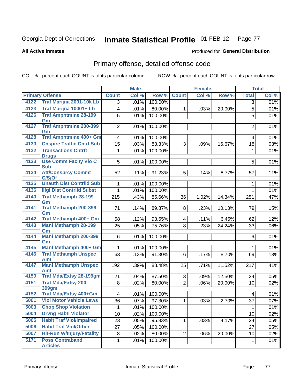Produced for **General Distribution**

#### **All Active Inmates**

### Primary offense, detailed offense code

|      |                                       |                 | <b>Male</b> |         |                | <b>Female</b> |                     |                | <b>Total</b> |
|------|---------------------------------------|-----------------|-------------|---------|----------------|---------------|---------------------|----------------|--------------|
|      | <b>Primary Offense</b>                | <b>Count</b>    | Col %       | Row %   | <b>Count</b>   | Col %         | Row %               | <b>Total</b>   | Col %        |
| 4122 | Traf Marijna 2001-10k Lb              | $\overline{3}$  | .01%        | 100.00% |                |               |                     | $\overline{3}$ | .01%         |
| 4123 | Traf Marijna 10001+ Lb                | $\overline{4}$  | .01%        | 80.00%  | $\mathbf{1}$   | .03%          | 20.00%              | 5              | .01%         |
| 4126 | <b>Traf Amphtmine 28-199</b>          | 5               | .01%        | 100.00% |                |               |                     | $\overline{5}$ | .01%         |
|      | Gm                                    |                 |             |         |                |               |                     |                |              |
| 4127 | <b>Traf Amphtmine 200-399</b>         | 2               | .01%        | 100.00% |                |               |                     | $\overline{2}$ | .01%         |
| 4128 | Gm<br><b>Traf Amphtmine 400+ Gm</b>   | 4               | .01%        | 100.00% |                |               |                     | 4              | .01%         |
| 4130 | <b>Cnspire Traffic Cntrl Sub</b>      | 15              | .03%        | 83.33%  | 3              | .09%          | 16.67%              | 18             | .03%         |
| 4132 | <b>Transactions Cntrft</b>            |                 |             |         |                |               |                     |                |              |
|      | <b>Drugs</b>                          | $\mathbf 1$     | .01%        | 100.00% |                |               |                     | 1              | .01%         |
| 4133 | <b>Use Comm Facity Vio C</b>          | 5               | .01%        | 100.00% |                |               |                     | 5              | .01%         |
|      | <b>Sub</b>                            |                 |             |         |                |               |                     |                |              |
| 4134 | <b>Att/Consprcy Commt</b>             | 52              | .11%        | 91.23%  | 5              | .14%          | 8.77%               | 57             | .11%         |
|      | C/S/Of                                |                 |             |         |                |               |                     |                |              |
| 4135 | <b>Unauth Dist Contrild Sub</b>       | 1               | .01%        | 100.00% |                |               |                     | 1              | .01%         |
| 4136 | <b>Illgl Dist Contrild Subst</b>      | $\mathbf{1}$    | .01%        | 100.00% |                |               |                     | $\mathbf 1$    | .01%         |
| 4140 | <b>Traf Methamph 28-199</b><br>Gm     | 215             | .43%        | 85.66%  | 36             | 1.02%         | 14.34%              | 251            | .47%         |
| 4141 | <b>Traf Methamph 200-399</b><br>Gm    | 71              | .14%        | 89.87%  | 8              | .23%          | 10.13%              | 79             | .15%         |
| 4142 | Traf Methamph 400+ Gm                 | 58              | .12%        | 93.55%  | 4              | .11%          | 6.45%               | 62             | .12%         |
| 4143 | <b>Manf Methamph 28-199</b>           | 25              | .05%        | 75.76%  | 8              | .23%          | 24.24%              | 33             | .06%         |
|      | Gm                                    |                 |             |         |                |               |                     |                |              |
| 4144 | <b>Manf Methamph 200-399</b><br>Gm    | 6               | .01%        | 100.00% |                |               |                     | 6              | .01%         |
| 4145 | <b>Manf Methamph 400+ Gm</b>          | $\mathbf{1}$    | .01%        | 100.00% |                |               |                     | 1              | .01%         |
| 4146 | <b>Traf Methamph Unspec</b><br>Amt    | 63              | .13%        | 91.30%  | 6              | .17%          | $\overline{8.70\%}$ | 69             | .13%         |
| 4147 | <b>Manf Methamph Unspec</b>           | 192             | .39%        | 88.48%  | 25             | .71%          | 11.52%              | 217            | .41%         |
| 4150 | Amt<br><b>Traf Mda/Extsy 28-199gm</b> | 21              | .04%        | 87.50%  | 3              | .09%          | 12.50%              | 24             | .05%         |
| 4151 | <b>Traf Mda/Extsy 200-</b>            | 8               | .02%        | 80.00%  | $\overline{2}$ | .06%          | 20.00%              | 10             | .02%         |
|      | 399gm                                 |                 |             |         |                |               |                     |                |              |
| 4152 | <b>Traf Mda/Extsy 400+Gm</b>          | $\overline{4}$  | .01%        | 100.00% |                |               |                     | 4              | .01%         |
| 5001 | <b>Viol Motor Vehicle Laws</b>        | 36              | .07%        | 97.30%  | 1              | .03%          | 2.70%               | 37             | .07%         |
| 5003 | <b>Chop Shop Violation</b>            | $\mathbf 1$     | .01%        | 100.00% |                |               |                     | 1              | .01%         |
| 5004 | <b>Drvng Habtl Violator</b>           | 10              | .02%        | 100.00% |                |               |                     | 10             | .02%         |
| 5005 | <b>Habit Traf Viol/Impaired</b>       | $\overline{2}3$ | .05%        | 95.83%  | 1              | .03%          | 4.17%               | 24             | .05%         |
| 5006 | <b>Habit Traf Viol/Other</b>          | $\overline{27}$ | .05%        | 100.00% |                |               |                     | 27             | .05%         |
| 5007 | <b>Hit-Run W/Injury/Fatality</b>      | 8               | .02%        | 80.00%  | $\overline{2}$ | .06%          | 20.00%              | 10             | .02%         |
| 5171 | <b>Poss Contraband</b>                | $\mathbf 1$     | .01%        | 100.00% |                |               |                     | 1              | .01%         |
|      | <b>Articles</b>                       |                 |             |         |                |               |                     |                |              |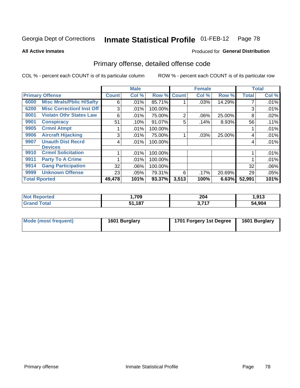**All Active Inmates**

#### Produced for **General Distribution**

### Primary offense, detailed offense code

|                      |                                  |              | <b>Male</b> |         | <b>Female</b> |       |        | <b>Total</b> |       |
|----------------------|----------------------------------|--------------|-------------|---------|---------------|-------|--------|--------------|-------|
|                      | <b>Primary Offense</b>           | <b>Count</b> | Col %       | Row %   | <b>Count</b>  | Col % | Row %  | <b>Total</b> | Col % |
| 6000                 | <b>Misc Mrals/Pblic H/Safty</b>  | 6            | .01%        | 85.71%  |               | .03%  | 14.29% | ⇁            | .01%  |
| 6200                 | <b>Misc CorrectionI Inst Off</b> | 3            | .01%        | 100.00% |               |       |        | 3            | .01%  |
| 8001                 | <b>Violatn Othr States Law</b>   | 6            | .01%        | 75.00%  | 2             | .06%  | 25.00% | 8            | .02%  |
| 9901                 | <b>Conspiracy</b>                | 51           | .10%        | 91.07%  | 5             | .14%  | 8.93%  | 56           | .11%  |
| 9905                 | <b>Crmnl Atmpt</b>               |              | .01%        | 100.00% |               |       |        |              | .01%  |
| 9906                 | <b>Aircraft Hijacking</b>        | 3            | .01%        | 75.00%  |               | .03%  | 25.00% | 4            | .01%  |
| 9907                 | <b>Unauth Dist Recrd</b>         | 4            | .01%        | 100.00% |               |       |        | 4            | .01%  |
|                      | <b>Devices</b>                   |              |             |         |               |       |        |              |       |
| 9910                 | <b>Crmnl Solicitation</b>        |              | .01%        | 100.00% |               |       |        |              | .01%  |
| 9911                 | <b>Party To A Crime</b>          |              | .01%        | 100.00% |               |       |        |              | .01%  |
| 9914                 | <b>Gang Participation</b>        | 32           | .06%        | 100.00% |               |       |        | 32           | .06%  |
| 9999                 | <b>Unknown Offense</b>           | 23           | .05%        | 79.31%  | 6             | .17%  | 20.69% | 29           | .05%  |
| <b>Total Rported</b> |                                  | 49,478       | 101%        | 93.37%  | 3,513         | 100%  | 6.63%  | 52,991       | 101%  |

| orted       | ,709                     | 204                | Q12    |
|-------------|--------------------------|--------------------|--------|
| <b>NI</b>   |                          | $\sim$ $\sim$      | נו כו  |
| <b>otal</b> | <b>407</b><br>C 4<br>101 | 2 74 7<br>.<br>. . | 54,904 |

| Mode (most frequent) | 1601 Burglary | 1701 Forgery 1st Degree | 1601 Burglary |
|----------------------|---------------|-------------------------|---------------|
|----------------------|---------------|-------------------------|---------------|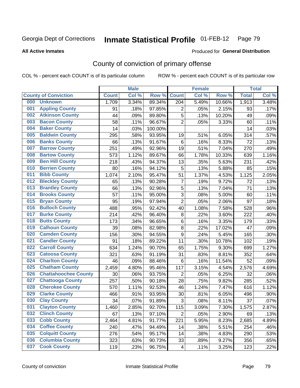Produced for **General Distribution**

#### **All Active Inmates**

### County of conviction of primary offense

|     |                             |              | <b>Male</b> |         |                | <b>Female</b> |        |              | <b>Total</b> |
|-----|-----------------------------|--------------|-------------|---------|----------------|---------------|--------|--------------|--------------|
|     | <b>County of Conviction</b> | <b>Count</b> | Col %       | Row %   | <b>Count</b>   | Col %         | Row %  | <b>Total</b> | Col %        |
| 000 | <b>Unknown</b>              | 1,709        | 3.34%       | 89.34%  | 204            | 5.49%         | 10.66% | 1,913        | 3.48%        |
| 001 | <b>Appling County</b>       | 91           | .18%        | 97.85%  | $\overline{2}$ | .05%          | 2.15%  | 93           | .17%         |
| 002 | <b>Atkinson County</b>      | 44           | .09%        | 89.80%  | 5              | .13%          | 10.20% | 49           | .09%         |
| 003 | <b>Bacon County</b>         | 58           | .11%        | 96.67%  | $\overline{2}$ | .05%          | 3.33%  | 60           | .11%         |
| 004 | <b>Baker County</b>         | 14           | .03%        | 100.00% |                |               |        | 14           | .03%         |
| 005 | <b>Baldwin County</b>       | 295          | .58%        | 93.95%  | 19             | .51%          | 6.05%  | 314          | .57%         |
| 006 | <b>Banks County</b>         | 66           | .13%        | 91.67%  | $6\phantom{1}$ | .16%          | 8.33%  | 72           | .13%         |
| 007 | <b>Barrow County</b>        | 251          | .49%        | 92.96%  | 19             | .51%          | 7.04%  | 270          | .49%         |
| 008 | <b>Bartow County</b>        | 573          | 1.12%       | 89.67%  | 66             | 1.78%         | 10.33% | 639          | 1.16%        |
| 009 | <b>Ben Hill County</b>      | 218          | .43%        | 94.37%  | 13             | .35%          | 5.63%  | 231          | .42%         |
| 010 | <b>Berrien County</b>       | 80           | .16%        | 94.12%  | 5              | .13%          | 5.88%  | 85           | .15%         |
| 011 | <b>Bibb County</b>          | 1,074        | 2.10%       | 95.47%  | 51             | 1.37%         | 4.53%  | 1,125        | 2.05%        |
| 012 | <b>Bleckley County</b>      | 65           | .13%        | 90.28%  | $\overline{7}$ | .19%          | 9.72%  | 72           | .13%         |
| 013 | <b>Brantley County</b>      | 66           | .13%        | 92.96%  | 5              | .13%          | 7.04%  | 71           | .13%         |
| 014 | <b>Brooks County</b>        | 57           | .11%        | 95.00%  | $\overline{3}$ | .08%          | 5.00%  | 60           | .11%         |
| 015 | <b>Bryan County</b>         | 95           | .19%        | 97.94%  | $\overline{2}$ | .05%          | 2.06%  | 97           | .18%         |
| 016 | <b>Bulloch County</b>       | 488          | .95%        | 92.42%  | 40             | 1.08%         | 7.58%  | 528          | .96%         |
| 017 | <b>Burke County</b>         | 214          | .42%        | 96.40%  | $\,8\,$        | .22%          | 3.60%  | 222          | .40%         |
| 018 | <b>Butts County</b>         | 173          | .34%        | 96.65%  | 6              | .16%          | 3.35%  | 179          | .33%         |
| 019 | <b>Calhoun County</b>       | 39           | .08%        | 82.98%  | $\,8\,$        | .22%          | 17.02% | 47           | .09%         |
| 020 | <b>Camden County</b>        | 156          | .30%        | 94.55%  | 9              | .24%          | 5.45%  | 165          | .30%         |
| 021 | <b>Candler County</b>       | 91           | .18%        | 89.22%  | 11             | .30%          | 10.78% | 102          | .19%         |
| 022 | <b>Carroll County</b>       | 634          | 1.24%       | 90.70%  | 65             | 1.75%         | 9.30%  | 699          | 1.27%        |
| 023 | <b>Catoosa County</b>       | 321          | .63%        | 91.19%  | 31             | .83%          | 8.81%  | 352          | .64%         |
| 024 | <b>Charlton County</b>      | 46           | .09%        | 88.46%  | $6\phantom{1}$ | .16%          | 11.54% | 52           | .09%         |
| 025 | <b>Chatham County</b>       | 2,459        | 4.80%       | 95.46%  | 117            | 3.15%         | 4.54%  | 2,576        | 4.69%        |
| 026 | <b>Chattahoochee County</b> | 30           | .06%        | 93.75%  | $\overline{2}$ | .05%          | 6.25%  | 32           | .06%         |
| 027 | <b>Chattooga County</b>     | 257          | .50%        | 90.18%  | 28             | .75%          | 9.82%  | 285          | .52%         |
| 028 | <b>Cherokee County</b>      | 570          | 1.11%       | 92.53%  | 46             | 1.24%         | 7.47%  | 616          | 1.12%        |
| 029 | <b>Clarke County</b>        | 466          | .91%        | 93.95%  | 30             | .81%          | 6.05%  | 496          | .90%         |
| 030 | <b>Clay County</b>          | 34           | .07%        | 91.89%  | 3              | .08%          | 8.11%  | 37           | .07%         |
| 031 | <b>Clayton County</b>       | 1,460        | 2.85%       | 92.70%  | 115            | 3.09%         | 7.30%  | 1,575        | 2.87%        |
| 032 | <b>Clinch County</b>        | 67           | .13%        | 97.10%  | $\overline{2}$ | .05%          | 2.90%  | 69           | .13%         |
| 033 | <b>Cobb County</b>          | 2,464        | 4.81%       | 91.77%  | 221            | 5.95%         | 8.23%  | 2,685        | 4.89%        |
| 034 | <b>Coffee County</b>        | 240          | .47%        | 94.49%  | 14             | .38%          | 5.51%  | 254          | .46%         |
| 035 | <b>Colquitt County</b>      | 276          | .54%        | 95.17%  | 14             | .38%          | 4.83%  | 290          | .53%         |
| 036 | <b>Columbia County</b>      | 323          | .63%        | 90.73%  | 33             | .89%          | 9.27%  | 356          | .65%         |
| 037 | <b>Cook County</b>          | 119          | .23%        | 96.75%  | 4              | .11%          | 3.25%  | 123          | .22%         |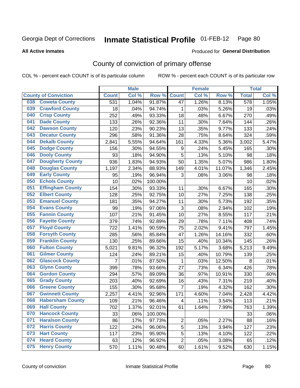Produced for **General Distribution**

#### **All Active Inmates**

# County of conviction of primary offense

|                                |                         |                | <b>Male</b> |         |                | <b>Female</b> |        |                  | <b>Total</b> |
|--------------------------------|-------------------------|----------------|-------------|---------|----------------|---------------|--------|------------------|--------------|
| <b>County of Conviction</b>    |                         | <b>Count</b>   | Col %       | Row %   | <b>Count</b>   | Col %         | Row %  | <b>Total</b>     | Col %        |
| <b>Coweta County</b><br>038    |                         | 531            | 1.04%       | 91.87%  | 47             | 1.26%         | 8.13%  | $\overline{578}$ | 1.05%        |
| <b>Crawford County</b><br>039  |                         | 18             | .04%        | 94.74%  | 1              | .03%          | 5.26%  | 19               | .03%         |
| <b>Crisp County</b><br>040     |                         | 252            | .49%        | 93.33%  | 18             | .48%          | 6.67%  | 270              | .49%         |
| <b>Dade County</b><br>041      |                         | 133            | .26%        | 92.36%  | 11             | .30%          | 7.64%  | 144              | .26%         |
| <b>Dawson County</b><br>042    |                         | 120            | .23%        | 90.23%  | 13             | .35%          | 9.77%  | 133              | .24%         |
| 043<br><b>Decatur County</b>   |                         | 296            | .58%        | 91.36%  | 28             | .75%          | 8.64%  | 324              | .59%         |
| <b>Dekalb County</b><br>044    |                         | 2,841          | 5.55%       | 94.64%  | 161            | 4.33%         | 5.36%  | 3,002            | 5.47%        |
| <b>Dodge County</b><br>045     |                         | 156            | .30%        | 94.55%  | 9              | .24%          | 5.45%  | 165              | .30%         |
| <b>Dooly County</b><br>046     |                         | 93             | .18%        | 94.90%  | 5              | .13%          | 5.10%  | 98               | .18%         |
| 047<br><b>Dougherty County</b> |                         | 936            | 1.83%       | 94.93%  | 50             | 1.35%         | 5.07%  | 986              | 1.80%        |
| <b>Douglas County</b><br>048   |                         | 1,197          | 2.34%       | 88.93%  | 149            | 4.01%         | 11.07% | 1,346            | 2.45%        |
| <b>Early County</b><br>049     |                         | 95             | .19%        | 96.94%  | 3              | .08%          | 3.06%  | 98               | .18%         |
| <b>Echols County</b><br>050    |                         | 10             | .02%        | 100.00% |                |               |        | 10               | .02%         |
| 051<br><b>Effingham County</b> |                         | 154            | .30%        | 93.33%  | 11             | .30%          | 6.67%  | 165              | .30%         |
| <b>Elbert County</b><br>052    |                         | 128            | .25%        | 92.75%  | 10             | .27%          | 7.25%  | 138              | .25%         |
| <b>Emanuel County</b><br>053   |                         | 181            | .35%        | 94.27%  | 11             | .30%          | 5.73%  | 192              | .35%         |
| <b>Evans County</b><br>054     |                         | 99             | .19%        | 97.06%  | 3              | .08%          | 2.94%  | 102              | .19%         |
| <b>Fannin County</b><br>055    |                         | 107            | .21%        | 91.45%  | 10             | .27%          | 8.55%  | 117              | .21%         |
| <b>Fayette County</b><br>056   |                         | 379            | .74%        | 92.89%  | 29             | .78%          | 7.11%  | 408              | .74%         |
| <b>Floyd County</b><br>057     |                         | 722            | 1.41%       | 90.59%  | 75             | 2.02%         | 9.41%  | 797              | 1.45%        |
| <b>Forsyth County</b><br>058   |                         | 285            | .56%        | 85.84%  | 47             | 1.26%         | 14.16% | 332              | .60%         |
| <b>Franklin County</b><br>059  |                         | 130            | .25%        | 89.66%  | 15             | $.40\%$       | 10.34% | 145              | .26%         |
| <b>Fulton County</b><br>060    |                         | 5,021          | 9.81%       | 96.32%  | 192            | 5.17%         | 3.68%  | 5,213            | 9.49%        |
| <b>Gilmer County</b><br>061    |                         | 124            | .24%        | 89.21%  | 15             | .40%          | 10.79% | 139              | .25%         |
| <b>Glascock County</b><br>062  |                         | $\overline{7}$ | .01%        | 87.50%  | 1              | .03%          | 12.50% | 8                | .01%         |
| 063<br><b>Glynn County</b>     |                         | 399            | .78%        | 93.66%  | 27             | .73%          | 6.34%  | 426              | .78%         |
| <b>Gordon County</b><br>064    |                         | 294            | .57%        | 89.09%  | 36             | .97%          | 10.91% | 330              | .60%         |
| <b>Grady County</b><br>065     |                         | 203            | .40%        | 92.69%  | 16             | .43%          | 7.31%  | 219              | .40%         |
| <b>Greene County</b><br>066    |                         | 155            | .30%        | 95.68%  | $\overline{7}$ | .19%          | 4.32%  | 162              | .30%         |
| <b>Gwinnett County</b><br>067  |                         | 2,257          | 4.41%       | 92.96%  | 171            | 4.60%         | 7.04%  | 2,428            | 4.42%        |
| 068                            | <b>Habersham County</b> | 109            | .21%        | 96.46%  | 4              | .11%          | 3.54%  | 113              | .21%         |
| 069<br><b>Hall County</b>      |                         | 702            | 1.37%       | 92.01%  | 61             | 1.64%         | 7.99%  | 763              | 1.39%        |
| <b>Hancock County</b><br>070   |                         | 33             | .06%        | 100.00% |                |               |        | 33               | .06%         |
| <b>Haralson County</b><br>071  |                         | 86             | .17%        | 97.73%  | $\overline{2}$ | .05%          | 2.27%  | 88               | .16%         |
| <b>Harris County</b><br>072    |                         | 122            | .24%        | 96.06%  | 5              | .13%          | 3.94%  | 127              | .23%         |
| <b>Hart County</b><br>073      |                         | 117            | .23%        | 95.90%  | 5              | .13%          | 4.10%  | 122              | .22%         |
| <b>Heard County</b><br>074     |                         | 63             | .12%        | 96.92%  | $\overline{2}$ | .05%          | 3.08%  | 65               | .12%         |
| <b>Henry County</b><br>075     |                         | 570            | 1.11%       | 90.48%  | 60             | 1.61%         | 9.52%  | 630              | 1.15%        |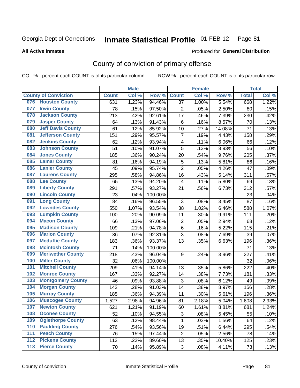**All Active Inmates**

#### Produced for **General Distribution**

### County of conviction of primary offense

|                                 |              | <b>Male</b> |         |                | <b>Female</b> |        |              | <b>Total</b> |
|---------------------------------|--------------|-------------|---------|----------------|---------------|--------|--------------|--------------|
| <b>County of Conviction</b>     | <b>Count</b> | Col %       | Row %   | <b>Count</b>   | Col %         | Row %  | <b>Total</b> | Col %        |
| <b>Houston County</b><br>076    | 631          | 1.23%       | 94.46%  | 37             | 1.00%         | 5.54%  | 668          | 1.22%        |
| <b>Irwin County</b><br>077      | 78           | .15%        | 97.50%  | $\overline{2}$ | .05%          | 2.50%  | 80           | .15%         |
| <b>Jackson County</b><br>078    | 213          | .42%        | 92.61%  | 17             | .46%          | 7.39%  | 230          | .42%         |
| <b>Jasper County</b><br>079     | 64           | .13%        | 91.43%  | 6              | .16%          | 8.57%  | 70           | .13%         |
| <b>Jeff Davis County</b><br>080 | 61           | .12%        | 85.92%  | 10             | .27%          | 14.08% | 71           | .13%         |
| 081<br><b>Jefferson County</b>  | 151          | .29%        | 95.57%  | $\overline{7}$ | .19%          | 4.43%  | 158          | .29%         |
| <b>Jenkins County</b><br>082    | 62           | .12%        | 93.94%  | 4              | .11%          | 6.06%  | 66           | .12%         |
| <b>Johnson County</b><br>083    | 51           | .10%        | 91.07%  | 5              | .13%          | 8.93%  | 56           | .10%         |
| <b>Jones County</b><br>084      | 185          | .36%        | 90.24%  | 20             | .54%          | 9.76%  | 205          | .37%         |
| <b>Lamar County</b><br>085      | 81           | .16%        | 94.19%  | 5              | .13%          | 5.81%  | 86           | .16%         |
| <b>Lanier County</b><br>086     | 45           | .09%        | 95.74%  | $\overline{2}$ | .05%          | 4.26%  | 47           | .09%         |
| <b>Laurens County</b><br>087    | 295          | .58%        | 94.86%  | 16             | .43%          | 5.14%  | 311          | .57%         |
| <b>Lee County</b><br>088        | 65           | .13%        | 94.20%  | 4              | .11%          | 5.80%  | 69           | .13%         |
| <b>Liberty County</b><br>089    | 291          | .57%        | 93.27%  | 21             | .56%          | 6.73%  | 312          | .57%         |
| <b>Lincoln County</b><br>090    | 23           | .04%        | 100.00% |                |               |        | 23           | .04%         |
| <b>Long County</b><br>091       | 84           | .16%        | 96.55%  | 3              | .08%          | 3.45%  | 87           | .16%         |
| <b>Lowndes County</b><br>092    | 550          | 1.07%       | 93.54%  | 38             | 1.02%         | 6.46%  | 588          | 1.07%        |
| <b>Lumpkin County</b><br>093    | 100          | .20%        | 90.09%  | 11             | .30%          | 9.91%  | 111          | .20%         |
| <b>Macon County</b><br>094      | 66           | .13%        | 97.06%  | $\mathbf 2$    | .05%          | 2.94%  | 68           | .12%         |
| <b>Madison County</b><br>095    | 109          | .21%        | 94.78%  | $\,6$          | .16%          | 5.22%  | 115          | .21%         |
| <b>Marion County</b><br>096     | 36           | .07%        | 92.31%  | 3              | .08%          | 7.69%  | 39           | .07%         |
| <b>Mcduffie County</b><br>097   | 183          | .36%        | 93.37%  | 13             | .35%          | 6.63%  | 196          | .36%         |
| <b>Mcintosh County</b><br>098   | 71           | .14%        | 100.00% |                |               |        | 71           | .13%         |
| <b>Meriwether County</b><br>099 | 218          | .43%        | 96.04%  | 9              | .24%          | 3.96%  | 227          | .41%         |
| <b>Miller County</b><br>100     | 32           | .06%        | 100.00% |                |               |        | 32           | .06%         |
| <b>Mitchell County</b><br>101   | 209          | .41%        | 94.14%  | 13             | .35%          | 5.86%  | 222          | .40%         |
| <b>Monroe County</b><br>102     | 167          | .33%        | 92.27%  | 14             | .38%          | 7.73%  | 181          | .33%         |
| <b>Montgomery County</b><br>103 | 46           | .09%        | 93.88%  | 3              | .08%          | 6.12%  | 49           | .09%         |
| <b>Morgan County</b><br>104     | 142          | .28%        | 91.03%  | 14             | .38%          | 8.97%  | 156          | .28%         |
| <b>Murray County</b><br>105     | 185          | .36%        | 94.39%  | 11             | .30%          | 5.61%  | 196          | .36%         |
| <b>Muscogee County</b><br>106   | 1,527        | 2.98%       | 94.96%  | 81             | 2.18%         | 5.04%  | 1,608        | 2.93%        |
| 107<br><b>Newton County</b>     | 621          | 1.21%       | 91.19%  | 60             | 1.61%         | 8.81%  | 681          | 1.24%        |
| <b>Oconee County</b><br>108     | 52           | .10%        | 94.55%  | 3              | .08%          | 5.45%  | 55           | .10%         |
| <b>Oglethorpe County</b><br>109 | 63           | .12%        | 98.44%  | 1              | .03%          | 1.56%  | 64           | .12%         |
| <b>Paulding County</b><br>110   | 276          | .54%        | 93.56%  | 19             | .51%          | 6.44%  | 295          | .54%         |
| <b>Peach County</b><br>111      | 76           | .15%        | 97.44%  | $\overline{2}$ | .05%          | 2.56%  | 78           | .14%         |
| <b>Pickens County</b><br>$112$  | 112          | .22%        | 89.60%  | 13             | .35%          | 10.40% | 125          | .23%         |
| <b>Pierce County</b><br>$113$   | 70           | .14%        | 95.89%  | 3              | .08%          | 4.11%  | 73           | .13%         |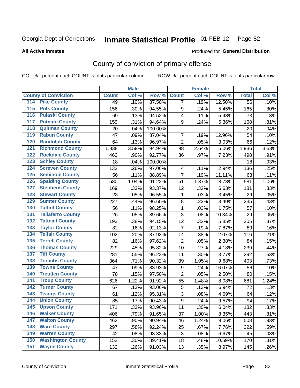#### **All Active Inmates**

#### Produced for **General Distribution**

### County of conviction of primary offense

|                                          |              | <b>Male</b> |         |                         | <b>Female</b> |        |              | <b>Total</b> |
|------------------------------------------|--------------|-------------|---------|-------------------------|---------------|--------|--------------|--------------|
| <b>County of Conviction</b>              | <b>Count</b> | Col %       | Row %   | <b>Count</b>            | Col %         | Row %  | <b>Total</b> | Col %        |
| 114 Pike County                          | 49           | .10%        | 87.50%  | $\overline{7}$          | .19%          | 12.50% | 56           | .10%         |
| <b>Polk County</b><br>$\overline{115}$   | 156          | .30%        | 94.55%  | 9                       | .24%          | 5.45%  | 165          | .30%         |
| <b>Pulaski County</b><br>116             | 69           | .13%        | 94.52%  | $\overline{\mathbf{4}}$ | .11%          | 5.48%  | 73           | .13%         |
| 117<br><b>Putnam County</b>              | 159          | .31%        | 94.64%  | 9                       | .24%          | 5.36%  | 168          | .31%         |
| <b>Quitman County</b><br>118             | 20           | .04%        | 100.00% |                         |               |        | 20           | .04%         |
| <b>Rabun County</b><br>119               | 47           | .09%        | 87.04%  | $\overline{7}$          | .19%          | 12.96% | 54           | .10%         |
| <b>Randolph County</b><br>120            | 64           | .13%        | 96.97%  | $\overline{2}$          | .05%          | 3.03%  | 66           | .12%         |
| <b>Richmond County</b><br>121            | 1,838        | 3.59%       | 94.94%  | 98                      | 2.64%         | 5.06%  | 1,936        | 3.53%        |
| <b>Rockdale County</b><br>122            | 462          | .90%        | 92.77%  | 36                      | .97%          | 7.23%  | 498          | .91%         |
| <b>Schley County</b><br>123              | 18           | .04%        | 100.00% |                         |               |        | 18           | .03%         |
| <b>Screven County</b><br>124             | 132          | .26%        | 97.06%  | 4                       | .11%          | 2.94%  | 136          | .25%         |
| <b>Seminole County</b><br>125            | 56           | .11%        | 88.89%  | 7                       | .19%          | 11.11% | 63           | .11%         |
| <b>Spalding County</b><br>126            | 530          | 1.04%       | 91.22%  | 51                      | 1.37%         | 8.78%  | 581          | 1.06%        |
| <b>Stephens County</b><br>127            | 169          | .33%        | 93.37%  | 12                      | .32%          | 6.63%  | 181          | .33%         |
| <b>Stewart County</b><br>128             | 28           | .05%        | 96.55%  | $\mathbf{1}$            | .03%          | 3.45%  | 29           | .05%         |
| <b>Sumter County</b><br>129              | 227          | .44%        | 96.60%  | $\bf 8$                 | .22%          | 3.40%  | 235          | .43%         |
| <b>Talbot County</b><br>130              | 56           | .11%        | 98.25%  | $\mathbf{1}$            | .03%          | 1.75%  | 57           | .10%         |
| <b>Taliaferro County</b><br>131          | 26           | .05%        | 89.66%  | 3                       | .08%          | 10.34% | 29           | .05%         |
| <b>Tattnall County</b><br>132            | 193          | .38%        | 94.15%  | 12                      | .32%          | 5.85%  | 205          | .37%         |
| <b>Taylor County</b><br>133              | 82           | .16%        | 92.13%  | $\overline{7}$          | .19%          | 7.87%  | 89           | .16%         |
| <b>Telfair County</b><br>134             | 102          | .20%        | 87.93%  | 14                      | .38%          | 12.07% | 116          | .21%         |
| <b>Terrell County</b><br>135             | 82           | .16%        | 97.62%  | $\overline{2}$          | .05%          | 2.38%  | 84           | .15%         |
| <b>Thomas County</b><br>136              | 229          | .45%        | 95.82%  | 10                      | .27%          | 4.18%  | 239          | .44%         |
| <b>Tift County</b><br>137                | 281          | .55%        | 96.23%  | 11                      | .30%          | 3.77%  | 292          | .53%         |
| <b>Toombs County</b><br>138              | 364          | .71%        | 90.32%  | 39                      | 1.05%         | 9.68%  | 403          | .73%         |
| <b>Towns County</b><br>139               | 47           | .09%        | 83.93%  | 9                       | .24%          | 16.07% | 56           | .10%         |
| <b>Treutlen County</b><br>140            | 78           | .15%        | 97.50%  | $\overline{2}$          | .05%          | 2.50%  | 80           | .15%         |
| <b>Troup County</b><br>141               | 626          | 1.22%       | 91.92%  | 55                      | 1.48%         | 8.08%  | 681          | 1.24%        |
| <b>Turner County</b><br>142              | 67           | .13%        | 93.06%  | 5                       | .13%          | 6.94%  | 72           | .13%         |
| <b>Twiggs County</b><br>$\overline{143}$ | 61           | .12%        | 95.31%  | $\sqrt{3}$              | .08%          | 4.69%  | 64           | .12%         |
| <b>Union County</b><br>144               | 85           | .17%        | 90.43%  | $\mathsf g$             | .24%          | 9.57%  | 94           | .17%         |
| 145<br><b>Upson County</b>               | 171          | .33%        | 93.96%  | 11                      | .30%          | 6.04%  | 182          | .33%         |
| <b>Walker County</b><br>146              | 406          | .79%        | 91.65%  | 37                      | 1.00%         | 8.35%  | 443          | .81%         |
| <b>Walton County</b><br>147              | 462          | .90%        | 90.94%  | 46                      | 1.24%         | 9.06%  | 508          | .93%         |
| <b>Ware County</b><br>148                | 297          | .58%        | 92.24%  | 25                      | .67%          | 7.76%  | 322          | .59%         |
| <b>Warren County</b><br>149              | 42           | .08%        | 93.33%  | 3                       | .08%          | 6.67%  | 45           | .08%         |
| <b>Washington County</b><br>150          | 152          | .30%        | 89.41%  | 18                      | .48%          | 10.59% | 170          | .31%         |
| <b>Wayne County</b><br>151               | 132          | .26%        | 91.03%  | 13                      | .35%          | 8.97%  | 145          | .26%         |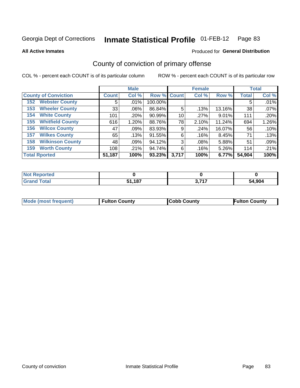**All Active Inmates**

#### Produced for **General Distribution**

### County of conviction of primary offense

|                                |              | <b>Male</b> |                    |       | <b>Female</b> |        |              | <b>Total</b> |
|--------------------------------|--------------|-------------|--------------------|-------|---------------|--------|--------------|--------------|
| <b>County of Conviction</b>    | <b>Count</b> | Col %       | <b>Row % Count</b> |       | Col %         | Row %  | <b>Total</b> | Col %        |
| <b>Webster County</b><br>152   | 5            | .01%        | 100.00%            |       |               |        | 5            | .01%         |
| <b>Wheeler County</b><br>153   | 33           | $.06\%$     | 86.84%             | 5     | .13%          | 13.16% | 38           | .07%         |
| <b>White County</b><br>154     | 101          | .20%        | 90.99%             | 10    | .27%          | 9.01%  | 111          | .20%         |
| <b>Whitfield County</b><br>155 | 616          | 1.20%       | 88.76%             | 78    | 2.10%         | 11.24% | 694          | 1.26%        |
| <b>Wilcox County</b><br>156    | 47           | .09%        | 83.93%             | 9     | .24%          | 16.07% | 56           | .10%         |
| <b>Wilkes County</b><br>157    | 65           | .13%        | 91.55%             | 6     | .16%          | 8.45%  | 71           | .13%         |
| <b>Wilkinson County</b><br>158 | 48           | .09%        | 94.12%             | 3     | .08%          | 5.88%  | 51           | .09%         |
| <b>Worth County</b><br>159     | 108          | .21%        | 94.74%             | 6     | .16%          | 5.26%  | 114          | .21%         |
| <b>Total Rported</b>           | 51,187       | 100%        | 93.23%             | 3,717 | 100%          | 6.77%  | 54,904       | 100%         |

| <b>Not Reported</b> |        |                  |        |
|---------------------|--------|------------------|--------|
| <b>Grand Total</b>  | 51,187 | っ フィフ<br><b></b> | 54,904 |

| Mode (most frequent) | <b>Fulton County</b> | <b>ICobb County</b> | <b>Fulton County</b> |
|----------------------|----------------------|---------------------|----------------------|
|                      |                      |                     |                      |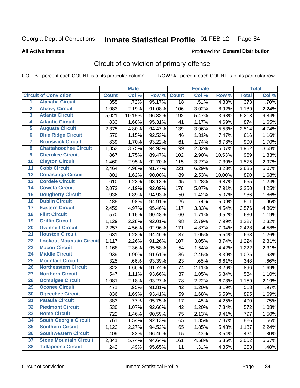#### **All Active Inmates**

## Produced for **General Distribution**

### Circuit of conviction of primary offense

|                         |                                 |              | <b>Male</b> |        |              | <b>Female</b> |        |                  | <b>Total</b> |
|-------------------------|---------------------------------|--------------|-------------|--------|--------------|---------------|--------|------------------|--------------|
|                         | <b>Circuit of Conviction</b>    | <b>Count</b> | Col %       | Row %  | <b>Count</b> | Col %         | Row %  | <b>Total</b>     | Col %        |
| $\overline{1}$          | <b>Alapaha Circuit</b>          | 355          | .72%        | 95.17% | 18           | .51%          | 4.83%  | $\overline{373}$ | .70%         |
| $\overline{2}$          | <b>Alcovy Circuit</b>           | 1,083        | 2.19%       | 91.08% | 106          | 3.02%         | 8.92%  | 1,189            | 2.24%        |
| 3                       | <b>Atlanta Circuit</b>          | 5,021        | 10.15%      | 96.32% | 192          | 5.47%         | 3.68%  | 5,213            | 9.84%        |
| 4                       | <b>Atlantic Circuit</b>         | 833          | 1.68%       | 95.31% | 41           | 1.17%         | 4.69%  | 874              | 1.65%        |
| 5                       | <b>Augusta Circuit</b>          | 2,375        | 4.80%       | 94.47% | 139          | 3.96%         | 5.53%  | 2,514            | 4.74%        |
| $6\overline{6}$         | <b>Blue Ridge Circuit</b>       | 570          | 1.15%       | 92.53% | 46           | 1.31%         | 7.47%  | 616              | 1.16%        |
| $\overline{\mathbf{7}}$ | <b>Brunswick Circuit</b>        | 839          | 1.70%       | 93.22% | 61           | 1.74%         | 6.78%  | 900              | 1.70%        |
| 8                       | <b>Chattahoochee Circuit</b>    | 1,853        | 3.75%       | 94.93% | 99           | 2.82%         | 5.07%  | 1,952            | 3.68%        |
| $\overline{9}$          | <b>Cherokee Circuit</b>         | 867          | 1.75%       | 89.47% | 102          | 2.90%         | 10.53% | 969              | 1.83%        |
| 10                      | <b>Clayton Circuit</b>          | 1,460        | 2.95%       | 92.70% | 115          | 3.27%         | 7.30%  | 1,575            | 2.97%        |
| 11                      | <b>Cobb Circuit</b>             | 2,464        | 4.98%       | 91.77% | 221          | 6.29%         | 8.23%  | 2,685            | 5.07%        |
| 12                      | <b>Conasauga Circuit</b>        | 801          | 1.62%       | 90.00% | 89           | 2.53%         | 10.00% | 890              | 1.68%        |
| 13                      | <b>Cordele Circuit</b>          | 610          | 1.23%       | 93.13% | 45           | 1.28%         | 6.87%  | 655              | 1.24%        |
| 14                      | <b>Coweta Circuit</b>           | 2,072        | 4.19%       | 92.09% | 178          | 5.07%         | 7.91%  | 2,250            | 4.25%        |
| 15                      | <b>Dougherty Circuit</b>        | 936          | 1.89%       | 94.93% | 50           | 1.42%         | 5.07%  | 986              | 1.86%        |
| 16                      | <b>Dublin Circuit</b>           | 485          | .98%        | 94.91% | 26           | .74%          | 5.09%  | 511              | .96%         |
| 17                      | <b>Eastern Circuit</b>          | 2,459        | 4.97%       | 95.46% | 117          | 3.33%         | 4.54%  | 2,576            | 4.86%        |
| 18                      | <b>Flint Circuit</b>            | 570          | 1.15%       | 90.48% | 60           | 1.71%         | 9.52%  | 630              | 1.19%        |
| 19                      | <b>Griffin Circuit</b>          | 1,129        | 2.28%       | 92.01% | 98           | 2.79%         | 7.99%  | 1,227            | 2.32%        |
| 20                      | <b>Gwinnett Circuit</b>         | 2,257        | 4.56%       | 92.96% | 171          | 4.87%         | 7.04%  | 2,428            | 4.58%        |
| $\overline{21}$         | <b>Houston Circuit</b>          | 631          | 1.28%       | 94.46% | 37           | 1.05%         | 5.54%  | 668              | 1.26%        |
| $\overline{22}$         | <b>Lookout Mountain Circuit</b> | 1,117        | 2.26%       | 91.26% | 107          | 3.05%         | 8.74%  | 1,224            | 2.31%        |
| 23                      | <b>Macon Circuit</b>            | 1,168        | 2.36%       | 95.58% | 54           | 1.54%         | 4.42%  | 1,222            | 2.31%        |
| 24                      | <b>Middle Circuit</b>           | 939          | 1.90%       | 91.61% | 86           | 2.45%         | 8.39%  | 1,025            | 1.93%        |
| 25                      | <b>Mountain Circuit</b>         | 325          | .66%        | 93.39% | 23           | .65%          | 6.61%  | 348              | .66%         |
| 26                      | <b>Northeastern Circuit</b>     | 822          | 1.66%       | 91.74% | 74           | 2.11%         | 8.26%  | 896              | 1.69%        |
| $\overline{27}$         | <b>Northern Circuit</b>         | 547          | 1.11%       | 93.66% | 37           | 1.05%         | 6.34%  | 584              | 1.10%        |
| 28                      | <b>Ocmulgee Circuit</b>         | 1,081        | 2.18%       | 93.27% | 78           | 2.22%         | 6.73%  | 1,159            | 2.19%        |
| 29                      | <b>Oconee Circuit</b>           | 471          | .95%        | 91.81% | 42           | 1.20%         | 8.19%  | 513              | .97%         |
| 30                      | <b>Ogeechee Circuit</b>         | 836          | 1.69%       | 93.41% | 59           | 1.68%         | 6.59%  | 895              | 1.69%        |
| $\overline{31}$         | <b>Pataula Circuit</b>          | 383          | .77%        | 95.75% | 17           | .48%          | 4.25%  | 400              | .75%         |
| 32                      | <b>Piedmont Circuit</b>         | 530          | 1.07%       | 92.66% | 42           | 1.20%         | 7.34%  | 572              | 1.08%        |
| 33                      | <b>Rome Circuit</b>             | 722          | 1.46%       | 90.59% | 75           | 2.13%         | 9.41%  | 797              | 1.50%        |
| 34                      | <b>South Georgia Circuit</b>    | 761          | 1.54%       | 92.13% | 65           | 1.85%         | 7.87%  | 826              | 1.56%        |
| 35                      | <b>Southern Circuit</b>         | 1,122        | 2.27%       | 94.52% | 65           | 1.85%         | 5.48%  | 1,187            | 2.24%        |
| 36                      | <b>Southwestern Circuit</b>     | 409          | .83%        | 96.46% | 15           | .43%          | 3.54%  | 424              | .80%         |
| 37                      | <b>Stone Mountain Circuit</b>   | 2,841        | 5.74%       | 94.64% | 161          | 4.58%         | 5.36%  | 3,002            | 5.67%        |
| 38                      | <b>Tallapoosa Circuit</b>       | 242          | .49%        | 95.65% | 11           | .31%          | 4.35%  | 253              | .48%         |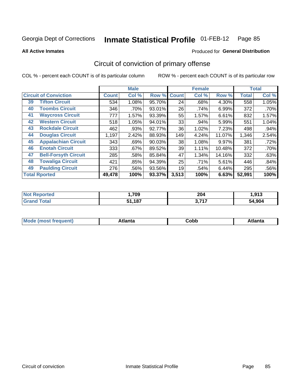Produced for **General Distribution**

#### **All Active Inmates**

# Circuit of conviction of primary offense

|                                   |              | <b>Male</b> |        |              | <b>Female</b> |        |              | <b>Total</b> |
|-----------------------------------|--------------|-------------|--------|--------------|---------------|--------|--------------|--------------|
| <b>Circuit of Conviction</b>      | <b>Count</b> | Col %       | Row %  | <b>Count</b> | Col %         | Row %  | <b>Total</b> | Col %        |
| <b>Tifton Circuit</b><br>39       | 534          | 1.08%       | 95.70% | 24           | .68%          | 4.30%  | 558          | 1.05%        |
| <b>Toombs Circuit</b><br>40       | 346          | .70%        | 93.01% | 26           | .74%          | 6.99%  | 372          | .70%         |
| <b>Waycross Circuit</b><br>41     | 777          | 1.57%       | 93.39% | 55           | 1.57%         | 6.61%  | 832          | 1.57%        |
| <b>Western Circuit</b><br>42      | 518          | 1.05%       | 94.01% | 33           | .94%          | 5.99%  | 551          | 1.04%        |
| <b>Rockdale Circuit</b><br>43     | 462          | .93%        | 92.77% | 36           | 1.02%         | 7.23%  | 498          | .94%         |
| <b>Douglas Circuit</b><br>44      | 1,197        | 2.42%       | 88.93% | 149          | 4.24%         | 11.07% | 1,346        | 2.54%        |
| <b>Appalachian Circuit</b><br>45  | 343          | .69%        | 90.03% | 38           | 1.08%         | 9.97%  | 381          | .72%         |
| <b>Enotah Circuit</b><br>46       | 333          | .67%        | 89.52% | 39           | 1.11%         | 10.48% | 372          | .70%         |
| <b>Bell-Forsyth Circuit</b><br>47 | 285          | .58%        | 85.84% | 47           | 1.34%         | 14.16% | 332          | .63%         |
| <b>Towaliga Circuit</b><br>48     | 421          | .85%        | 94.39% | 25           | .71%          | 5.61%  | 446          | .84%         |
| <b>Paulding Circuit</b><br>49     | 276          | .56%        | 93.56% | 19           | .54%          | 6.44%  | 295          | .56%         |
| <b>Total Rported</b>              | 49,478       | 100%        | 93.37% | 3,513        | 100%          | 6.63%  | 52,991       | 100%         |

| tet | ,709 | ∧∩פ<br>ZU'<br>____ | 012<br>טו פו |
|-----|------|--------------------|--------------|
|     | 187  | 2747               | .904         |
|     | E 4  | .                  | 54           |

| M<br>- - -<br>.<br>.<br>∪opp<br>нс |
|------------------------------------|
|------------------------------------|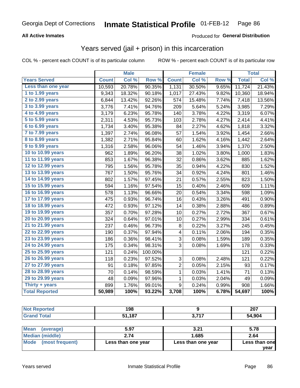#### **All Active Inmates**

### Produced for **General Distribution**

### Years served (jail + prison) in this incarceration

|                              |              | <b>Male</b> |         |              | <b>Female</b> |       |              | <b>Total</b> |
|------------------------------|--------------|-------------|---------|--------------|---------------|-------|--------------|--------------|
| <b>Years Served</b>          | <b>Count</b> | Col %       | Row %   | <b>Count</b> | Col %         | Row % | <b>Total</b> | Col %        |
| Less than one year           | 10,593       | 20.78%      | 90.35%  | 1,131        | 30.50%        | 9.65% | 11,724       | 21.43%       |
| 1 to 1.99 years              | 9,343        | 18.32%      | 90.18%  | 1,017        | 27.43%        | 9.82% | 10,360       | 18.94%       |
| 2 to 2.99 years              | 6,844        | 13.42%      | 92.26%  | 574          | 15.48%        | 7.74% | 7,418        | 13.56%       |
| $3$ to $3.99$ years          | 3,776        | 7.41%       | 94.76%  | 209          | 5.64%         | 5.24% | 3,985        | 7.29%        |
| 4 to 4.99 years              | 3,179        | 6.23%       | 95.78%  | 140          | 3.78%         | 4.22% | 3,319        | 6.07%        |
| $\overline{5}$ to 5.99 years | 2,311        | 4.53%       | 95.73%  | 103          | 2.78%         | 4.27% | 2,414        | 4.41%        |
| 6 to 6.99 years              | 1,734        | 3.40%       | 95.38%  | 84           | 2.27%         | 4.62% | 1,818        | 3.32%        |
| 7 to 7.99 years              | 1,397        | 2.74%       | 96.08%  | 57           | 1.54%         | 3.92% | 1,454        | 2.66%        |
| 8 to 8.99 years              | 1,382        | 2.71%       | 95.84%  | 60           | 1.62%         | 4.16% | 1,442        | 2.64%        |
| 9 to 9.99 years              | 1,316        | 2.58%       | 96.06%  | 54           | 1.46%         | 3.94% | 1,370        | 2.50%        |
| 10 to 10.99 years            | 962          | 1.89%       | 96.20%  | 38           | 1.02%         | 3.80% | 1,000        | 1.83%        |
| 11 to 11.99 years            | 853          | 1.67%       | 96.38%  | 32           | 0.86%         | 3.62% | 885          | 1.62%        |
| 12 to 12.99 years            | 795          | 1.56%       | 95.78%  | 35           | 0.94%         | 4.22% | 830          | 1.52%        |
| 13 to 13.99 years            | 767          | 1.50%       | 95.76%  | 34           | 0.92%         | 4.24% | 801          | 1.46%        |
| 14 to 14.99 years            | 802          | 1.57%       | 97.45%  | 21           | 0.57%         | 2.55% | 823          | 1.50%        |
| 15 to 15.99 years            | 594          | 1.16%       | 97.54%  | 15           | 0.40%         | 2.46% | 609          | 1.11%        |
| 16 to 16.99 years            | 578          | 1.13%       | 96.66%  | 20           | 0.54%         | 3.34% | 598          | 1.09%        |
| 17 to 17.99 years            | 475          | 0.93%       | 96.74%  | 16           | 0.43%         | 3.26% | 491          | 0.90%        |
| 18 to 18.99 years            | 472          | 0.93%       | 97.12%  | 14           | 0.38%         | 2.88% | 486          | 0.89%        |
| 19 to 19.99 years            | 357          | 0.70%       | 97.28%  | 10           | 0.27%         | 2.72% | 367          | 0.67%        |
| 20 to 20.99 years            | 324          | 0.64%       | 97.01%  | 10           | 0.27%         | 2.99% | 334          | 0.61%        |
| 21 to 21.99 years            | 237          | 0.46%       | 96.73%  | 8            | 0.22%         | 3.27% | 245          | 0.45%        |
| 22 to 22.99 years            | 190          | 0.37%       | 97.94%  | 4            | 0.11%         | 2.06% | 194          | 0.35%        |
| 23 to 23.99 years            | 186          | 0.36%       | 98.41%  | 3            | 0.08%         | 1.59% | 189          | 0.35%        |
| 24 to 24.99 years            | 175          | 0.34%       | 98.31%  | 3            | 0.08%         | 1.69% | 178          | 0.33%        |
| 25 to 25.99 years            | 121          | 0.24%       | 100.00% |              |               |       | 121          | 0.22%        |
| 26 to 26.99 years            | 118          | 0.23%       | 97.52%  | 3            | 0.08%         | 2.48% | 121          | 0.22%        |
| 27 to 27.99 years            | 91           | 0.18%       | 97.85%  | 2            | 0.05%         | 2.15% | 93           | 0.17%        |
| 28 to 28.99 years            | 70           | 0.14%       | 98.59%  | 1            | 0.03%         | 1.41% | 71           | 0.13%        |
| 29 to 29.99 years            | 48           | 0.09%       | 97.96%  | $\mathbf{1}$ | 0.03%         | 2.04% | 49           | 0.09%        |
| Thirty + years               | 899          | 1.76%       | 99.01%  | 9            | 0.24%         | 0.99% | 908          | 1.66%        |
| <b>Total Reported</b>        | 50,989       | 100%        | 93.22%  | 3,708        | 100%          | 6.78% | 54,697       | 100%         |

| neo<br>NO. | 198                   |                 | 207<br>ZV I |
|------------|-----------------------|-----------------|-------------|
|            | -4.07<br>C 4<br>. . 0 | 2717<br>v.<br>. | .904<br>54  |

| ∣Mean<br>(average)   | 5.97               | 3.21               | 5.78          |
|----------------------|--------------------|--------------------|---------------|
| Median (middle)      | 2.74               | 1.685              | 2.64          |
| Mode (most frequent) | Less than one year | Less than one year | Less than one |
|                      |                    |                    | vear          |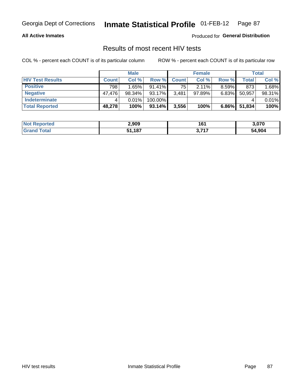#### **All Active Inmates**

Produced for **General Distribution**

### Results of most recent HIV tests

|                         |              | <b>Male</b> |           |              | <b>Female</b> |          |        | Total  |
|-------------------------|--------------|-------------|-----------|--------------|---------------|----------|--------|--------|
| <b>HIV Test Results</b> | <b>Count</b> | Col %       | Row %I    | <b>Count</b> | Col %         | Row %    | Total  | Col %  |
| <b>Positive</b>         | 798          | 1.65%       | $91.41\%$ | 75           | $2.11\%$      | $8.59\%$ | 873    | 1.68%  |
| <b>Negative</b>         | 47.476       | $98.34\%$   | 93.17%    | 3,481        | $97.89\%$     | 6.83%    | 50,957 | 98.31% |
| Indeterminate           |              | 0.01%       | 100.00%   |              |               |          |        | 0.01%  |
| <b>Total Reported</b>   | 48,278       | 100%        | 93.14%    | 3,556        | 100%          | $6.86\%$ | 51,834 | 100%   |

| <b>Not Reported</b>          | 2,909  | 161             | 3,070  |
|------------------------------|--------|-----------------|--------|
| <b>Total</b><br><b>Grand</b> | 51,187 | דול כ<br>ווי, ט | 54,904 |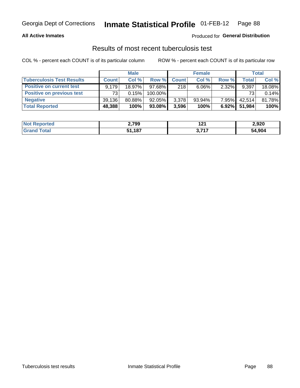#### **All Active Inmates**

#### Produced for **General Distribution**

### Results of most recent tuberculosis test

|                                  | <b>Male</b>  |           |           | <b>Female</b> |           |          | Total  |        |
|----------------------------------|--------------|-----------|-----------|---------------|-----------|----------|--------|--------|
| <b>Tuberculosis Test Results</b> | <b>Count</b> | Col%      | Row %     | <b>Count</b>  | Col %     | Row %    | Total  | Col %  |
| <b>Positive on current test</b>  | 9.179        | 18.97%    | $97.68\%$ | 218           | $6.06\%$  | 2.32%    | 9,397  | 18.08% |
| <b>Positive on previous test</b> | 73           | 0.15%     | 100.00%   |               |           |          | 73     | 0.14%  |
| <b>Negative</b>                  | 39.136       | $80.88\%$ | 92.05%    | 3,378         | $93.94\%$ | $7.95\%$ | 42.514 | 81.78% |
| <b>Total Reported</b>            | 48,388       | 100%      | 93.08%    | 3,596         | 100%      | $6.92\%$ | 51.984 | 100%   |

| <b>Not Reported</b>          | 2,799  | י פי<br>14 I | 2,920  |
|------------------------------|--------|--------------|--------|
| <b>Total</b><br><b>Grand</b> | 51.187 | っ フィフ<br>◡.≀ | 54,904 |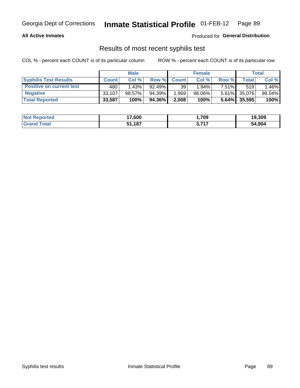#### **All Active Inmates**

Produced for **General Distribution**

### Results of most recent syphilis test

|                                 | <b>Male</b>  |           |           | <b>Female</b>   |        |          | Total        |        |
|---------------------------------|--------------|-----------|-----------|-----------------|--------|----------|--------------|--------|
| <b>Syphilis Test Results</b>    | <b>Count</b> | Col%      | Row %     | <b>Count</b>    | Col %  | Row %    | Total        | Col %  |
| <b>Positive on current test</b> | 480          | 1.43%     | $92.49\%$ | 39 <sup>1</sup> | 1.94%  | $7.51\%$ | 519          | 1.46%  |
| <b>Negative</b>                 | 33,107       | $98.57\%$ | 94.39%    | .969            | 98.06% |          | 5.61% 35,076 | 98.54% |
| <b>Total Reported</b>           | 33,587       | 100%      | 94.36%    | 2,008           | 100%   | 5.64%    | 35,595       | 100%   |

| <b>Not Reported</b> | 17,600 | ,709 | 19,309 |
|---------------------|--------|------|--------|
| <b>Grand Total</b>  | 51,187 | 2747 | 54,904 |